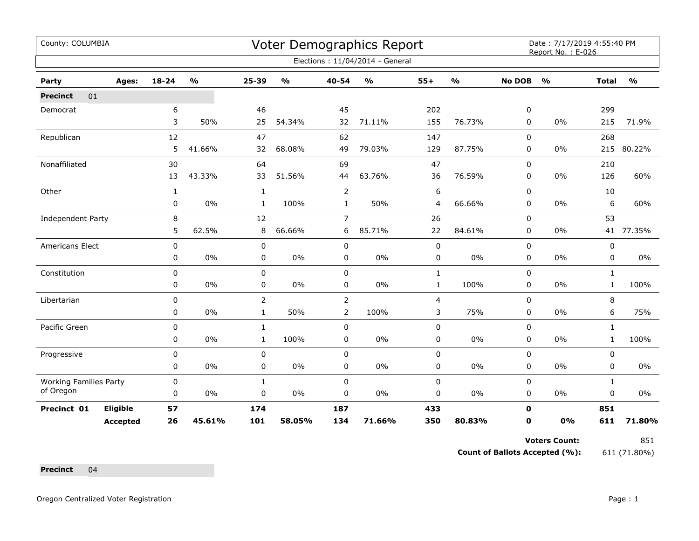| County: COLUMBIA              |                 |              |                                   |                |               |                | Voter Demographics Report       |              |               |               | Date: 7/17/2019 4:55:40 PM<br>Report No.: E-026 |              |               |
|-------------------------------|-----------------|--------------|-----------------------------------|----------------|---------------|----------------|---------------------------------|--------------|---------------|---------------|-------------------------------------------------|--------------|---------------|
|                               |                 |              |                                   |                |               |                | Elections: 11/04/2014 - General |              |               |               |                                                 |              |               |
| Party                         | Ages:           | $18 - 24$    | $\mathsf{o}\mathsf{v}_\mathsf{o}$ | 25-39          | $\frac{0}{0}$ | 40-54          | $\frac{1}{2}$                   | $55+$        | $\frac{1}{2}$ | <b>No DOB</b> | $\frac{1}{2}$                                   | <b>Total</b> | $\frac{1}{2}$ |
| 01<br><b>Precinct</b>         |                 |              |                                   |                |               |                |                                 |              |               |               |                                                 |              |               |
| Democrat                      |                 | 6            |                                   | 46             |               | 45             |                                 | 202          |               | 0             |                                                 | 299          |               |
|                               |                 | 3            | 50%                               | 25             | 54.34%        | 32             | 71.11%                          | 155          | 76.73%        | 0             | 0%                                              | 215          | 71.9%         |
| Republican                    |                 | 12           |                                   | 47             |               | 62             |                                 | 147          |               | 0             |                                                 | 268          |               |
|                               |                 | 5            | 41.66%                            | 32             | 68.08%        | 49             | 79.03%                          | 129          | 87.75%        | 0             | 0%                                              | 215          | 80.22%        |
| Nonaffiliated                 |                 | 30           |                                   | 64             |               | 69             |                                 | 47           |               | $\Omega$      |                                                 | 210          |               |
|                               |                 | 13           | 43.33%                            | 33             | 51.56%        | 44             | 63.76%                          | 36           | 76.59%        | 0             | 0%                                              | 126          | 60%           |
| Other                         |                 | $\mathbf{1}$ |                                   | $\mathbf{1}$   |               | $\overline{2}$ |                                 | 6            |               | $\Omega$      |                                                 | 10           |               |
|                               |                 | 0            | $0\%$                             | $\mathbf{1}$   | 100%          | $\mathbf{1}$   | 50%                             | 4            | 66.66%        | 0             | $0\%$                                           | 6            | 60%           |
| Independent Party             |                 | 8            |                                   | 12             |               | $\overline{7}$ |                                 | 26           |               | 0             |                                                 | 53           |               |
|                               |                 | 5            | 62.5%                             | 8              | 66.66%        | 6              | 85.71%                          | 22           | 84.61%        | 0             | 0%                                              |              | 41 77.35%     |
| Americans Elect               |                 | 0            |                                   | $\pmb{0}$      |               | $\pmb{0}$      |                                 | $\pmb{0}$    |               | 0             |                                                 | 0            |               |
|                               |                 | 0            | $0\%$                             | 0              | 0%            | 0              | 0%                              | 0            | 0%            | 0             | 0%                                              | 0            | 0%            |
| Constitution                  |                 | 0            |                                   | 0              |               | $\mathbf 0$    |                                 | $\mathbf{1}$ |               | 0             |                                                 | $\mathbf{1}$ |               |
|                               |                 | 0            | 0%                                | 0              | $0\%$         | 0              | 0%                              | $\mathbf{1}$ | 100%          | 0             | $0\%$                                           | $\mathbf{1}$ | 100%          |
| Libertarian                   |                 | 0            |                                   | $\overline{2}$ |               | $\overline{2}$ |                                 | 4            |               | $\Omega$      |                                                 | 8            |               |
|                               |                 | 0            | $0\%$                             | $\mathbf{1}$   | 50%           | 2              | 100%                            | 3            | 75%           | 0             | $0\%$                                           | 6            | 75%           |
| Pacific Green                 |                 | 0            |                                   | $\mathbf{1}$   |               | $\mathbf 0$    |                                 | $\pmb{0}$    |               | 0             |                                                 | $\mathbf{1}$ |               |
|                               |                 | 0            | 0%                                | $\mathbf{1}$   | 100%          | $\pmb{0}$      | $0\%$                           | $\pmb{0}$    | 0%            | 0             | 0%                                              | $\mathbf{1}$ | 100%          |
| Progressive                   |                 | 0            |                                   | $\pmb{0}$      |               | $\mathbf 0$    |                                 | $\pmb{0}$    |               | 0             |                                                 | $\mathbf 0$  |               |
|                               |                 | 0            | $0\%$                             | $\pmb{0}$      | $0\%$         | 0              | $0\%$                           | $\pmb{0}$    | 0%            | 0             | 0%                                              | 0            | 0%            |
| <b>Working Families Party</b> |                 | 0            |                                   | $\mathbf{1}$   |               | $\pmb{0}$      |                                 | $\pmb{0}$    |               | 0             |                                                 | $\mathbf{1}$ |               |
| of Oregon                     |                 | 0            | 0%                                | 0              | $0\%$         | 0              | 0%                              | 0            | 0%            | 0             | 0%                                              | 0            | 0%            |
| Precinct 01                   | Eligible        | 57           |                                   | 174            |               | 187            |                                 | 433          |               | $\mathbf 0$   |                                                 | 851          |               |
|                               | <b>Accepted</b> | 26           | 45.61%                            | 101            | 58.05%        | 134            | 71.66%                          | 350          | 80.83%        | 0             | 0%                                              | 611          | 71.80%        |

**Count of Ballots Accepted (%):** 611 (71.80%)

**Precinct** 04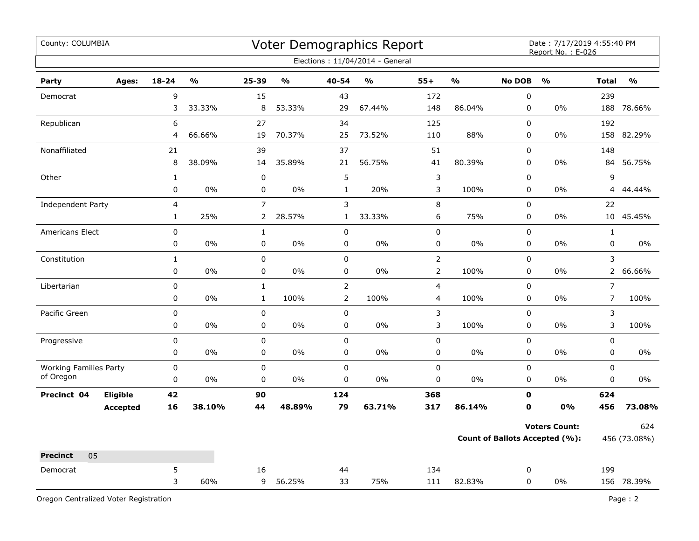| County: COLUMBIA              |                 |                |               |                |               |                | Voter Demographics Report       |                |                         |               | Date: 7/17/2019 4:55:40 PM<br>Report No.: E-026 |                |                         |
|-------------------------------|-----------------|----------------|---------------|----------------|---------------|----------------|---------------------------------|----------------|-------------------------|---------------|-------------------------------------------------|----------------|-------------------------|
|                               |                 |                |               |                |               |                | Elections: 11/04/2014 - General |                |                         |               |                                                 |                |                         |
| Party                         | Ages:           | $18 - 24$      | $\frac{1}{2}$ | 25-39          | $\frac{1}{2}$ | 40-54          | $\mathbf{O}/\mathbf{O}$         | $55+$          | $\mathbf{O}/\mathbf{O}$ | <b>No DOB</b> | $\frac{1}{2}$                                   | <b>Total</b>   | $\mathbf{O}/\mathbf{O}$ |
| Democrat                      |                 | 9              |               | 15             |               | 43             |                                 | 172            |                         | $\pmb{0}$     |                                                 | 239            |                         |
|                               |                 | 3              | 33.33%        | 8              | 53.33%        | 29             | 67.44%                          | 148            | 86.04%                  | 0             | $0\%$                                           | 188            | 78.66%                  |
| Republican                    |                 | 6              |               | 27             |               | 34             |                                 | 125            |                         | 0             |                                                 | 192            |                         |
|                               |                 | 4              | 66.66%        | 19             | 70.37%        | 25             | 73.52%                          | 110            | 88%                     | $\mathbf 0$   | 0%                                              | 158            | 82.29%                  |
| Nonaffiliated                 |                 | 21             |               | 39             |               | 37             |                                 | 51             |                         | 0             |                                                 | 148            |                         |
|                               |                 | 8              | 38.09%        | 14             | 35.89%        | 21             | 56.75%                          | 41             | 80.39%                  | 0             | 0%                                              | 84             | 56.75%                  |
| Other                         |                 | $\mathbf{1}$   |               | $\pmb{0}$      |               | 5              |                                 | 3              |                         | 0             |                                                 | 9              |                         |
|                               |                 | 0              | $0\%$         | $\mathbf 0$    | 0%            | $\mathbf{1}$   | 20%                             | 3              | 100%                    | 0             | $0\%$                                           | $\overline{4}$ | 44.44%                  |
| <b>Independent Party</b>      |                 | $\overline{4}$ |               | $\overline{7}$ |               | 3              |                                 | 8              |                         | $\pmb{0}$     |                                                 | 22             |                         |
|                               |                 | $\mathbf{1}$   | 25%           | $\overline{2}$ | 28.57%        | $\mathbf{1}$   | 33.33%                          | 6              | 75%                     | 0             | 0%                                              |                | 10 45.45%               |
| Americans Elect               |                 | 0              |               | $\mathbf 1$    |               | 0              |                                 | 0              |                         | $\pmb{0}$     |                                                 | $\mathbf{1}$   |                         |
|                               |                 | 0              | 0%            | $\mathbf 0$    | 0%            | 0              | 0%                              | 0              | 0%                      | 0             | 0%                                              | $\mathbf 0$    | 0%                      |
| Constitution                  |                 | $\mathbf{1}$   |               | $\pmb{0}$      |               | 0              |                                 | $\overline{2}$ |                         | 0             |                                                 | 3              |                         |
|                               |                 | 0              | 0%            | $\pmb{0}$      | $0\%$         | 0              | 0%                              | $\overline{2}$ | 100%                    | 0             | 0%                                              | $\overline{2}$ | 66.66%                  |
| Libertarian                   |                 | $\pmb{0}$      |               | $\mathbf{1}$   |               | $\overline{a}$ |                                 | 4              |                         | 0             |                                                 | $\overline{7}$ |                         |
|                               |                 | 0              | $0\%$         | $\mathbf{1}$   | 100%          | $\overline{a}$ | 100%                            | 4              | 100%                    | 0             | $0\%$                                           | $\overline{7}$ | 100%                    |
| Pacific Green                 |                 | $\pmb{0}$      |               | $\pmb{0}$      |               | 0              |                                 | 3              |                         | 0             |                                                 | 3              |                         |
|                               |                 | 0              | 0%            | 0              | 0%            | 0              | 0%                              | 3              | 100%                    | $\pmb{0}$     | 0%                                              | 3              | 100%                    |
| Progressive                   |                 | $\pmb{0}$      |               | $\pmb{0}$      |               | $\mathbf 0$    |                                 | 0              |                         | $\pmb{0}$     |                                                 | $\pmb{0}$      |                         |
|                               |                 | 0              | 0%            | $\mathbf 0$    | 0%            | 0              | 0%                              | 0              | 0%                      | 0             | 0%                                              | 0              | 0%                      |
| <b>Working Families Party</b> |                 | $\pmb{0}$      |               | $\pmb{0}$      |               | $\pmb{0}$      |                                 | 0              |                         | $\pmb{0}$     |                                                 | $\mathsf 0$    |                         |
| of Oregon                     |                 | $\pmb{0}$      | 0%            | $\pmb{0}$      | 0%            | 0              | 0%                              | 0              | 0%                      | 0             | 0%                                              | $\pmb{0}$      | 0%                      |
| Precinct 04                   | Eligible        | 42             |               | 90             |               | 124            |                                 | 368            |                         | $\mathbf 0$   |                                                 | 624            |                         |
|                               | <b>Accepted</b> | 16             | 38.10%        | 44             | 48.89%        | 79             | 63.71%                          | 317            | 86.14%                  | $\mathbf 0$   | 0%                                              | 456            | 73.08%                  |
|                               |                 |                |               |                |               |                |                                 |                |                         |               | <b>Voters Count:</b>                            |                | 624                     |
|                               |                 |                |               |                |               |                |                                 |                |                         |               | <b>Count of Ballots Accepted (%):</b>           |                | 456 (73.08%)            |
| 05<br><b>Precinct</b>         |                 |                |               |                |               |                |                                 |                |                         |               |                                                 |                |                         |
| Democrat                      |                 | 5              |               | 16             |               | 44             |                                 | 134            |                         | 0             |                                                 | 199            |                         |
|                               |                 | 3              | 60%           | 9              | 56.25%        | 33             | 75%                             | 111            | 82.83%                  | 0             | 0%                                              |                | 156 78.39%              |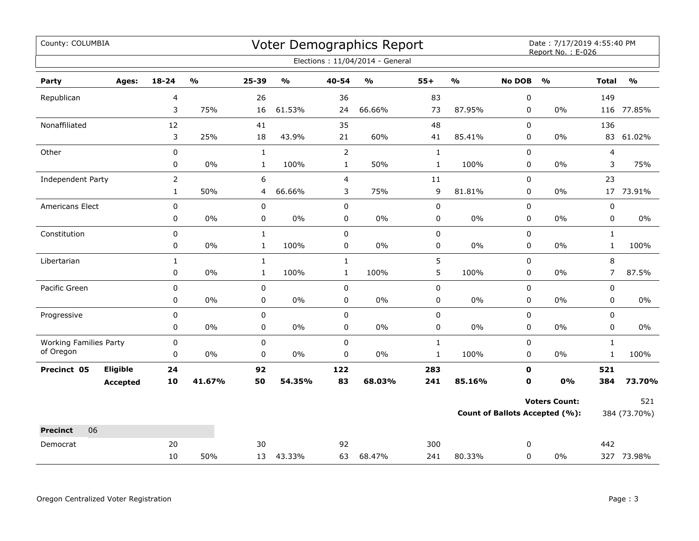| County: COLUMBIA              |                 |                |                         |              |                         |                | Voter Demographics Report         |              |               |               | Date: 7/17/2019 4:55:40 PM<br>Report No.: E-026 |                         |               |
|-------------------------------|-----------------|----------------|-------------------------|--------------|-------------------------|----------------|-----------------------------------|--------------|---------------|---------------|-------------------------------------------------|-------------------------|---------------|
|                               |                 |                |                         |              |                         |                | Elections: 11/04/2014 - General   |              |               |               |                                                 |                         |               |
| Party                         | Ages:           | $18 - 24$      | $\mathbf{O}/\mathbf{O}$ | 25-39        | $\mathbf{0}/\mathbf{0}$ | $40 - 54$      | $\mathsf{o}\mathsf{v}_\mathsf{o}$ | $55+$        | $\frac{0}{0}$ | <b>No DOB</b> | $\frac{1}{2}$                                   | <b>Total</b>            | $\frac{9}{0}$ |
| Republican                    |                 | 4              |                         | 26           |                         | 36             |                                   | 83           |               | 0             |                                                 | 149                     |               |
|                               |                 | 3              | 75%                     | 16           | 61.53%                  | 24             | 66.66%                            | 73           | 87.95%        | $\mathbf 0$   | $0\%$                                           |                         | 116 77.85%    |
| Nonaffiliated                 |                 | 12             |                         | 41           |                         | 35             |                                   | 48           |               | 0             |                                                 | 136                     |               |
|                               |                 | 3              | 25%                     | 18           | 43.9%                   | 21             | 60%                               | 41           | 85.41%        | 0             | $0\%$                                           | 83                      | 61.02%        |
| Other                         |                 | $\pmb{0}$      |                         | $\mathbf{1}$ |                         | $\overline{2}$ |                                   | $\mathbf 1$  |               | 0             |                                                 | $\overline{\mathbf{4}}$ |               |
|                               |                 | 0              | 0%                      | $\mathbf{1}$ | 100%                    | $\mathbf{1}$   | 50%                               | $\mathbf{1}$ | 100%          | 0             | $0\%$                                           | 3                       | 75%           |
| Independent Party             |                 | $\overline{2}$ |                         | 6            |                         | 4              |                                   | 11           |               | $\mathbf 0$   |                                                 | 23                      |               |
|                               |                 | $\mathbf{1}$   | 50%                     | 4            | 66.66%                  | 3              | 75%                               | 9            | 81.81%        | 0             | 0%                                              |                         | 17 73.91%     |
| Americans Elect               |                 | $\pmb{0}$      |                         | $\pmb{0}$    |                         | 0              |                                   | 0            |               | 0             |                                                 | $\pmb{0}$               |               |
|                               |                 | 0              | $0\%$                   | $\pmb{0}$    | $0\%$                   | 0              | $0\%$                             | 0            | $0\%$         | 0             | $0\%$                                           | $\pmb{0}$               | $0\%$         |
| Constitution                  |                 | 0              |                         | $\mathbf{1}$ |                         | 0              |                                   | 0            |               | $\Omega$      |                                                 | $\mathbf{1}$            |               |
|                               |                 | 0              | 0%                      | $\mathbf{1}$ | 100%                    | 0              | $0\%$                             | 0            | $0\%$         | 0             | $0\%$                                           | $\mathbf{1}$            | 100%          |
| Libertarian                   |                 | $\mathbf{1}$   |                         | $\mathbf{1}$ |                         | $\mathbf{1}$   |                                   | 5            |               | $\mathbf 0$   |                                                 | 8                       |               |
|                               |                 | 0              | 0%                      | $\mathbf{1}$ | 100%                    | $\mathbf{1}$   | 100%                              | 5            | 100%          | $\mathbf 0$   | $0\%$                                           | $\overline{7}$          | 87.5%         |
| Pacific Green                 |                 | 0              |                         | $\pmb{0}$    |                         | $\pmb{0}$      |                                   | 0            |               | $\pmb{0}$     |                                                 | $\pmb{0}$               |               |
|                               |                 | 0              | 0%                      | 0            | 0%                      | 0              | $0\%$                             | 0            | $0\%$         | 0             | $0\%$                                           | 0                       | $0\%$         |
| Progressive                   |                 | 0              |                         | $\pmb{0}$    |                         | 0              |                                   | 0            |               | 0             |                                                 | 0                       |               |
|                               |                 | 0              | 0%                      | $\pmb{0}$    | 0%                      | 0              | 0%                                | 0            | $0\%$         | 0             | $0\%$                                           | 0                       | $0\%$         |
| <b>Working Families Party</b> |                 | $\pmb{0}$      |                         | 0            |                         | $\mathbf 0$    |                                   | $\mathbf{1}$ |               | $\pmb{0}$     |                                                 | $\mathbf{1}$            |               |
| of Oregon                     |                 | $\mathbf 0$    | 0%                      | $\mathbf 0$  | $0\%$                   | $\pmb{0}$      | $0\%$                             | $\mathbf{1}$ | 100%          | $\mathbf 0$   | $0\%$                                           | $\mathbf{1}$            | 100%          |
| Precinct 05                   | Eligible        | 24             |                         | 92           |                         | 122            |                                   | 283          |               | 0             |                                                 | 521                     |               |
|                               | <b>Accepted</b> | 10             | 41.67%                  | 50           | 54.35%                  | 83             | 68.03%                            | 241          | 85.16%        | $\mathbf 0$   | 0%                                              | 384                     | 73.70%        |
|                               |                 |                |                         |              |                         |                |                                   |              |               |               | <b>Voters Count:</b>                            |                         | 521           |
|                               |                 |                |                         |              |                         |                |                                   |              |               |               | <b>Count of Ballots Accepted (%):</b>           |                         | 384 (73.70%)  |
| 06<br><b>Precinct</b>         |                 |                |                         |              |                         |                |                                   |              |               |               |                                                 |                         |               |
| Democrat                      |                 | 20             |                         | 30           |                         | 92             |                                   | 300          |               | 0             |                                                 | 442                     |               |
|                               |                 | 10             | 50%                     |              | 13 43.33%               | 63             | 68.47%                            | 241          | 80.33%        | 0             | $0\%$                                           |                         | 327 73.98%    |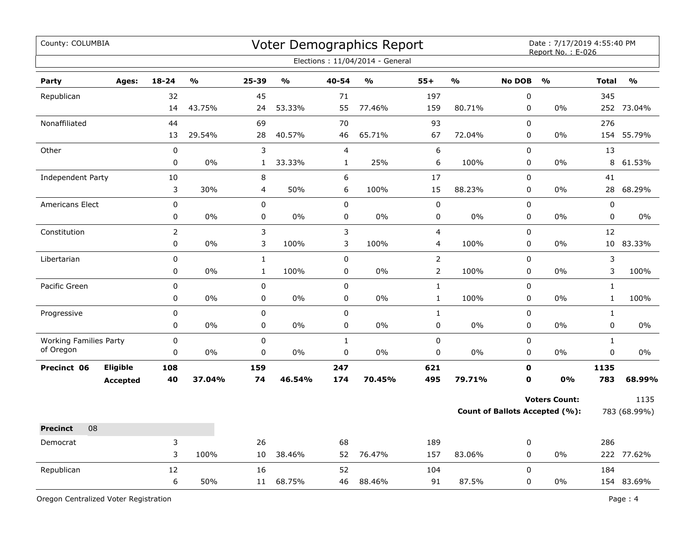| County: COLUMBIA              |                 |             |        |                |               |                  | Voter Demographics Report<br>Elections: 11/04/2014 - General |                  |        |               | Date: 7/17/2019 4:55:40 PM<br>Report No.: E-026 |              |               |
|-------------------------------|-----------------|-------------|--------|----------------|---------------|------------------|--------------------------------------------------------------|------------------|--------|---------------|-------------------------------------------------|--------------|---------------|
| Party                         | Ages:           | $18 - 24$   | %      | $25 - 39$      | $\frac{1}{2}$ | 40-54            | $\mathbf{O}/\mathbf{o}$                                      | $55+$            | %      | <b>No DOB</b> | $\frac{0}{0}$                                   | <b>Total</b> | $\frac{1}{2}$ |
| Republican                    |                 | 32          |        | 45             |               | 71               |                                                              | 197              |        | $\pmb{0}$     |                                                 | 345          |               |
|                               |                 | 14          | 43.75% | 24             | 53.33%        | 55               | 77.46%                                                       | 159              | 80.71% | $\pmb{0}$     | 0%                                              | 252          | 73.04%        |
| Nonaffiliated                 |                 | 44          |        | 69             |               | 70               |                                                              | 93               |        | $\mathbf 0$   |                                                 | 276          |               |
|                               |                 | 13          | 29.54% | 28             | 40.57%        | 46               | 65.71%                                                       | 67               | 72.04% | $\pmb{0}$     | 0%                                              | 154          | 55.79%        |
| Other                         |                 | $\pmb{0}$   |        | 3              |               | $\overline{4}$   |                                                              | $\boldsymbol{6}$ |        | $\pmb{0}$     |                                                 | 13           |               |
|                               |                 | 0           | 0%     | $\mathbf{1}$   | 33.33%        | $\mathbf{1}$     | 25%                                                          | 6                | 100%   | $\pmb{0}$     | 0%                                              | 8            | 61.53%        |
| Independent Party             |                 | 10          |        | 8              |               | $\boldsymbol{6}$ |                                                              | 17               |        | $\pmb{0}$     |                                                 | 41           |               |
|                               |                 | 3           | 30%    | $\overline{4}$ | 50%           | 6                | 100%                                                         | 15               | 88.23% | 0             | 0%                                              | 28           | 68.29%        |
| <b>Americans Elect</b>        |                 | 0           |        | $\mathbf 0$    |               | $\mathbf 0$      |                                                              | $\pmb{0}$        |        | $\mathbf 0$   |                                                 | 0            |               |
|                               |                 | 0           | 0%     | 0              | $0\%$         | 0                | 0%                                                           | $\pmb{0}$        | $0\%$  | 0             | 0%                                              | 0            | $0\%$         |
| Constitution                  |                 |             |        | 3              |               | $\mathbf{3}$     |                                                              | 4                |        | 0             |                                                 | 12           |               |
|                               |                 | $\mathbf 0$ | 0%     | 3              | 100%          | 3                | 100%                                                         | 4                | 100%   | $\pmb{0}$     | 0%                                              | 10           | 83.33%        |
| Libertarian                   |                 | 0           |        | $\mathbf{1}$   |               | $\pmb{0}$        |                                                              | $\overline{2}$   |        | $\mathsf 0$   |                                                 | 3            |               |
|                               |                 | 0           | 0%     | $\mathbf{1}$   | 100%          | $\pmb{0}$        | 0%                                                           | $\overline{2}$   | 100%   | $\pmb{0}$     | 0%                                              | 3            | 100%          |
| Pacific Green                 |                 | $\mathbf 0$ |        | $\pmb{0}$      |               | $\pmb{0}$        |                                                              | $\mathbf{1}$     |        | $\pmb{0}$     |                                                 | $\mathbf{1}$ |               |
|                               |                 | 0           | 0%     | 0              | 0%            | 0                | 0%                                                           | $\mathbf 1$      | 100%   | 0             | 0%                                              | $\mathbf{1}$ | 100%          |
| Progressive                   |                 | $\mathbf 0$ |        | $\pmb{0}$      |               | $\pmb{0}$        |                                                              | $\mathbf{1}$     |        | $\mathbf 0$   |                                                 | $\mathbf{1}$ |               |
|                               |                 | 0           | 0%     | $\pmb{0}$      | 0%            | $\pmb{0}$        | 0%                                                           | $\mathsf 0$      | $0\%$  | $\pmb{0}$     | 0%                                              | 0            | 0%            |
| <b>Working Families Party</b> |                 | 0           |        | $\pmb{0}$      |               | $\mathbf 1$      |                                                              | $\pmb{0}$        |        | $\pmb{0}$     |                                                 | $\mathbf{1}$ |               |
| of Oregon                     |                 | 0           | 0%     | 0              | 0%            | $\pmb{0}$        | 0%                                                           | 0                | $0\%$  | $\pmb{0}$     | 0%                                              | 0            | 0%            |
| Precinct 06                   | <b>Eligible</b> | 108         |        | 159            |               | 247              |                                                              | 621              |        | $\mathbf o$   |                                                 | 1135         |               |
|                               | <b>Accepted</b> | 40          | 37.04% | 74             | 46.54%        | 174              | 70.45%                                                       | 495              | 79.71% | $\mathbf o$   | <b>0%</b>                                       | 783          | 68.99%        |
|                               |                 |             |        |                |               |                  |                                                              |                  |        |               | <b>Voters Count:</b>                            |              | 1135          |
|                               |                 |             |        |                |               |                  |                                                              |                  |        |               | <b>Count of Ballots Accepted (%):</b>           |              | 783 (68.99%)  |
| 08<br><b>Precinct</b>         |                 |             |        |                |               |                  |                                                              |                  |        |               |                                                 |              |               |
| Democrat                      |                 | 3           |        | 26             |               | 68               |                                                              | 189              |        | 0             |                                                 | 286          |               |
|                               |                 | 3           | 100%   | 10             | 38.46%        | 52               | 76.47%                                                       | 157              | 83.06% | $\pmb{0}$     | $0\%$                                           |              | 222 77.62%    |
| Republican                    |                 | 12          |        | 16             |               | 52               |                                                              | 104              |        | $\mathbf 0$   |                                                 | 184          |               |
|                               |                 | 6           | 50%    | 11             | 68.75%        | 46               | 88.46%                                                       | 91               | 87.5%  | $\mathbf 0$   | 0%                                              |              | 154 83.69%    |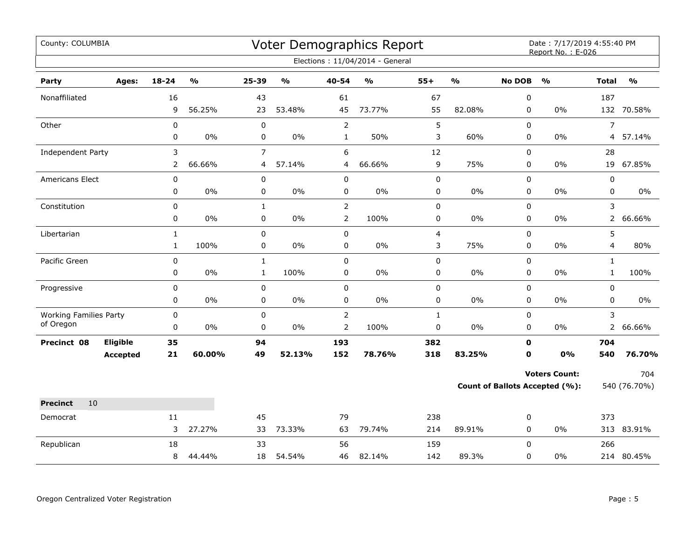| County: COLUMBIA              |                 |              |        |                |                                   |                | Voter Demographics Report<br>Elections: 11/04/2014 - General |                         |               |               | Date: 7/17/2019 4:55:40 PM<br>Report No.: E-026 |                |               |
|-------------------------------|-----------------|--------------|--------|----------------|-----------------------------------|----------------|--------------------------------------------------------------|-------------------------|---------------|---------------|-------------------------------------------------|----------------|---------------|
|                               |                 |              |        |                |                                   |                |                                                              |                         |               |               |                                                 |                |               |
| Party                         | Ages:           | $18 - 24$    | %      | 25-39          | $\mathsf{o}\mathsf{v}_\mathsf{o}$ | 40-54          | %                                                            | $55+$                   | $\frac{9}{6}$ | <b>No DOB</b> | $\frac{0}{0}$                                   | <b>Total</b>   | $\frac{0}{0}$ |
| Nonaffiliated                 |                 | 16           |        | 43             |                                   | 61             |                                                              | 67                      |               | 0             |                                                 | 187            |               |
|                               |                 | 9            | 56.25% | 23             | 53.48%                            | 45             | 73.77%                                                       | 55                      | 82.08%        | 0             | 0%                                              |                | 132 70.58%    |
| Other                         |                 | $\mathbf 0$  |        | $\pmb{0}$      |                                   | $\overline{2}$ |                                                              | 5                       |               | $\Omega$      |                                                 | $\overline{7}$ |               |
|                               |                 | 0            | 0%     | 0              | $0\%$                             | $\mathbf{1}$   | 50%                                                          | 3                       | 60%           | 0             | 0%                                              | $\overline{4}$ | 57.14%        |
| Independent Party             |                 | 3            |        | $\overline{7}$ |                                   | 6              |                                                              | 12                      |               | 0             |                                                 | 28             |               |
|                               |                 | 2            | 66.66% | 4              | 57.14%                            | 4              | 66.66%                                                       | 9                       | 75%           | 0             | 0%                                              | 19             | 67.85%        |
| Americans Elect               |                 | 0            |        | 0              |                                   | $\pmb{0}$      |                                                              | 0                       |               | $\pmb{0}$     |                                                 | $\pmb{0}$      |               |
|                               |                 | 0            | $0\%$  | 0              | 0%                                | 0              | $0\%$                                                        | 0                       | $0\%$         | $\Omega$      | 0%                                              | 0              | $0\%$         |
| Constitution                  |                 | 0            |        | $\mathbf{1}$   |                                   | $\overline{2}$ |                                                              | 0                       |               | 0             |                                                 | 3              |               |
|                               |                 | 0            | $0\%$  | 0              | $0\%$                             | $\overline{2}$ | 100%                                                         | 0                       | $0\%$         | 0             | 0%                                              | 2 <sup>1</sup> | 66.66%        |
| Libertarian                   |                 | $\mathbf 1$  |        | 0              |                                   | $\pmb{0}$      |                                                              | $\overline{\mathbf{4}}$ |               | 0             |                                                 | 5              |               |
|                               |                 | $\mathbf{1}$ | 100%   | 0              | $0\%$                             | $\pmb{0}$      | $0\%$                                                        | 3                       | 75%           | 0             | 0%                                              | 4              | 80%           |
| Pacific Green                 |                 | $\mathbf 0$  |        | $\mathbf{1}$   |                                   | $\mathbf 0$    |                                                              | 0                       |               | 0             |                                                 | $\mathbf{1}$   |               |
|                               |                 | 0            | $0\%$  | $\mathbf{1}$   | 100%                              | 0              | 0%                                                           | 0                       | 0%            | 0             | 0%                                              | $\mathbf{1}$   | 100%          |
| Progressive                   |                 | 0            |        | 0              |                                   | $\pmb{0}$      |                                                              | 0                       |               | $\pmb{0}$     |                                                 | $\pmb{0}$      |               |
|                               |                 | 0            | $0\%$  | 0              | $0\%$                             | $\pmb{0}$      | $0\%$                                                        | 0                       | 0%            | 0             | 0%                                              | $\pmb{0}$      | $0\%$         |
| <b>Working Families Party</b> |                 | 0            |        | 0              |                                   | $\overline{2}$ |                                                              | $\mathbf{1}$            |               | 0             |                                                 | 3              |               |
| of Oregon                     |                 | 0            | $0\%$  | 0              | 0%                                | $\overline{2}$ | 100%                                                         | 0                       | 0%            | 0             | 0%                                              |                | 2 66.66%      |
| Precinct 08                   | Eligible        | 35           |        | 94             |                                   | 193            |                                                              | 382                     |               | $\mathbf 0$   |                                                 | 704            |               |
|                               | <b>Accepted</b> | 21           | 60.00% | 49             | 52.13%                            | 152            | 78.76%                                                       | 318                     | 83.25%        | $\mathbf 0$   | 0%                                              | 540            | 76.70%        |
|                               |                 |              |        |                |                                   |                |                                                              |                         |               |               | <b>Voters Count:</b>                            |                | 704           |
|                               |                 |              |        |                |                                   |                |                                                              |                         |               |               | Count of Ballots Accepted (%):                  |                | 540 (76.70%)  |
| <b>Precinct</b><br>10         |                 |              |        |                |                                   |                |                                                              |                         |               |               |                                                 |                |               |
| Democrat                      |                 | 11           |        | 45             |                                   | 79             |                                                              | 238                     |               | 0             |                                                 | 373            |               |
|                               |                 | 3            | 27.27% | 33             | 73.33%                            | 63             | 79.74%                                                       | 214                     | 89.91%        | 0             | 0%                                              |                | 313 83.91%    |
| Republican                    |                 | 18           |        | 33             |                                   | 56             |                                                              | 159                     |               | $\Omega$      |                                                 | 266            |               |
|                               |                 | 8            | 44.44% | 18             | 54.54%                            | 46             | 82.14%                                                       | 142                     | 89.3%         | 0             | 0%                                              |                | 214 80.45%    |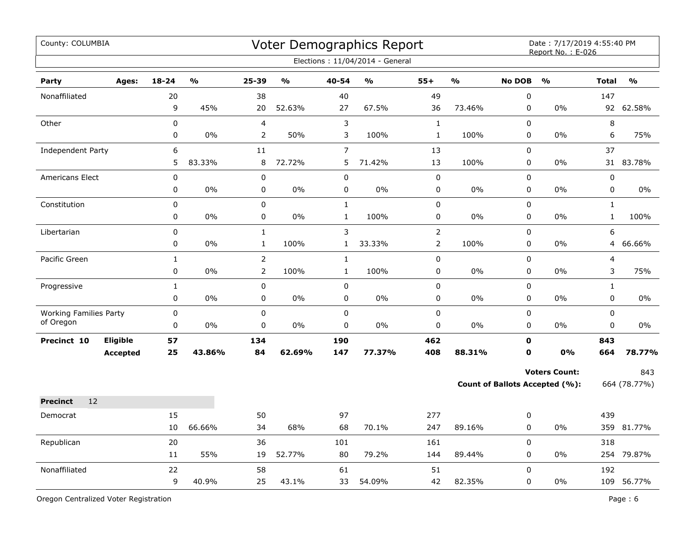| County: COLUMBIA                           |                                    |                   |               |                                  |               |                              | Voter Demographics Report<br>Elections: 11/04/2014 - General |                                  |               |                            | Date: 7/17/2019 4:55:40 PM<br>Report No.: E-026        |                              |                     |
|--------------------------------------------|------------------------------------|-------------------|---------------|----------------------------------|---------------|------------------------------|--------------------------------------------------------------|----------------------------------|---------------|----------------------------|--------------------------------------------------------|------------------------------|---------------------|
| Party                                      | Ages:                              | $18 - 24$         | $\frac{0}{0}$ | 25-39                            | $\frac{0}{0}$ | 40-54                        | $\mathbf{0}/\mathbf{0}$                                      | $55+$                            | $\frac{9}{6}$ | <b>No DOB</b>              | $\frac{9}{0}$                                          | <b>Total</b>                 | $\frac{0}{0}$       |
| Nonaffiliated                              |                                    | 20<br>9           | 45%           | 38<br>20                         | 52.63%        | 40<br>27                     | 67.5%                                                        | 49<br>36                         | 73.46%        | 0<br>0                     | 0%                                                     | 147<br>92                    | 62.58%              |
| Other                                      |                                    | 0<br>0            | 0%            | 4<br>$\overline{2}$              | 50%           | $\mathbf{3}$<br>3            | 100%                                                         | $\mathbf{1}$<br>$\mathbf 1$      | 100%          | $\Omega$<br>0              | $0\%$                                                  | 8<br>6                       | 75%                 |
| Independent Party                          |                                    | 6<br>5            | 83.33%        | 11<br>8                          | 72.72%        | $\overline{7}$<br>5          | 71.42%                                                       | 13<br>13                         | 100%          | 0<br>0                     | 0%                                                     | 37                           | 31 83.78%           |
| Americans Elect                            |                                    | 0<br>0            | 0%            | 0<br>$\mathbf 0$                 | $0\%$         | $\pmb{0}$<br>$\mathbf 0$     | 0%                                                           | 0<br>0                           | 0%            | $\Omega$<br>$\mathbf 0$    | 0%                                                     | $\pmb{0}$<br>$\pmb{0}$       | $0\%$               |
| Constitution                               |                                    | $\Omega$<br>0     | 0%            | $\pmb{0}$<br>0                   | $0\%$         | $\mathbf 1$<br>$\mathbf{1}$  | 100%                                                         | 0<br>0                           | 0%            | $\pmb{0}$<br>0             | 0%                                                     | $\mathbf{1}$<br>$\mathbf{1}$ | 100%                |
| Libertarian                                |                                    | 0<br>$\mathbf 0$  | $0\%$         | $\mathbf 1$<br>$\mathbf{1}$      | 100%          | $\mathsf{3}$<br>$\mathbf{1}$ | 33.33%                                                       | $\overline{2}$<br>$\overline{2}$ | 100%          | 0<br>0                     | 0%                                                     | 6<br>4                       | 66.66%              |
| Pacific Green                              |                                    | $\mathbf{1}$<br>0 | $0\%$         | $\overline{2}$<br>$\overline{2}$ | 100%          | $\mathbf{1}$<br>$\mathbf 1$  | 100%                                                         | 0<br>$\pmb{0}$                   | $0\%$         | 0<br>0                     | 0%                                                     | $\overline{4}$<br>3          | 75%                 |
| Progressive                                |                                    | $\mathbf 1$<br>0  | 0%            | 0<br>0                           | 0%            | $\pmb{0}$<br>$\mathbf 0$     | 0%                                                           | 0<br>0                           | 0%            | $\pmb{0}$<br>0             | 0%                                                     | $\mathbf{1}$<br>$\mathbf 0$  | $0\%$               |
| <b>Working Families Party</b><br>of Oregon |                                    | 0<br>0            | 0%            | 0<br>0                           | $0\%$         | $\pmb{0}$<br>$\mathbf 0$     | $0\%$                                                        | 0<br>0                           | $0\%$         | 0<br>$\mathbf 0$           | 0%                                                     | $\mathbf 0$<br>0             | 0%                  |
| Precinct 10                                | <b>Eligible</b><br><b>Accepted</b> | 57<br>25          | 43.86%        | 134<br>84                        | 62.69%        | 190<br>147                   | 77.37%                                                       | 462<br>408                       | 88.31%        | $\mathbf 0$<br>$\mathbf 0$ | <b>0%</b>                                              | 843<br>664                   | 78.77%              |
|                                            |                                    |                   |               |                                  |               |                              |                                                              |                                  |               |                            | <b>Voters Count:</b><br>Count of Ballots Accepted (%): |                              | 843<br>664 (78.77%) |
| 12<br><b>Precinct</b>                      |                                    |                   |               |                                  |               |                              |                                                              |                                  |               |                            |                                                        |                              |                     |
| Democrat                                   |                                    | 15<br>10          | 66.66%        | 50<br>34                         | 68%           | 97<br>68                     | 70.1%                                                        | 277<br>247                       | 89.16%        | 0<br>0                     | 0%                                                     | 439                          | 359 81.77%          |
| Republican                                 |                                    | 20<br>11          | 55%           | 36<br>19                         | 52.77%        | 101<br>80                    | 79.2%                                                        | 161<br>144                       | 89.44%        | 0<br>$\mathbf 0$           | 0%                                                     | 318                          | 254 79.87%          |
| Nonaffiliated                              |                                    | 22<br>9           | 40.9%         | 58<br>25                         | 43.1%         | 61<br>33                     | 54.09%                                                       | 51<br>42                         | 82.35%        | $\mathbf 0$<br>0           | 0%                                                     | 192                          | 109 56.77%          |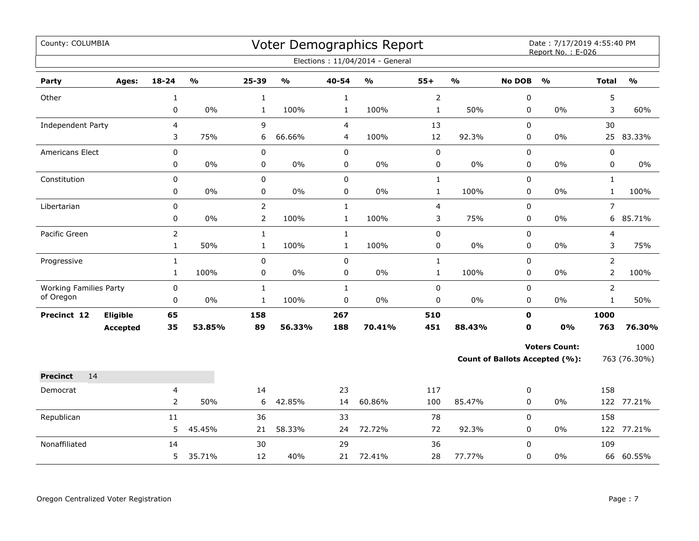| County: COLUMBIA                           |                             |                |               |                             |               |                           | Voter Demographics Report<br>Elections: 11/04/2014 - General |                         |               |                  | Date: 7/17/2019 4:55:40 PM<br>Report No.: E-026 |                                |               |
|--------------------------------------------|-----------------------------|----------------|---------------|-----------------------------|---------------|---------------------------|--------------------------------------------------------------|-------------------------|---------------|------------------|-------------------------------------------------|--------------------------------|---------------|
| Party                                      | Ages:                       | $18 - 24$      | $\frac{1}{2}$ | 25-39                       | $\frac{1}{2}$ | 40-54                     | $\frac{1}{2}$                                                | $55+$                   | $\frac{1}{2}$ | <b>No DOB</b>    | $\frac{1}{2}$                                   | <b>Total</b>                   | $\frac{1}{2}$ |
| Other                                      |                             | $\mathbf{1}$   |               | $\mathbf{1}$                |               | $\mathbf{1}$              |                                                              | $\overline{2}$          |               | 0                |                                                 | 5                              |               |
|                                            |                             | 0              | $0\%$         | $\mathbf{1}$                | 100%          | $\mathbf{1}$              | 100%                                                         | $\mathbf 1$             | 50%           | 0                | 0%                                              | 3                              | 60%           |
| <b>Independent Party</b>                   |                             | $\overline{4}$ |               | 9                           |               | $\overline{4}$            |                                                              | 13                      |               | 0                |                                                 | 30                             |               |
|                                            |                             | 3              | 75%           | 6                           | 66.66%        | $\overline{4}$            | 100%                                                         | 12                      | 92.3%         | $\mathbf 0$      | 0%                                              | 25                             | 83.33%        |
| <b>Americans Elect</b>                     |                             | 0              |               | $\pmb{0}$                   |               | $\mathsf 0$               |                                                              | $\mathsf 0$             |               | $\mathsf 0$      |                                                 | $\pmb{0}$                      |               |
|                                            |                             | $\pmb{0}$      | 0%            | $\pmb{0}$                   | $0\%$         | $\pmb{0}$                 | $0\%$                                                        | $\pmb{0}$               | 0%            | 0                | 0%                                              | $\pmb{0}$                      | 0%            |
| Constitution                               |                             | $\pmb{0}$      |               | $\pmb{0}$                   |               | $\mathsf 0$               |                                                              | $\mathbf 1$             |               | 0                |                                                 | $\mathbf{1}$                   |               |
|                                            |                             | 0              | $0\%$         | $\pmb{0}$                   | $0\%$         | 0                         | $0\%$                                                        | $\mathbf{1}$            | 100%          | 0                | 0%                                              | $\mathbf{1}$                   | 100%          |
| Libertarian                                |                             | 0              |               | $\overline{2}$              |               | $\mathbf 1$               |                                                              | $\overline{\mathbf{4}}$ |               | 0                |                                                 | $\overline{7}$                 |               |
|                                            |                             | 0              | $0\%$         | $\overline{2}$              | 100%          | $\mathbf{1}$              | 100%                                                         | 3                       | 75%           | 0                | $0\%$                                           | 6                              | 85.71%        |
| Pacific Green                              |                             | $\overline{2}$ |               | $\mathbf{1}$                |               | $\mathbf{1}$              |                                                              | $\pmb{0}$               |               | $\mathbf 0$      |                                                 | 4                              |               |
|                                            |                             | $\mathbf{1}$   | 50%           | $\mathbf{1}$                | 100%          | $\mathbf{1}$              | 100%                                                         | $\pmb{0}$               | $0\%$         | 0                | 0%                                              | 3                              | 75%           |
| Progressive                                |                             | $\mathbf{1}$   |               | $\pmb{0}$                   |               | $\mathbf 0$               |                                                              | $\mathbf 1$             |               | $\mathbf 0$      |                                                 | $\overline{2}$                 |               |
|                                            |                             | $\mathbf{1}$   | 100%          | 0                           | $0\%$         | 0                         | $0\%$                                                        | $\mathbf{1}$            | 100%          | $\mathbf 0$      | $0\%$                                           | $\overline{2}$                 | 100%          |
| <b>Working Families Party</b><br>of Oregon |                             | 0<br>$\pmb{0}$ | 0%            | $\mathbf 1$<br>$\mathbf{1}$ | 100%          | $\mathbf{1}$<br>$\pmb{0}$ | $0\%$                                                        | $\pmb{0}$<br>$\pmb{0}$  | 0%            | 0<br>$\pmb{0}$   | $0\%$                                           | $\overline{2}$<br>$\mathbf{1}$ | 50%           |
|                                            |                             |                |               |                             |               |                           |                                                              |                         |               | $\mathbf{0}$     |                                                 |                                |               |
| Precinct 12                                | Eligible<br><b>Accepted</b> | 65<br>35       | 53.85%        | 158<br>89                   | 56.33%        | 267<br>188                | 70.41%                                                       | 510<br>451              | 88.43%        | $\mathbf 0$      | 0%                                              | 1000<br>763                    | 76.30%        |
|                                            |                             |                |               |                             |               |                           |                                                              |                         |               |                  |                                                 |                                |               |
|                                            |                             |                |               |                             |               |                           |                                                              |                         |               |                  | <b>Voters Count:</b>                            |                                | 1000          |
|                                            |                             |                |               |                             |               |                           |                                                              |                         |               |                  | Count of Ballots Accepted (%):                  |                                | 763 (76.30%)  |
| 14<br><b>Precinct</b>                      |                             |                |               |                             |               |                           |                                                              |                         |               |                  |                                                 |                                |               |
| Democrat                                   |                             | 4              |               | 14                          |               | 23                        |                                                              | 117                     |               | 0                |                                                 | 158                            |               |
|                                            |                             | $\overline{2}$ | 50%           | 6                           | 42.85%        | 14                        | 60.86%                                                       | 100                     | 85.47%        | 0                | 0%                                              |                                | 122 77.21%    |
| Republican                                 |                             | 11             |               | 36                          |               | 33                        |                                                              | 78                      |               | $\pmb{0}$        |                                                 | 158                            |               |
|                                            |                             | 5              | 45.45%        | 21                          | 58.33%        | 24                        | 72.72%                                                       | 72                      | 92.3%         | $\mathbf 0$      | $0\%$                                           |                                | 122 77.21%    |
| Nonaffiliated                              |                             | 14<br>5        | 35.71%        | 30<br>12                    | 40%           | 29<br>21                  | 72.41%                                                       | 36<br>28                | 77.77%        | $\mathbf 0$<br>0 | 0%                                              | 109                            | 66 60.55%     |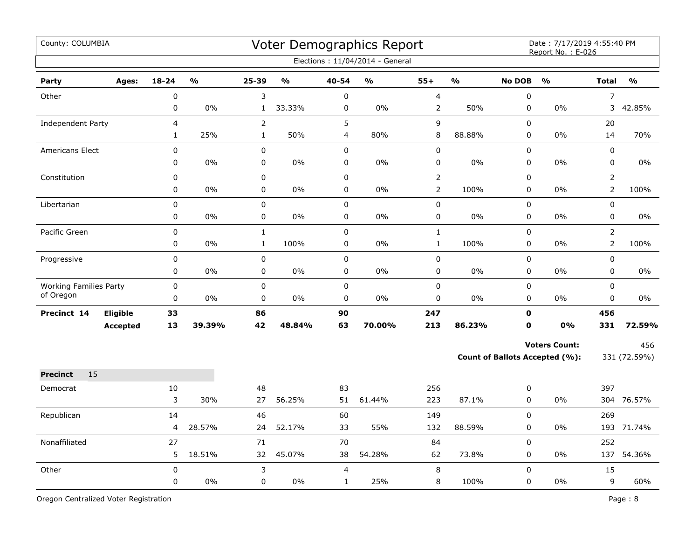| County: COLUMBIA              |                 |              |                         |                |               |                | Voter Demographics Report<br>Elections: 11/04/2014 - General |                |               |               | Date: 7/17/2019 4:55:40 PM<br>Report No.: E-026 |                |               |
|-------------------------------|-----------------|--------------|-------------------------|----------------|---------------|----------------|--------------------------------------------------------------|----------------|---------------|---------------|-------------------------------------------------|----------------|---------------|
| Party                         | Ages:           | $18 - 24$    | $\mathbf{O}/\mathbf{O}$ | 25-39          | $\frac{1}{2}$ | 40-54          | $\mathbf{0}/\mathbf{0}$                                      | $55+$          | $\frac{1}{2}$ | <b>No DOB</b> | $\frac{1}{2}$                                   | <b>Total</b>   | $\frac{1}{2}$ |
| Other                         |                 | 0            |                         | 3              |               | $\pmb{0}$      |                                                              | 4              |               | 0             |                                                 | $\overline{7}$ |               |
|                               |                 | 0            | 0%                      | $\mathbf{1}$   | 33.33%        | $\pmb{0}$      | 0%                                                           | $\overline{2}$ | 50%           | 0             | 0%                                              | 3              | 42.85%        |
| Independent Party             |                 | 4            |                         | $\overline{2}$ |               | 5              |                                                              | 9              |               | 0             |                                                 | 20             |               |
|                               |                 | $\mathbf{1}$ | 25%                     | $\mathbf{1}$   | 50%           | $\overline{4}$ | 80%                                                          | 8              | 88.88%        | 0             | 0%                                              | 14             | 70%           |
| Americans Elect               |                 | 0            |                         | 0              |               | $\pmb{0}$      |                                                              | $\pmb{0}$      |               | $\pmb{0}$     |                                                 | $\pmb{0}$      |               |
|                               |                 | 0            | 0%                      | 0              | $0\%$         | $\mathbf 0$    | 0%                                                           | 0              | 0%            | 0             | 0%                                              | $\mathbf 0$    | $0\%$         |
| Constitution                  |                 | 0            |                         | 0              |               | $\mathbf 0$    |                                                              | $\overline{2}$ |               | $\Omega$      |                                                 | $\overline{2}$ |               |
|                               |                 | 0            | $0\%$                   | 0              | $0\%$         | $\mathbf 0$    | $0\%$                                                        | $\overline{2}$ | 100%          | 0             | 0%                                              | $\overline{2}$ | 100%          |
| Libertarian                   |                 | 0            |                         | 0              |               | $\mathsf 0$    |                                                              | 0              |               | 0             |                                                 | $\mathbf 0$    |               |
|                               |                 | 0            | 0%                      | 0              | 0%            | $\pmb{0}$      | 0%                                                           | 0              | 0%            | 0             | 0%                                              | $\pmb{0}$      | 0%            |
| Pacific Green                 |                 | 0            |                         | $\mathbf{1}$   |               | $\mathsf 0$    |                                                              | $\mathbf 1$    |               | 0             |                                                 | $\overline{2}$ |               |
|                               |                 | 0            | 0%                      | $\mathbf 1$    | 100%          | $\pmb{0}$      | 0%                                                           | $\mathbf 1$    | 100%          | 0             | 0%                                              | $\overline{2}$ | 100%          |
| Progressive                   |                 | 0            |                         | $\pmb{0}$      |               | $\pmb{0}$      |                                                              | 0              |               | 0             |                                                 | 0              |               |
|                               |                 | 0            | $0\%$                   | 0              | $0\%$         | $\pmb{0}$      | 0%                                                           | 0              | 0%            | 0             | 0%                                              | $\mathbf 0$    | 0%            |
| <b>Working Families Party</b> |                 | $\mathbf 0$  |                         | $\mathbf 0$    |               | $\mathbf 0$    |                                                              | 0              |               | $\mathbf 0$   |                                                 | $\mathbf 0$    |               |
| of Oregon                     |                 | 0            | 0%                      | $\mathbf 0$    | $0\%$         | $\mathbf 0$    | 0%                                                           | 0              | 0%            | $\mathbf 0$   | 0%                                              | $\mathbf 0$    | $0\%$         |
| Precinct 14                   | Eligible        | 33           |                         | 86             |               | 90             |                                                              | 247            |               | $\mathbf 0$   |                                                 | 456            |               |
|                               | <b>Accepted</b> | 13           | 39.39%                  | 42             | 48.84%        | 63             | 70.00%                                                       | 213            | 86.23%        | $\mathbf 0$   | 0%                                              | 331            | 72.59%        |
|                               |                 |              |                         |                |               |                |                                                              |                |               |               | <b>Voters Count:</b>                            |                | 456           |
|                               |                 |              |                         |                |               |                |                                                              |                |               |               | <b>Count of Ballots Accepted (%):</b>           |                | 331 (72.59%)  |
| <b>Precinct</b><br>15         |                 |              |                         |                |               |                |                                                              |                |               |               |                                                 |                |               |
| Democrat                      |                 | 10           |                         | 48             |               | 83             |                                                              | 256            |               | 0             |                                                 | 397            |               |
|                               |                 | 3            | 30%                     | 27             | 56.25%        | 51             | 61.44%                                                       | 223            | 87.1%         | 0             | 0%                                              |                | 304 76.57%    |
| Republican                    |                 | 14           |                         | 46             |               | 60             |                                                              | 149            |               | 0             |                                                 | 269            |               |
|                               |                 | 4            | 28.57%                  | 24             | 52.17%        | 33             | 55%                                                          | 132            | 88.59%        | 0             | 0%                                              |                | 193 71.74%    |
| Nonaffiliated                 |                 | 27           |                         | 71             |               | 70             |                                                              | 84             |               | 0             |                                                 | 252            |               |
|                               |                 | 5            | 18.51%                  | 32             | 45.07%        | 38             | 54.28%                                                       | 62             | 73.8%         | 0             | 0%                                              | 137            | 54.36%        |
| Other                         |                 | 0            |                         | 3              |               | $\overline{4}$ |                                                              | 8              |               | 0             |                                                 | 15             |               |
|                               |                 | 0            | $0\%$                   | 0              | $0\%$         | $\mathbf{1}$   | 25%                                                          | 8              | 100%          | 0             | 0%                                              | 9              | 60%           |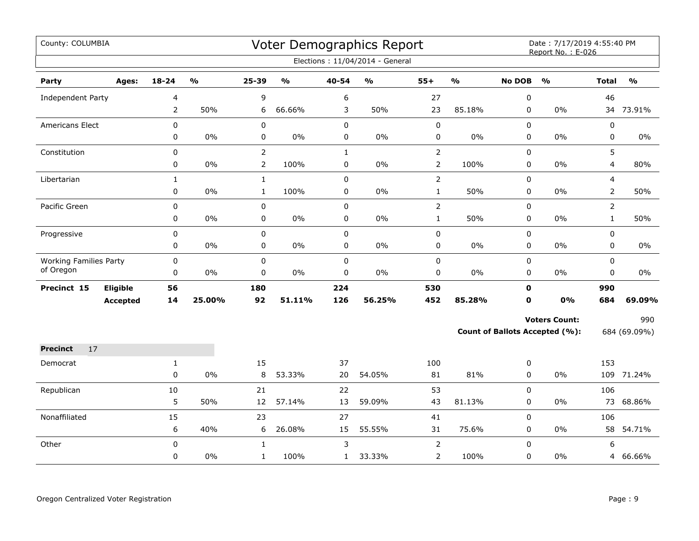| County: COLUMBIA              |          |              |               |                |                         |              | Voter Demographics Report       |                |                         |               | Date: 7/17/2019 4:55:40 PM<br>Report No.: E-026 |                |                                   |
|-------------------------------|----------|--------------|---------------|----------------|-------------------------|--------------|---------------------------------|----------------|-------------------------|---------------|-------------------------------------------------|----------------|-----------------------------------|
|                               |          |              |               |                |                         |              | Elections: 11/04/2014 - General |                |                         |               |                                                 |                |                                   |
| Party                         | Ages:    | 18-24        | $\frac{0}{0}$ | 25-39          | $\mathbf{O}/\mathbf{o}$ | 40-54        | $\mathbf{O}/\mathbf{o}$         | $55+$          | $\mathbf{O}/\mathbf{o}$ | <b>No DOB</b> | $\mathbf{O}/\mathbf{o}$                         | <b>Total</b>   | $\mathsf{o}\mathsf{v}_\mathsf{o}$ |
| Independent Party             |          | 4            |               | 9              |                         | 6            |                                 | 27             |                         | 0             |                                                 | 46             |                                   |
|                               |          | 2            | 50%           | 6              | 66.66%                  | 3            | 50%                             | 23             | 85.18%                  | 0             | $0\%$                                           |                | 34 73.91%                         |
| Americans Elect               |          | $\mathbf 0$  |               | $\mathbf 0$    |                         | $\mathbf 0$  |                                 | 0              |                         | $\mathbf 0$   |                                                 | 0              |                                   |
|                               |          | 0            | 0%            | $\pmb{0}$      | 0%                      | 0            | $0\%$                           | 0              | $0\%$                   | 0             | 0%                                              | 0              | 0%                                |
| Constitution                  |          | $\pmb{0}$    |               | $\overline{2}$ |                         | $\mathbf 1$  |                                 | $\overline{2}$ |                         | 0             |                                                 | 5              |                                   |
|                               |          | $\pmb{0}$    | $0\%$         | $\overline{2}$ | 100%                    | 0            | $0\%$                           | $\overline{2}$ | 100%                    | 0             | $0\%$                                           | 4              | 80%                               |
| Libertarian                   |          | $\mathbf{1}$ |               | $\mathbf{1}$   |                         | $\mathbf 0$  |                                 | $\overline{2}$ |                         | 0             |                                                 | 4              |                                   |
|                               |          | 0            | $0\%$         | $\mathbf{1}$   | 100%                    | 0            | $0\%$                           | $\mathbf 1$    | 50%                     | 0             | $0\%$                                           | $\overline{2}$ | 50%                               |
| Pacific Green                 |          | $\pmb{0}$    |               | $\pmb{0}$      |                         | 0            |                                 | $\overline{2}$ |                         | 0             |                                                 | $\overline{2}$ |                                   |
|                               |          | 0            | $0\%$         | 0              | $0\%$                   | 0            | $0\%$                           | $\mathbf{1}$   | 50%                     | 0             | $0\%$                                           | $\mathbf{1}$   | 50%                               |
| Progressive                   |          | 0            |               | $\mathbf 0$    |                         | $\mathbf 0$  |                                 | 0              |                         | 0             |                                                 | 0              |                                   |
|                               |          | $\pmb{0}$    | 0%            | 0              | 0%                      | 0            | $0\%$                           | 0              | 0%                      | 0             | 0%                                              | 0              | $0\%$                             |
| <b>Working Families Party</b> |          | $\pmb{0}$    |               | $\pmb{0}$      |                         | $\mathbf 0$  |                                 | $\pmb{0}$      |                         | $\mathbf 0$   |                                                 | 0              |                                   |
| of Oregon                     |          | $\mathbf 0$  | 0%            | $\mathbf 0$    | 0%                      | $\mathbf 0$  | 0%                              | 0              | $0\%$                   | $\mathbf 0$   | 0%                                              | 0              | $0\%$                             |
| Precinct 15                   | Eligible | 56           |               | 180            |                         | 224          |                                 | 530            |                         | 0             |                                                 | 990            |                                   |
|                               | Accepted | 14           | 25.00%        | 92             | 51.11%                  | 126          | 56.25%                          | 452            | 85.28%                  | 0             | 0%                                              | 684            | 69.09%                            |
|                               |          |              |               |                |                         |              |                                 |                |                         |               | <b>Voters Count:</b>                            |                | 990                               |
|                               |          |              |               |                |                         |              |                                 |                |                         |               | <b>Count of Ballots Accepted (%):</b>           |                | 684 (69.09%)                      |
| <b>Precinct</b><br>17         |          |              |               |                |                         |              |                                 |                |                         |               |                                                 |                |                                   |
| Democrat                      |          | $\mathbf{1}$ |               | 15             |                         | 37           |                                 | 100            |                         | 0             |                                                 | 153            |                                   |
|                               |          | 0            | 0%            | 8              | 53.33%                  | 20           | 54.05%                          | 81             | 81%                     | 0             | $0\%$                                           |                | 109 71.24%                        |
| Republican                    |          | $10\,$       |               | 21             |                         | 22           |                                 | 53             |                         | $\mathbf 0$   |                                                 | 106            |                                   |
|                               |          | 5            | 50%           | 12             | 57.14%                  | 13           | 59.09%                          | 43             | 81.13%                  | 0             | 0%                                              | 73             | 68.86%                            |
| Nonaffiliated                 |          | 15           |               | 23             |                         | 27           |                                 | 41             |                         | 0             |                                                 | 106            |                                   |
|                               |          | 6            | 40%           | 6              | 26.08%                  | 15           | 55.55%                          | 31             | 75.6%                   | 0             | $0\%$                                           | 58             | 54.71%                            |
| Other                         |          | 0            |               | $\mathbf{1}$   |                         | 3            |                                 | $\overline{2}$ |                         | 0             |                                                 | 6              |                                   |
|                               |          | 0            | 0%            | $\mathbf{1}$   | 100%                    | $\mathbf{1}$ | 33.33%                          | 2              | 100%                    | 0             | 0%                                              |                | 4 66.66%                          |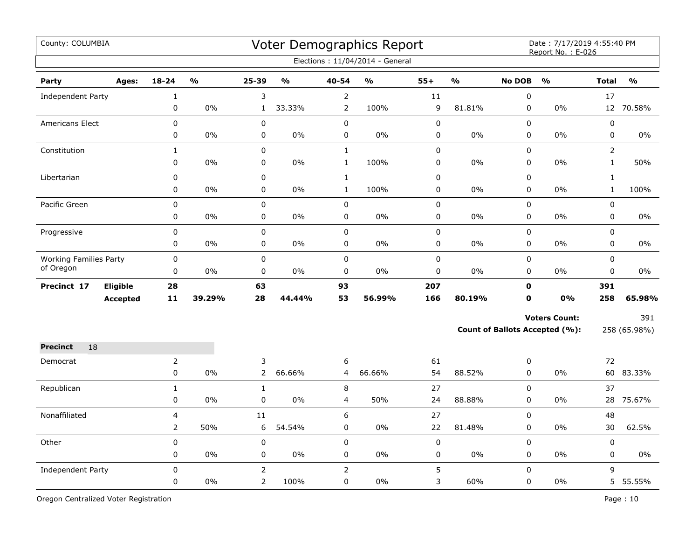| County: COLUMBIA              |                 |                |                         |                |               |                | Voter Demographics Report<br>Elections: 11/04/2014 - General |           |                         |               | Date: 7/17/2019 4:55:40 PM<br>Report No.: E-026 |                |               |
|-------------------------------|-----------------|----------------|-------------------------|----------------|---------------|----------------|--------------------------------------------------------------|-----------|-------------------------|---------------|-------------------------------------------------|----------------|---------------|
| Party                         | Ages:           | $18 - 24$      | $\mathbf{O}/\mathbf{O}$ | 25-39          | $\frac{1}{2}$ | $40 - 54$      | $\mathbf{O}/\mathbf{O}$                                      | $55+$     | $\mathbf{O}/\mathbf{O}$ | <b>No DOB</b> | $\frac{1}{2}$                                   | <b>Total</b>   | $\frac{1}{2}$ |
| <b>Independent Party</b>      |                 | $\mathbf{1}$   |                         | 3              |               | 2              |                                                              | 11        |                         | $\pmb{0}$     |                                                 | 17             |               |
|                               |                 | $\pmb{0}$      | 0%                      | $\mathbf{1}$   | 33.33%        | $\overline{2}$ | 100%                                                         | 9         | 81.81%                  | 0             | 0%                                              | 12             | 70.58%        |
| <b>Americans Elect</b>        |                 | $\pmb{0}$      |                         | $\pmb{0}$      |               | 0              |                                                              | $\pmb{0}$ |                         | 0             |                                                 | $\pmb{0}$      |               |
|                               |                 | $\pmb{0}$      | 0%                      | 0              | 0%            | 0              | 0%                                                           | $\pmb{0}$ | 0%                      | 0             | 0%                                              | 0              | 0%            |
| Constitution                  |                 | $\mathbf{1}$   |                         | 0              |               | $\mathbf{1}$   |                                                              | 0         |                         | 0             |                                                 | $\overline{2}$ |               |
|                               |                 | 0              | 0%                      | 0              | $0\%$         | $\mathbf{1}$   | 100%                                                         | 0         | $0\%$                   | 0             | $0\%$                                           | $\mathbf{1}$   | 50%           |
| Libertarian                   |                 | $\pmb{0}$      |                         | 0              |               | $\mathbf{1}$   |                                                              | $\pmb{0}$ |                         | $\mathbf 0$   |                                                 | $\mathbf{1}$   |               |
|                               |                 | $\mathbf 0$    | $0\%$                   | $\pmb{0}$      | 0%            | $\mathbf{1}$   | 100%                                                         | 0         | $0\%$                   | $\mathbf 0$   | $0\%$                                           | $\mathbf{1}$   | 100%          |
| Pacific Green                 |                 | $\mathbf 0$    |                         | $\pmb{0}$      |               | $\mathbf 0$    |                                                              | $\pmb{0}$ |                         | $\mathbf 0$   |                                                 | $\mathbf 0$    |               |
|                               |                 | $\pmb{0}$      | 0%                      | 0              | 0%            | 0              | 0%                                                           | 0         | 0%                      | 0             | 0%                                              | 0              | $0\%$         |
| Progressive                   |                 | $\pmb{0}$      |                         | 0              |               | $\mathbf 0$    |                                                              | 0         |                         | 0             |                                                 | 0              |               |
|                               |                 | 0              | 0%                      | $\pmb{0}$      | 0%            | 0              | 0%                                                           | 0         | 0%                      | 0             | 0%                                              | 0              | $0\%$         |
| <b>Working Families Party</b> |                 | $\mathsf 0$    |                         | $\pmb{0}$      |               | $\mathbf 0$    |                                                              | $\pmb{0}$ |                         | 0             |                                                 | 0              |               |
| of Oregon                     |                 | $\pmb{0}$      | 0%                      | 0              | 0%            | 0              | 0%                                                           | 0         | 0%                      | 0             | 0%                                              | 0              | 0%            |
| Precinct 17                   | Eligible        | 28             |                         | 63             |               | 93             |                                                              | 207       |                         | $\mathbf 0$   |                                                 | 391            |               |
|                               | <b>Accepted</b> | 11             | 39.29%                  | 28             | 44.44%        | 53             | 56.99%                                                       | 166       | 80.19%                  | 0             | 0%                                              | 258            | 65.98%        |
|                               |                 |                |                         |                |               |                |                                                              |           |                         |               | <b>Voters Count:</b>                            |                | 391           |
|                               |                 |                |                         |                |               |                |                                                              |           |                         |               | <b>Count of Ballots Accepted (%):</b>           |                | 258 (65.98%)  |
| 18<br><b>Precinct</b>         |                 |                |                         |                |               |                |                                                              |           |                         |               |                                                 |                |               |
| Democrat                      |                 | $\overline{2}$ |                         | 3              |               | 6              |                                                              | 61        |                         | 0             |                                                 | 72             |               |
|                               |                 | $\pmb{0}$      | 0%                      | $\overline{2}$ | 66.66%        | 4              | 66.66%                                                       | 54        | 88.52%                  | $\mathbf 0$   | $0\%$                                           |                | 60 83.33%     |
| Republican                    |                 | $\mathbf{1}$   |                         | $\mathbf{1}$   |               | 8              |                                                              | 27        |                         | $\mathbf 0$   |                                                 | 37             |               |
|                               |                 | $\pmb{0}$      | 0%                      | $\pmb{0}$      | 0%            | 4              | 50%                                                          | 24        | 88.88%                  | 0             | 0%                                              | 28             | 75.67%        |
| Nonaffiliated                 |                 | 4              |                         | 11             |               | 6              |                                                              | 27        |                         | $\mathsf 0$   |                                                 | 48             |               |
|                               |                 | $\overline{2}$ | 50%                     | 6              | 54.54%        | 0              | 0%                                                           | 22        | 81.48%                  | 0             | 0%                                              | 30             | 62.5%         |
| Other                         |                 | 0              |                         | 0              |               | $\pmb{0}$      |                                                              | $\pmb{0}$ |                         | 0             |                                                 | $\pmb{0}$      |               |
|                               |                 | 0              | 0%                      | 0              | 0%            | 0              | 0%                                                           | 0         | 0%                      | 0             | 0%                                              | 0              | 0%            |
| Independent Party             |                 | $\mathbf 0$    |                         | $\overline{2}$ |               | $\overline{2}$ |                                                              | 5         |                         | 0             |                                                 | 9              |               |
|                               |                 | $\mathbf 0$    | 0%                      | $\overline{2}$ | 100%          | 0              | 0%                                                           | 3         | 60%                     | $\mathbf 0$   | $0\%$                                           |                | 5 55.55%      |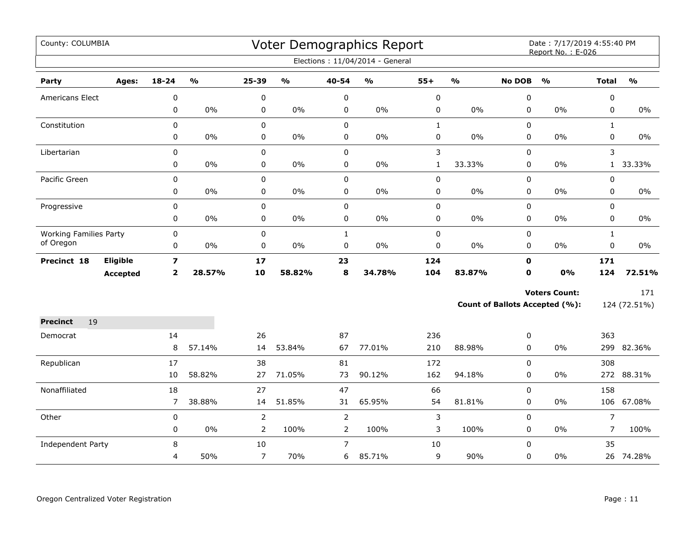| County: COLUMBIA              |                 |                         |        |                |               |                | Voter Demographics Report       |              |                         |               | Date: 7/17/2019 4:55:40 PM<br>Report No.: E-026 |                |               |
|-------------------------------|-----------------|-------------------------|--------|----------------|---------------|----------------|---------------------------------|--------------|-------------------------|---------------|-------------------------------------------------|----------------|---------------|
|                               |                 |                         |        |                |               |                | Elections: 11/04/2014 - General |              |                         |               |                                                 |                |               |
| Party                         | Ages:           | $18 - 24$               | %      | 25-39          | $\frac{1}{2}$ | 40-54          | %                               | $55+$        | $\mathbf{O}/\mathbf{O}$ | <b>No DOB</b> | $\frac{0}{0}$                                   | <b>Total</b>   | $\frac{1}{2}$ |
| <b>Americans Elect</b>        |                 | 0                       |        | 0              |               | 0              |                                 | $\mathbf 0$  |                         | 0             |                                                 | 0              |               |
|                               |                 | 0                       | $0\%$  | 0              | $0\%$         | 0              | $0\%$                           | 0            | 0%                      | $\mathbf 0$   | 0%                                              | $\mathbf 0$    | 0%            |
| Constitution                  |                 | 0                       |        | 0              |               | $\mathbf 0$    |                                 | $\mathbf{1}$ |                         | 0             |                                                 | $\mathbf{1}$   |               |
|                               |                 | 0                       | $0\%$  | 0              | $0\%$         | $\pmb{0}$      | $0\%$                           | 0            | $0\%$                   | $\pmb{0}$     | 0%                                              | 0              | $0\%$         |
| Libertarian                   |                 | 0                       |        | 0              |               | $\pmb{0}$      |                                 | 3            |                         | 0             |                                                 | 3              |               |
|                               |                 | 0                       | $0\%$  | 0              | $0\%$         | $\pmb{0}$      | $0\%$                           | $\mathbf{1}$ | 33.33%                  | 0             | 0%                                              | 1              | 33.33%        |
| Pacific Green                 |                 | $\mathbf 0$             |        | 0              |               | $\mathbf 0$    |                                 | 0            |                         | $\mathbf 0$   |                                                 | $\mathbf 0$    |               |
|                               |                 | 0                       | 0%     | 0              | $0\%$         | $\mathbf 0$    | $0\%$                           | 0            | 0%                      | 0             | 0%                                              | $\mathbf 0$    | $0\%$         |
| Progressive                   |                 | 0                       |        | 0              |               | $\pmb{0}$      |                                 | 0            |                         | 0             |                                                 | $\mathbf 0$    |               |
|                               |                 | 0                       | $0\%$  | 0              | $0\%$         | $\pmb{0}$      | $0\%$                           | 0            | $0\%$                   | 0             | 0%                                              | 0              | $0\%$         |
| <b>Working Families Party</b> |                 | 0                       |        | 0              |               | $\mathbf{1}$   |                                 | 0            |                         | 0             |                                                 | $\mathbf{1}$   |               |
| of Oregon                     |                 | 0                       | $0\%$  | 0              | $0\%$         | $\mathbf 0$    | $0\%$                           | $\pmb{0}$    | $0\%$                   | 0             | 0%                                              | $\pmb{0}$      | $0\%$         |
| Precinct 18                   | <b>Eligible</b> | $\overline{\mathbf{z}}$ |        | 17             |               | 23             |                                 | 124          |                         | $\mathbf 0$   |                                                 | 171            |               |
|                               | <b>Accepted</b> | $\overline{2}$          | 28.57% | 10             | 58.82%        | 8              | 34.78%                          | 104          | 83.87%                  | $\mathbf 0$   | 0%                                              | 124            | 72.51%        |
|                               |                 |                         |        |                |               |                |                                 |              |                         |               | <b>Voters Count:</b>                            |                | 171           |
|                               |                 |                         |        |                |               |                |                                 |              |                         |               | <b>Count of Ballots Accepted (%):</b>           |                | 124 (72.51%)  |
| <b>Precinct</b><br>19         |                 |                         |        |                |               |                |                                 |              |                         |               |                                                 |                |               |
| Democrat                      |                 | 14                      |        | 26             |               | 87             |                                 | 236          |                         | 0             |                                                 | 363            |               |
|                               |                 | 8                       | 57.14% | 14             | 53.84%        | 67             | 77.01%                          | 210          | 88.98%                  | 0             | 0%                                              |                | 299 82.36%    |
| Republican                    |                 | 17                      |        | 38             |               | 81             |                                 | 172          |                         | 0             |                                                 | 308            |               |
|                               |                 | 10                      | 58.82% | 27             | 71.05%        | 73             | 90.12%                          | 162          | 94.18%                  | 0             | 0%                                              |                | 272 88.31%    |
| Nonaffiliated                 |                 | 18                      |        | 27             |               | 47             |                                 | 66           |                         | 0             |                                                 | 158            |               |
|                               |                 | $\overline{7}$          | 38.88% | 14             | 51.85%        | 31             | 65.95%                          | 54           | 81.81%                  | 0             | 0%                                              | 106            | 67.08%        |
| Other                         |                 | 0                       |        | $\overline{2}$ |               | $\overline{2}$ |                                 | 3            |                         | $\pmb{0}$     |                                                 | $\overline{7}$ |               |
|                               |                 | 0                       | $0\%$  | $\overline{2}$ | 100%          | $\overline{2}$ | 100%                            | 3            | 100%                    | 0             | 0%                                              | 7              | 100%          |
| Independent Party             |                 | 8                       |        | 10             |               | $\overline{7}$ |                                 | 10           |                         | $\mathbf 0$   |                                                 | 35             |               |
|                               |                 | 4                       | 50%    | $\overline{7}$ | 70%           | 6              | 85.71%                          | 9            | 90%                     | 0             | 0%                                              |                | 26 74.28%     |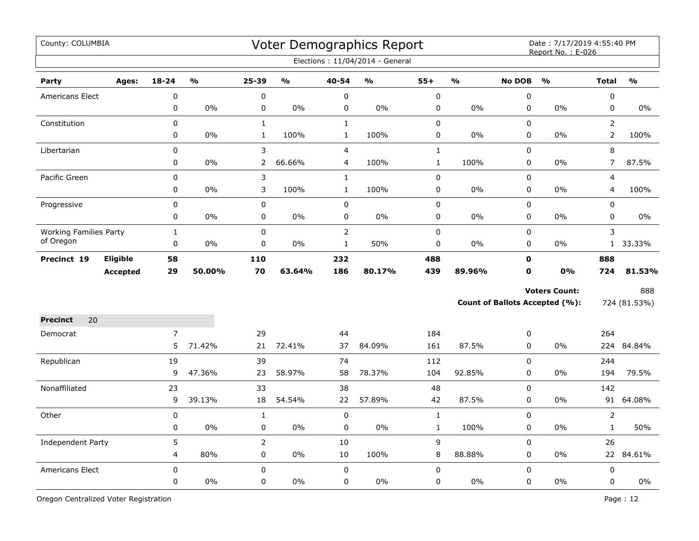| County: COLUMBIA              |                 |             |               |                |               |                | Voter Demographics Report<br>Elections: 11/04/2014 - General |              |               |               | Date: 7/17/2019 4:55:40 PM<br>Report No.: E-026 |                |                         |
|-------------------------------|-----------------|-------------|---------------|----------------|---------------|----------------|--------------------------------------------------------------|--------------|---------------|---------------|-------------------------------------------------|----------------|-------------------------|
| Party                         | Ages:           | $18 - 24$   | $\frac{0}{0}$ | $25 - 39$      | $\frac{0}{0}$ | 40-54          | $\frac{9}{6}$                                                | $55+$        | $\frac{1}{2}$ | <b>No DOB</b> | $\frac{0}{0}$                                   | <b>Total</b>   | $\mathbf{O}/\mathbf{O}$ |
| Americans Elect               |                 | $\mathbf 0$ |               | 0              |               | $\pmb{0}$      |                                                              | $\mathbf 0$  |               | 0             |                                                 | $\pmb{0}$      |                         |
|                               |                 | 0           | 0%            | 0              | 0%            | $\pmb{0}$      | 0%                                                           | 0            | 0%            | $\pmb{0}$     | 0%                                              | $\pmb{0}$      | 0%                      |
| Constitution                  |                 | 0           |               | $\mathbf{1}$   |               | $\mathbf{1}$   |                                                              | 0            |               | 0             |                                                 | $\overline{2}$ |                         |
|                               |                 | 0           | 0%            | $\mathbf{1}$   | 100%          | $\mathbf{1}$   | 100%                                                         | 0            | 0%            | $\pmb{0}$     | 0%                                              | $\overline{2}$ | 100%                    |
| Libertarian                   |                 | 0           |               | 3              |               | $\overline{4}$ |                                                              | $\mathbf{1}$ |               | 0             |                                                 | 8              |                         |
|                               |                 | 0           | $0\%$         | 2              | 66.66%        | $\overline{4}$ | 100%                                                         | $\mathbf{1}$ | 100%          | 0             | 0%                                              | $\overline{7}$ | 87.5%                   |
| Pacific Green                 |                 | 0           |               | 3              |               | $\mathbf{1}$   |                                                              | 0            |               | 0             |                                                 | $\overline{4}$ |                         |
|                               |                 | 0           | $0\%$         | 3              | 100%          | $\mathbf{1}$   | 100%                                                         | 0            | 0%            | 0             | 0%                                              | $\overline{4}$ | 100%                    |
| Progressive                   |                 | 0           |               | $\pmb{0}$      |               | $\pmb{0}$      |                                                              | 0            |               | $\pmb{0}$     |                                                 | $\pmb{0}$      |                         |
|                               |                 | 0           | 0%            | $\pmb{0}$      | $0\%$         | $\pmb{0}$      | 0%                                                           | 0            | 0%            | $\mathbf 0$   | 0%                                              | $\mathbf 0$    | $0\%$                   |
| <b>Working Families Party</b> |                 | $\mathbf 1$ |               | 0              |               | $\overline{2}$ |                                                              | 0            |               | $\pmb{0}$     |                                                 | 3              |                         |
| of Oregon                     |                 | $\mathbf 0$ | 0%            | 0              | $0\%$         | $\mathbf 1$    | 50%                                                          | 0            | 0%            | $\mathbf 0$   | 0%                                              |                | 1 33.33%                |
| Precinct 19                   | Eligible        | 58          |               | 110            |               | 232            |                                                              | 488          |               | $\mathbf 0$   |                                                 | 888            |                         |
|                               | <b>Accepted</b> | 29          | 50.00%        | 70             | 63.64%        | 186            | 80.17%                                                       | 439          | 89.96%        | $\mathbf 0$   | 0%                                              | 724            | 81.53%                  |
|                               |                 |             |               |                |               |                |                                                              |              |               |               | <b>Voters Count:</b>                            |                | 888                     |
|                               |                 |             |               |                |               |                |                                                              |              |               |               | Count of Ballots Accepted (%):                  |                | 724 (81.53%)            |
| 20<br><b>Precinct</b>         |                 |             |               |                |               |                |                                                              |              |               |               |                                                 |                |                         |
| Democrat                      |                 | 7           |               | 29             |               | 44             |                                                              | 184          |               | 0             |                                                 | 264            |                         |
|                               |                 | 5           | 71.42%        | 21             | 72.41%        | 37             | 84.09%                                                       | 161          | 87.5%         | 0             | 0%                                              |                | 224 84.84%              |
| Republican                    |                 | 19          |               | 39             |               | 74             |                                                              | 112          |               | 0             |                                                 | 244            |                         |
|                               |                 | 9           | 47.36%        | 23             | 58.97%        | 58             | 78.37%                                                       | 104          | 92.85%        | $\mathbf 0$   | 0%                                              | 194            | 79.5%                   |
| Nonaffiliated                 |                 | 23          |               | 33             |               | 38             |                                                              | 48           |               | $\mathbf 0$   |                                                 | 142            |                         |
|                               |                 | 9           | 39.13%        | 18             | 54.54%        | 22             | 57.89%                                                       | 42           | 87.5%         | $\mathbf 0$   | 0%                                              | 91             | 64.08%                  |
| Other                         |                 | $\mathbf 0$ |               | $\mathbf{1}$   |               | $\pmb{0}$      |                                                              | $\mathbf{1}$ |               | $\mathbf 0$   |                                                 | $\overline{2}$ |                         |
|                               |                 | 0           | 0%            | 0              | 0%            | $\pmb{0}$      | $0\%$                                                        | $\mathbf{1}$ | 100%          | $\mathbf 0$   | 0%                                              | $\mathbf{1}$   | 50%                     |
| Independent Party             |                 | 5           |               | $\overline{2}$ |               | 10             |                                                              | 9            |               | 0             |                                                 | 26             |                         |
|                               |                 | 4           | 80%           | 0              | 0%            | 10             | 100%                                                         | 8            | 88.88%        | 0             | 0%                                              |                | 22 84.61%               |
| <b>Americans Elect</b>        |                 | $\mathbf 0$ |               | 0              |               | $\pmb{0}$      |                                                              | 0            |               | 0             |                                                 | $\pmb{0}$      |                         |
|                               |                 | 0           | 0%            | 0              | $0\%$         | $\mathsf 0$    | 0%                                                           | 0            | 0%            | 0             | 0%                                              | $\mathsf 0$    | $0\%$                   |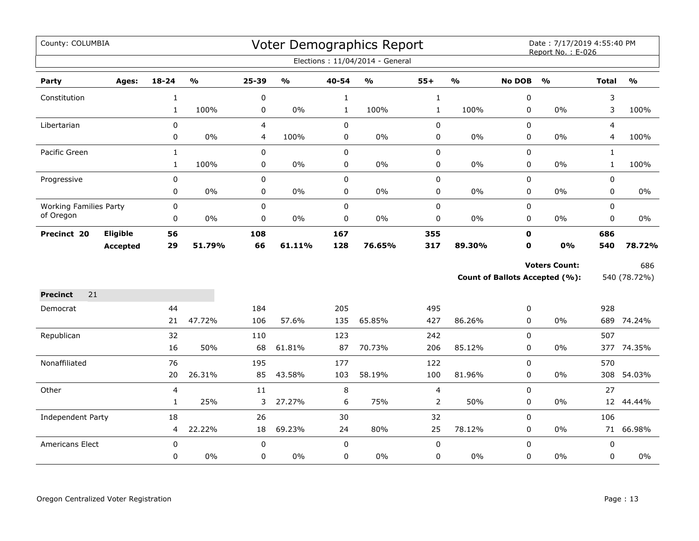| County: COLUMBIA              |                 |              |               |             |               |              | Voter Demographics Report       |                |               |               | Date: 7/17/2019 4:55:40 PM<br>Report No.: E-026 |                |               |
|-------------------------------|-----------------|--------------|---------------|-------------|---------------|--------------|---------------------------------|----------------|---------------|---------------|-------------------------------------------------|----------------|---------------|
|                               |                 |              |               |             |               |              | Elections: 11/04/2014 - General |                |               |               |                                                 |                |               |
| Party                         | Ages:           | $18 - 24$    | $\frac{0}{0}$ | 25-39       | $\frac{1}{2}$ | 40-54        | $\mathsf{o}\!/\mathsf{o}$       | $55+$          | $\frac{1}{2}$ | <b>No DOB</b> | $\frac{1}{2}$                                   | <b>Total</b>   | $\frac{1}{2}$ |
| Constitution                  |                 | $\mathbf{1}$ |               | 0           |               | $\mathbf{1}$ |                                 | $\mathbf{1}$   |               | 0             |                                                 | 3              |               |
|                               |                 | $\mathbf{1}$ | 100%          | 0           | $0\%$         | $\mathbf{1}$ | 100%                            | $\mathbf{1}$   | 100%          | 0             | 0%                                              | 3              | 100%          |
| Libertarian                   |                 | 0            |               | 4           |               | $\mathsf 0$  |                                 | $\pmb{0}$      |               | $\Omega$      |                                                 | $\overline{4}$ |               |
|                               |                 | 0            | $0\%$         | 4           | 100%          | 0            | $0\%$                           | $\pmb{0}$      | $0\%$         | 0             | $0\%$                                           | 4              | 100%          |
| Pacific Green                 |                 | $\mathbf{1}$ |               | $\mathbf 0$ |               | $\mathbf 0$  |                                 | $\pmb{0}$      |               | $\mathbf 0$   |                                                 | $\mathbf{1}$   |               |
|                               |                 | $\mathbf{1}$ | 100%          | 0           | $0\%$         | $\mathbf 0$  | $0\%$                           | $\pmb{0}$      | 0%            | 0             | $0\%$                                           | $\mathbf{1}$   | 100%          |
| Progressive                   |                 | 0            |               | 0           |               | $\mathsf 0$  |                                 | $\pmb{0}$      |               | 0             |                                                 | 0              |               |
|                               |                 | 0            | $0\%$         | 0           | $0\%$         | $\pmb{0}$    | $0\%$                           | $\mathbf 0$    | 0%            | 0             | $0\%$                                           | 0              | $0\%$         |
| <b>Working Families Party</b> |                 | 0            |               | $\pmb{0}$   |               | $\mathsf 0$  |                                 | $\pmb{0}$      |               | 0             |                                                 | $\mathbf 0$    |               |
| of Oregon                     |                 | 0            | 0%            | 0           | 0%            | 0            | 0%                              | 0              | 0%            | 0             | 0%                                              | 0              | 0%            |
| Precinct 20                   | Eligible        | 56           |               | 108         |               | 167          |                                 | 355            |               | $\mathbf 0$   |                                                 | 686            |               |
|                               | <b>Accepted</b> | 29           | 51.79%        | 66          | 61.11%        | 128          | 76.65%                          | 317            | 89.30%        | $\mathbf 0$   | 0%                                              | 540            | 78.72%        |
|                               |                 |              |               |             |               |              |                                 |                |               |               | <b>Voters Count:</b>                            |                | 686           |
|                               |                 |              |               |             |               |              |                                 |                |               |               | <b>Count of Ballots Accepted (%):</b>           |                | 540 (78.72%)  |
| <b>Precinct</b><br>21         |                 |              |               |             |               |              |                                 |                |               |               |                                                 |                |               |
| Democrat                      |                 | 44           |               | 184         |               | 205          |                                 | 495            |               | 0             |                                                 | 928            |               |
|                               |                 | 21           | 47.72%        | 106         | 57.6%         | 135          | 65.85%                          | 427            | 86.26%        | $\mathbf 0$   | 0%                                              |                | 689 74.24%    |
| Republican                    |                 | 32           |               | 110         |               | 123          |                                 | 242            |               | 0             |                                                 | 507            |               |
|                               |                 | 16           | 50%           | 68          | 61.81%        | 87           | 70.73%                          | 206            | 85.12%        | 0             | $0\%$                                           |                | 377 74.35%    |
| Nonaffiliated                 |                 | 76           |               | 195         |               | 177          |                                 | 122            |               | 0             |                                                 | 570            |               |
|                               |                 | 20           | 26.31%        | 85          | 43.58%        | 103          | 58.19%                          | 100            | 81.96%        | 0             | $0\%$                                           |                | 308 54.03%    |
| Other                         |                 | 4            |               | 11          |               | 8            |                                 | $\overline{4}$ |               | 0             |                                                 | 27             |               |
|                               |                 | $\mathbf{1}$ | 25%           | 3           | 27.27%        | 6            | 75%                             | $\overline{2}$ | 50%           | 0             | $0\%$                                           | 12             | 44.44%        |
| Independent Party             |                 | 18           |               | 26          |               | 30           |                                 | 32             |               | 0             |                                                 | 106            |               |
|                               |                 | 4            | 22.22%        | 18          | 69.23%        | 24           | 80%                             | 25             | 78.12%        | 0             | $0\%$                                           |                | 71 66.98%     |
| Americans Elect               |                 | $\pmb{0}$    |               | $\pmb{0}$   |               | $\pmb{0}$    |                                 | $\pmb{0}$      |               | 0             |                                                 | $\pmb{0}$      |               |
|                               |                 | 0            | $0\%$         | 0           | $0\%$         | $\mathbf 0$  | $0\%$                           | $\pmb{0}$      | 0%            | 0             | $0\%$                                           | 0              | 0%            |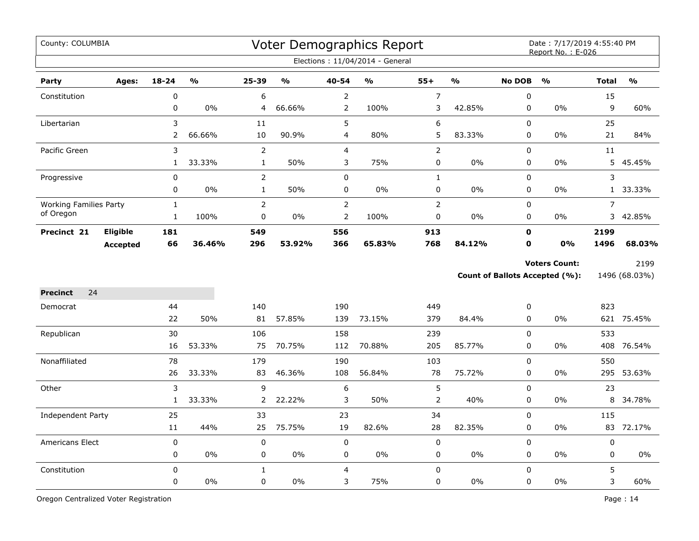| County: COLUMBIA              |                 |              |               |                  |               |                | Voter Demographics Report       |                  |               |                  | Date: 7/17/2019 4:55:40 PM<br>Report No.: E-026 |                |               |
|-------------------------------|-----------------|--------------|---------------|------------------|---------------|----------------|---------------------------------|------------------|---------------|------------------|-------------------------------------------------|----------------|---------------|
|                               |                 |              |               |                  |               |                | Elections: 11/04/2014 - General |                  |               |                  |                                                 |                |               |
| Party                         | Ages:           | $18 - 24$    | $\frac{0}{0}$ | $25 - 39$        | $\frac{0}{0}$ | 40-54          | $\frac{0}{0}$                   | $55+$            | $\frac{1}{2}$ | <b>No DOB</b>    | $\frac{0}{0}$                                   | <b>Total</b>   | $\frac{0}{0}$ |
| Constitution                  |                 | $\pmb{0}$    |               | 6                |               | $\overline{2}$ |                                 | $\boldsymbol{7}$ |               | $\boldsymbol{0}$ |                                                 | 15             |               |
|                               |                 | 0            | $0\%$         | 4                | 66.66%        | 2              | 100%                            | 3                | 42.85%        | 0                | $0\%$                                           | 9              | 60%           |
| Libertarian                   |                 | 3            |               | 11               |               | 5              |                                 | $\boldsymbol{6}$ |               | $\mathbf 0$      |                                                 | 25             |               |
|                               |                 | 2            | 66.66%        | 10               | 90.9%         | $\overline{4}$ | 80%                             | 5                | 83.33%        | $\pmb{0}$        | 0%                                              | 21             | 84%           |
| Pacific Green                 |                 | 3            |               | $\overline{2}$   |               | $\overline{4}$ |                                 | $\mathsf{2}\,$   |               | $\pmb{0}$        |                                                 | $11\,$         |               |
|                               |                 | $\mathbf{1}$ | 33.33%        | $\mathbf{1}$     | 50%           | 3              | 75%                             | 0                | 0%            | 0                | $0\%$                                           |                | 5 45.45%      |
| Progressive                   |                 | 0            |               | $\overline{2}$   |               | $\mathbf 0$    |                                 | $\mathbf{1}$     |               | $\mathbf 0$      |                                                 | 3              |               |
|                               |                 | 0            | 0%            | $\mathbf{1}$     | 50%           | $\pmb{0}$      | 0%                              | $\pmb{0}$        | 0%            | 0                | 0%                                              | 1              | 33.33%        |
| <b>Working Families Party</b> |                 | $\mathbf 1$  |               | $\overline{2}$   |               | $\mathbf 2$    |                                 | $\mathbf 2$      |               | $\pmb{0}$        |                                                 | $\overline{7}$ |               |
| of Oregon                     |                 | $\mathbf{1}$ | 100%          | $\pmb{0}$        | $0\%$         | $\overline{2}$ | 100%                            | $\pmb{0}$        | $0\%$         | 0                | $0\%$                                           | 3              | 42.85%        |
| Precinct 21                   | <b>Eligible</b> | 181          |               | 549              |               | 556            |                                 | 913              |               | $\mathbf 0$      |                                                 | 2199           |               |
|                               | <b>Accepted</b> | 66           | 36.46%        | 296              | 53.92%        | 366            | 65.83%                          | 768              | 84.12%        | $\mathbf 0$      | 0%                                              | 1496           | 68.03%        |
|                               |                 |              |               |                  |               |                |                                 |                  |               |                  | <b>Voters Count:</b>                            |                | 2199          |
|                               |                 |              |               |                  |               |                |                                 |                  |               |                  | <b>Count of Ballots Accepted (%):</b>           |                | 1496 (68.03%) |
| 24<br><b>Precinct</b>         |                 |              |               |                  |               |                |                                 |                  |               |                  |                                                 |                |               |
| Democrat                      |                 | 44           |               | 140              |               | 190            |                                 | 449              |               | $\boldsymbol{0}$ |                                                 | 823            |               |
|                               |                 | 22           | 50%           | 81               | 57.85%        | 139            | 73.15%                          | 379              | 84.4%         | $\mathbf 0$      | 0%                                              |                | 621 75.45%    |
| Republican                    |                 | 30           |               | 106              |               | 158            |                                 | 239              |               | $\mathbf 0$      |                                                 | 533            |               |
|                               |                 | 16           | 53.33%        | 75               | 70.75%        | 112            | 70.88%                          | 205              | 85.77%        | 0                | 0%                                              |                | 408 76.54%    |
| Nonaffiliated                 |                 | 78           |               | 179              |               | 190            |                                 | 103              |               | $\mathbf 0$      |                                                 | 550            |               |
|                               |                 | 26           | 33.33%        | 83               | 46.36%        | 108            | 56.84%                          | 78               | 75.72%        | $\mathbf 0$      | 0%                                              | 295            | 53.63%        |
| Other                         |                 | 3            |               | 9                |               | 6              |                                 | $\mathsf S$      |               | $\mathbf 0$      |                                                 | 23             |               |
|                               |                 | $\mathbf{1}$ | 33.33%        | 2                | 22.22%        | 3              | 50%                             | $\mathsf{2}\,$   | 40%           | $\pmb{0}$        | 0%                                              | 8              | 34.78%        |
| Independent Party             |                 | 25           |               | 33               |               | 23             |                                 | 34               |               | $\mathbf 0$      |                                                 | 115            |               |
|                               |                 | $11\,$       | 44%           | 25               | 75.75%        | 19             | 82.6%                           | 28               | 82.35%        | $\pmb{0}$        | 0%                                              | 83             | 72.17%        |
| Americans Elect               |                 | $\mathbf 0$  |               | $\boldsymbol{0}$ |               | $\mathbf 0$    |                                 | $\pmb{0}$        |               | $\mathbf 0$      |                                                 | 0              |               |
|                               |                 | 0            | $0\%$         | 0                | 0%            | 0              | 0%                              | 0                | $0\%$         | 0                | $0\%$                                           | 0              | 0%            |
| Constitution                  |                 | $\mathbf 0$  |               | $\mathbf{1}$     |               | $\overline{4}$ |                                 | $\pmb{0}$        |               | $\mathbf 0$      |                                                 | 5              |               |
|                               |                 | 0            | 0%            | $\mathbf 0$      | 0%            | 3              | 75%                             | $\pmb{0}$        | 0%            | 0                | 0%                                              | 3              | 60%           |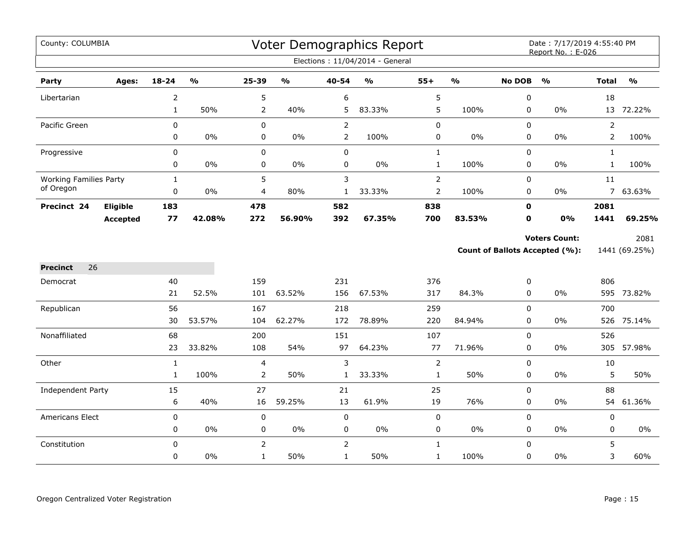| County: COLUMBIA              |                 |                |               |                |                                   |                | Voter Demographics Report       |                |                         |                                                                                                                                                                                                                                                                                                        | Date: 7/17/2019 4:55:40 PM |                |                         |
|-------------------------------|-----------------|----------------|---------------|----------------|-----------------------------------|----------------|---------------------------------|----------------|-------------------------|--------------------------------------------------------------------------------------------------------------------------------------------------------------------------------------------------------------------------------------------------------------------------------------------------------|----------------------------|----------------|-------------------------|
|                               |                 |                |               |                |                                   |                | Elections: 11/04/2014 - General |                |                         |                                                                                                                                                                                                                                                                                                        |                            |                |                         |
| Party                         | Ages:           | $18 - 24$      | $\frac{0}{0}$ | 25-39          | $\mathsf{o}\mathsf{v}_\mathsf{o}$ | 40-54          | $\frac{1}{2}$                   | $55+$          | $\mathbf{O}/\mathbf{O}$ | Report No.: E-026<br><b>No DOB</b><br>$\frac{1}{2}$<br>0<br>0%<br>0<br>0<br>0<br>0%<br>0<br>0<br>$0\%$<br>0<br>0<br>$0\%$<br>$\mathbf 0$<br>0<br><b>Voters Count:</b><br><b>Count of Ballots Accepted (%):</b><br>0<br>0<br>0%<br>0<br>0<br>$0\%$<br>0<br>0<br>$0\%$<br>0<br>$\mathbf 0$<br>$0\%$<br>0 |                            | <b>Total</b>   | $\mathbf{O}/\mathbf{o}$ |
| Libertarian                   |                 | $\overline{2}$ |               | 5              |                                   | 6              |                                 | 5              |                         |                                                                                                                                                                                                                                                                                                        |                            | 18             |                         |
|                               |                 | $\mathbf{1}$   | 50%           | 2              | 40%                               | 5              | 83.33%                          | 5              | 100%                    |                                                                                                                                                                                                                                                                                                        |                            |                | 13 72.22%               |
| Pacific Green                 |                 | 0              |               | $\pmb{0}$      |                                   | $\overline{2}$ |                                 | 0              |                         |                                                                                                                                                                                                                                                                                                        |                            | $\overline{2}$ |                         |
|                               |                 | 0              | 0%            | $\pmb{0}$      | $0\%$                             | $\overline{2}$ | 100%                            | 0              | 0%                      |                                                                                                                                                                                                                                                                                                        |                            | $\overline{2}$ | 100%                    |
| Progressive                   |                 | 0              |               | $\mathbf 0$    |                                   | 0              |                                 | $\mathbf{1}$   |                         |                                                                                                                                                                                                                                                                                                        |                            | $\mathbf{1}$   |                         |
|                               |                 | 0              | 0%            | $\pmb{0}$      | $0\%$                             | 0              | 0%                              | $\mathbf{1}$   | 100%                    |                                                                                                                                                                                                                                                                                                        |                            | $\mathbf{1}$   | 100%                    |
| <b>Working Families Party</b> |                 | $\mathbf{1}$   |               | 5              |                                   | 3              |                                 | $\overline{2}$ |                         |                                                                                                                                                                                                                                                                                                        |                            | 11             |                         |
| of Oregon                     |                 | 0              | 0%            | 4              | 80%                               | $\mathbf{1}$   | 33.33%                          | 2              | 100%                    |                                                                                                                                                                                                                                                                                                        |                            |                | 7 63.63%                |
| Precinct 24                   | Eligible        | 183            |               | 478            |                                   | 582            |                                 | 838            |                         |                                                                                                                                                                                                                                                                                                        |                            | 2081           |                         |
|                               | <b>Accepted</b> | 77             | 42.08%        | 272            | 56.90%                            | 392            | 67.35%                          | 700            | 83.53%                  |                                                                                                                                                                                                                                                                                                        | 0%                         | 1441           | 69.25%                  |
|                               |                 |                |               |                |                                   |                |                                 |                |                         |                                                                                                                                                                                                                                                                                                        |                            |                | 2081                    |
|                               |                 |                |               |                |                                   |                |                                 |                |                         |                                                                                                                                                                                                                                                                                                        |                            |                | 1441 (69.25%)           |
| <b>Precinct</b><br>26         |                 |                |               |                |                                   |                |                                 |                |                         |                                                                                                                                                                                                                                                                                                        |                            |                |                         |
| Democrat                      |                 | 40             |               | 159            |                                   | 231            |                                 | 376            |                         |                                                                                                                                                                                                                                                                                                        |                            | 806            |                         |
|                               |                 | 21             | 52.5%         | 101            | 63.52%                            | 156            | 67.53%                          | 317            | 84.3%                   |                                                                                                                                                                                                                                                                                                        |                            |                | 595 73.82%              |
| Republican                    |                 | 56             |               | 167            |                                   | 218            |                                 | 259            |                         |                                                                                                                                                                                                                                                                                                        |                            | 700            |                         |
|                               |                 | 30             | 53.57%        | 104            | 62.27%                            | 172            | 78.89%                          | 220            | 84.94%                  |                                                                                                                                                                                                                                                                                                        |                            | 526            | 75.14%                  |
| Nonaffiliated                 |                 | 68             |               | 200            |                                   | 151            |                                 | 107            |                         |                                                                                                                                                                                                                                                                                                        |                            | 526            |                         |
|                               |                 | 23             | 33.82%        | 108            | 54%                               | 97             | 64.23%                          | 77             | 71.96%                  |                                                                                                                                                                                                                                                                                                        |                            | 305            | 57.98%                  |
| Other                         |                 | $\mathbf{1}$   |               | 4              |                                   | 3              |                                 | $\overline{2}$ |                         |                                                                                                                                                                                                                                                                                                        |                            | 10             |                         |
|                               |                 | $\mathbf{1}$   | 100%          | $\overline{2}$ | 50%                               | $\mathbf{1}$   | 33.33%                          | $\mathbf{1}$   | 50%                     |                                                                                                                                                                                                                                                                                                        |                            | 5              | 50%                     |
| Independent Party             |                 | 15             |               | 27             |                                   | 21             |                                 | 25             |                         |                                                                                                                                                                                                                                                                                                        |                            | 88             |                         |
|                               |                 | 6              | 40%           | 16             | 59.25%                            | 13             | 61.9%                           | 19             | 76%                     | 0                                                                                                                                                                                                                                                                                                      | $0\%$                      | 54             | 61.36%                  |
| Americans Elect               |                 | 0              |               | $\pmb{0}$      |                                   | $\mathbf 0$    |                                 | 0              |                         | $\mathbf 0$                                                                                                                                                                                                                                                                                            |                            | $\pmb{0}$      |                         |
|                               |                 | 0              | 0%            | 0              | $0\%$                             | 0              | $0\%$                           | 0              | $0\%$                   | 0                                                                                                                                                                                                                                                                                                      | $0\%$                      | $\mathbf 0$    | $0\%$                   |
| Constitution                  |                 | $\mathbf 0$    |               | $\overline{2}$ |                                   | $\overline{2}$ |                                 | $\mathbf{1}$   |                         | 0                                                                                                                                                                                                                                                                                                      |                            | 5              |                         |
|                               |                 | 0              | 0%            | $\mathbf{1}$   | 50%                               | $\mathbf{1}$   | 50%                             | $\mathbf{1}$   | 100%                    | $\mathbf 0$                                                                                                                                                                                                                                                                                            | $0\%$                      | 3              | 60%                     |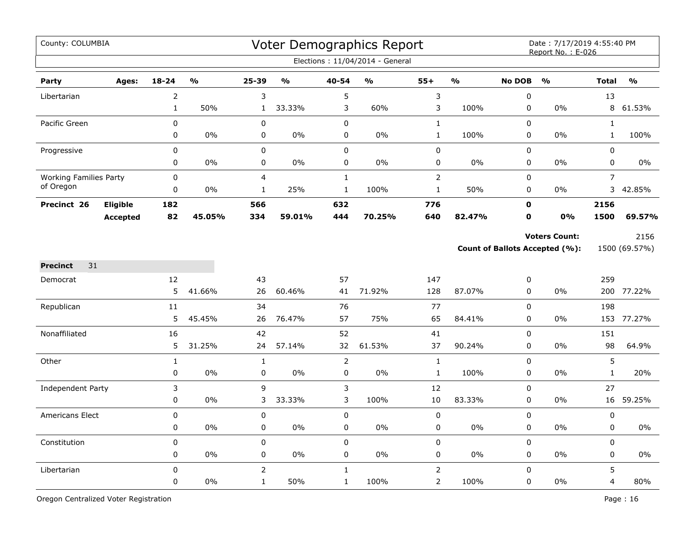| County: COLUMBIA                                                                                                                                                                                            |                 |                |                         |                |               |                     | Voter Demographics Report<br>Elections: 11/04/2014 - General |                |               |                            | Date: 7/17/2019 4:55:40 PM<br>Report No.: E-026               |                |                       |
|-------------------------------------------------------------------------------------------------------------------------------------------------------------------------------------------------------------|-----------------|----------------|-------------------------|----------------|---------------|---------------------|--------------------------------------------------------------|----------------|---------------|----------------------------|---------------------------------------------------------------|----------------|-----------------------|
| Party                                                                                                                                                                                                       | Ages:           | $18 - 24$      | $\mathbf{0}/\mathbf{0}$ | 25-39          | $\frac{0}{0}$ | 40-54               | $\mathbf{O}/\mathbf{o}$                                      | $55+$          | $\frac{9}{6}$ | <b>No DOB</b>              | $\frac{0}{0}$                                                 | <b>Total</b>   | $\frac{0}{0}$         |
|                                                                                                                                                                                                             |                 | $\overline{2}$ |                         | 3              |               | 5                   |                                                              | 3              |               | $\pmb{0}$                  |                                                               | 13             |                       |
|                                                                                                                                                                                                             |                 | $\mathbf{1}$   | 50%                     | $\mathbf{1}$   | 33.33%        | 3                   | 60%                                                          | 3              | 100%          | $\pmb{0}$                  | 0%                                                            | 8              | 61.53%                |
| Pacific Green                                                                                                                                                                                               |                 | 0              |                         | $\pmb{0}$      |               | $\pmb{0}$           |                                                              | $\mathbf 1$    |               | $\pmb{0}$                  |                                                               | $\mathbf{1}$   |                       |
|                                                                                                                                                                                                             |                 | 0              | 0%                      | 0              | $0\%$         | $\pmb{0}$           | 0%                                                           | $\mathbf{1}$   | 100%          | $\mathbf 0$                | $0\%$                                                         | $\mathbf{1}$   | 100%                  |
| Progressive                                                                                                                                                                                                 |                 | 0              |                         | 0              |               | $\mathsf 0$         |                                                              | $\pmb{0}$      |               | 0                          |                                                               | 0              |                       |
|                                                                                                                                                                                                             |                 | 0              | 0%                      | 0              | 0%            | 0                   | $0\%$                                                        | 0              | $0\%$         | $\pmb{0}$                  | 0%                                                            | 0              | 0%                    |
|                                                                                                                                                                                                             |                 | $\mathbf 0$    |                         | 4              |               | $\mathbf{1}$        |                                                              | $\mathsf{2}\,$ |               | $\pmb{0}$                  |                                                               | $\overline{7}$ |                       |
|                                                                                                                                                                                                             |                 | 0              | 0%                      | $\mathbf{1}$   | 25%           | $\mathbf{1}$        | 100%                                                         | $\mathbf{1}$   | 50%           | 0                          | 0%                                                            | 3              | 42.85%                |
| Precinct 26                                                                                                                                                                                                 | Eligible        | 182            |                         | 566            |               | 632                 |                                                              | 776            |               | $\mathbf 0$                |                                                               | 2156           |                       |
|                                                                                                                                                                                                             | <b>Accepted</b> | 82             | 45.05%                  | 334            | 59.01%        | 444                 | 70.25%                                                       | 640            | 82.47%        | 0                          | 0%                                                            | 1500           | 69.57%                |
|                                                                                                                                                                                                             |                 |                |                         |                |               |                     |                                                              |                |               |                            | <b>Voters Count:</b><br><b>Count of Ballots Accepted (%):</b> |                | 2156<br>1500 (69.57%) |
|                                                                                                                                                                                                             |                 |                |                         |                |               |                     |                                                              |                |               |                            |                                                               |                |                       |
|                                                                                                                                                                                                             |                 | 12             |                         | 43             |               | 57                  |                                                              | 147            |               | $\boldsymbol{0}$           |                                                               | 259            |                       |
|                                                                                                                                                                                                             |                 | 5              | 41.66%                  | 26             | 60.46%        | 41                  | 71.92%                                                       | 128            | 87.07%        | 0                          | 0%                                                            |                | 200 77.22%            |
|                                                                                                                                                                                                             |                 | $11\,$         |                         | 34             |               | 76                  |                                                              | 77             |               | $\mathbf 0$<br>$\mathbf 0$ | 0%                                                            | 198            |                       |
|                                                                                                                                                                                                             |                 | 5              | 45.45%                  | 26             | 76.47%        | 57                  | 75%                                                          | 65             | 84.41%        |                            |                                                               | 153            | 77.27%                |
|                                                                                                                                                                                                             |                 | 16<br>5        | 31.25%                  | 42<br>24       | 57.14%        | 52<br>32            | 61.53%                                                       | 41<br>37       | 90.24%        | $\pmb{0}$<br>0             | 0%                                                            | 151<br>98      | 64.9%                 |
|                                                                                                                                                                                                             |                 | $\mathbf{1}$   |                         | $\mathbf{1}$   |               |                     |                                                              | $\mathbf{1}$   |               | $\mathbf 0$                |                                                               | 5              |                       |
|                                                                                                                                                                                                             |                 | 0              | 0%                      | $\pmb{0}$      | 0%            | $\overline{2}$<br>0 | 0%                                                           | $\mathbf 1$    | 100%          | 0                          | 0%                                                            | $\mathbf{1}$   | 20%                   |
|                                                                                                                                                                                                             |                 | 3              |                         | 9              |               | $\mathsf 3$         |                                                              | 12             |               | $\pmb{0}$                  |                                                               | 27             |                       |
|                                                                                                                                                                                                             |                 | 0              | 0%                      | 3              | 33.33%        | 3                   | 100%                                                         | 10             | 83.33%        | 0                          | 0%                                                            | 16             | 59.25%                |
|                                                                                                                                                                                                             |                 | 0              |                         | 0              |               | $\mathbf 0$         |                                                              | 0              |               | $\mathbf 0$                |                                                               | 0              |                       |
|                                                                                                                                                                                                             |                 | 0              | 0%                      | 0              | 0%            | 0                   | 0%                                                           | 0              | $0\%$         | $\pmb{0}$                  | 0%                                                            | 0              | 0%                    |
| Constitution                                                                                                                                                                                                |                 | 0              |                         | $\pmb{0}$      |               | $\pmb{0}$           |                                                              | $\pmb{0}$      |               | $\pmb{0}$                  |                                                               | 0              |                       |
|                                                                                                                                                                                                             |                 | 0              | 0%                      | 0              | $0\%$         | 0                   | 0%                                                           | 0              | $0\%$         | 0                          | $0\%$                                                         | 0              | 0%                    |
| Libertarian<br><b>Working Families Party</b><br>of Oregon<br>31<br><b>Precinct</b><br>Democrat<br>Republican<br>Nonaffiliated<br>Other<br><b>Independent Party</b><br><b>Americans Elect</b><br>Libertarian |                 | 0              |                         | $\overline{2}$ |               | $\mathbf{1}$        |                                                              | $\overline{2}$ |               | $\mathbf 0$                |                                                               | 5              |                       |
|                                                                                                                                                                                                             |                 | 0              | 0%                      | $\mathbf{1}$   | 50%           | $\mathbf{1}$        | 100%                                                         | $\overline{2}$ | 100%          | $\mathbf 0$                | 0%                                                            | 4              | 80%                   |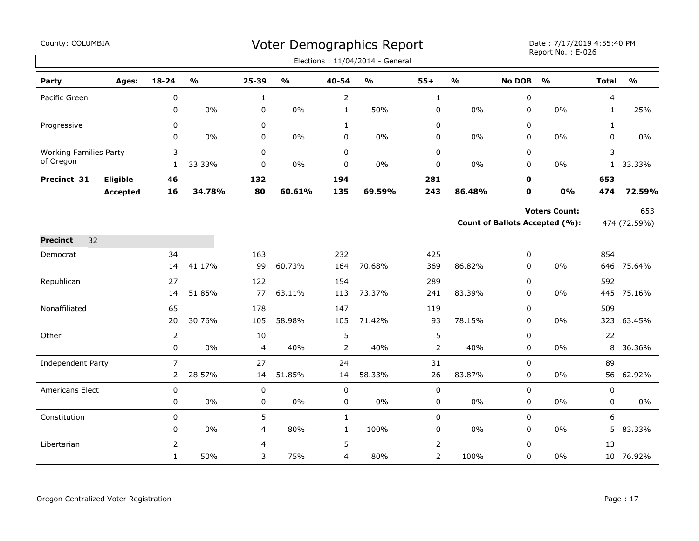| County: COLUMBIA<br>Voter Demographics Report<br>Date: 7/17/2019 4:55:40 PM<br>Report No.: E-026<br>Elections: 11/04/2014 - General<br>$18 - 24$<br>$\mathbf{0}/\mathbf{0}$<br>25-39<br>$\mathsf{o}\mathsf{v}_\mathsf{o}$<br>40-54<br>$\mathsf{o}\mathsf{v}_\mathsf{o}$<br>$55+$<br>$\frac{1}{2}$<br><b>No DOB</b><br>$\mathbf{O}/\mathbf{o}$<br><b>Total</b><br>$\frac{0}{0}$<br>Party<br>Ages:<br>Pacific Green<br>0<br>$\overline{2}$<br>0<br>4<br>$\mathbf{1}$<br>$\mathbf{1}$<br>0<br>$0\%$<br>0<br>$0\%$<br>$\mathbf{1}$<br>50%<br>$\pmb{0}$<br>0%<br>0<br>0%<br>$\mathbf{1}$<br>$\pmb{0}$<br>$\mathbf 0$<br>0<br>0<br>$\mathbf{1}$<br>$\mathbf{1}$<br>Progressive<br>0<br>0%<br>0<br>$0\%$<br>0<br>$0\%$<br>0<br>0%<br>0<br>0%<br>0<br>3<br>0<br>$\pmb{0}$<br>$\pmb{0}$<br>3<br><b>Working Families Party</b><br>0<br>of Oregon<br>33.33%<br>0<br>$0\%$<br>$\pmb{0}$<br>$0\%$<br>$\pmb{0}$<br>0%<br>0<br>0%<br>1 33.33%<br>$\mathbf{1}$<br><b>Eligible</b><br>281<br>$\mathbf{0}$<br>653<br>Precinct 31<br>46<br>132<br>194<br>243<br>16<br>34.78%<br>80<br>60.61%<br>135<br>86.48%<br>0<br>0%<br>474<br>69.59%<br><b>Accepted</b><br><b>Voters Count:</b><br>Count of Ballots Accepted (%):<br>474 (72.59%)<br><b>Precinct</b><br>32<br>854<br>34<br>163<br>232<br>425<br>0<br>Democrat<br>41.17%<br>99<br>60.73%<br>164<br>369<br>86.82%<br>0<br>646 75.64%<br>14<br>70.68%<br>$0\%$<br>27<br>122<br>154<br>289<br>0<br>592<br>Republican<br>51.85%<br>77<br>63.11%<br>73.37%<br>445 75.16%<br>14<br>113<br>241<br>83.39%<br>$\Omega$<br>0%<br>65<br>178<br>0<br>509<br>Nonaffiliated<br>147<br>119<br>30.76%<br>93<br>0<br>20<br>105<br>58.98%<br>105<br>71.42%<br>78.15%<br>0%<br>323<br>5<br>5<br>22<br>Other<br>$\overline{2}$<br>10<br>0<br>$\mathbf 0$<br>$0\%$<br>40%<br>2<br>40%<br>$\overline{2}$<br>40%<br>0<br>$0\%$<br>8<br>4<br>$\overline{7}$<br>89<br>27<br>24<br>31<br>0<br>Independent Party<br>28.57%<br>26<br>$2^{\circ}$<br>51.85%<br>58.33%<br>83.87%<br>$\mathbf 0$<br>$0\%$<br>56 62.92%<br>14<br>14<br>$\pmb{0}$<br>$\mathbf 0$<br>$\pmb{0}$<br>$\pmb{0}$<br>0<br>0<br><b>Americans Elect</b><br>$0\%$<br>$0\%$<br>$\pmb{0}$<br>$0\%$<br>$0\%$<br>0%<br>0<br>0<br>$\pmb{0}$<br>0<br>0<br>5<br>6<br>$\pmb{0}$<br>Constitution<br>0<br>$\mathbf{1}$<br>0 |  |                |       |   |     |             |      |                |      |          |    |    |           |
|-----------------------------------------------------------------------------------------------------------------------------------------------------------------------------------------------------------------------------------------------------------------------------------------------------------------------------------------------------------------------------------------------------------------------------------------------------------------------------------------------------------------------------------------------------------------------------------------------------------------------------------------------------------------------------------------------------------------------------------------------------------------------------------------------------------------------------------------------------------------------------------------------------------------------------------------------------------------------------------------------------------------------------------------------------------------------------------------------------------------------------------------------------------------------------------------------------------------------------------------------------------------------------------------------------------------------------------------------------------------------------------------------------------------------------------------------------------------------------------------------------------------------------------------------------------------------------------------------------------------------------------------------------------------------------------------------------------------------------------------------------------------------------------------------------------------------------------------------------------------------------------------------------------------------------------------------------------------------------------------------------------------------------------------------------------------------------------------------------------------------------------------------------------------------------------------------------------------------------------------------------------------------------------------|--|----------------|-------|---|-----|-------------|------|----------------|------|----------|----|----|-----------|
|                                                                                                                                                                                                                                                                                                                                                                                                                                                                                                                                                                                                                                                                                                                                                                                                                                                                                                                                                                                                                                                                                                                                                                                                                                                                                                                                                                                                                                                                                                                                                                                                                                                                                                                                                                                                                                                                                                                                                                                                                                                                                                                                                                                                                                                                                         |  |                |       |   |     |             |      |                |      |          |    |    |           |
|                                                                                                                                                                                                                                                                                                                                                                                                                                                                                                                                                                                                                                                                                                                                                                                                                                                                                                                                                                                                                                                                                                                                                                                                                                                                                                                                                                                                                                                                                                                                                                                                                                                                                                                                                                                                                                                                                                                                                                                                                                                                                                                                                                                                                                                                                         |  |                |       |   |     |             |      |                |      |          |    |    |           |
|                                                                                                                                                                                                                                                                                                                                                                                                                                                                                                                                                                                                                                                                                                                                                                                                                                                                                                                                                                                                                                                                                                                                                                                                                                                                                                                                                                                                                                                                                                                                                                                                                                                                                                                                                                                                                                                                                                                                                                                                                                                                                                                                                                                                                                                                                         |  |                |       |   |     |             |      |                |      |          |    |    | 25%       |
|                                                                                                                                                                                                                                                                                                                                                                                                                                                                                                                                                                                                                                                                                                                                                                                                                                                                                                                                                                                                                                                                                                                                                                                                                                                                                                                                                                                                                                                                                                                                                                                                                                                                                                                                                                                                                                                                                                                                                                                                                                                                                                                                                                                                                                                                                         |  |                |       |   |     |             |      |                |      |          |    |    |           |
|                                                                                                                                                                                                                                                                                                                                                                                                                                                                                                                                                                                                                                                                                                                                                                                                                                                                                                                                                                                                                                                                                                                                                                                                                                                                                                                                                                                                                                                                                                                                                                                                                                                                                                                                                                                                                                                                                                                                                                                                                                                                                                                                                                                                                                                                                         |  |                |       |   |     |             |      |                |      |          |    |    | $0\%$     |
|                                                                                                                                                                                                                                                                                                                                                                                                                                                                                                                                                                                                                                                                                                                                                                                                                                                                                                                                                                                                                                                                                                                                                                                                                                                                                                                                                                                                                                                                                                                                                                                                                                                                                                                                                                                                                                                                                                                                                                                                                                                                                                                                                                                                                                                                                         |  |                |       |   |     |             |      |                |      |          |    |    |           |
|                                                                                                                                                                                                                                                                                                                                                                                                                                                                                                                                                                                                                                                                                                                                                                                                                                                                                                                                                                                                                                                                                                                                                                                                                                                                                                                                                                                                                                                                                                                                                                                                                                                                                                                                                                                                                                                                                                                                                                                                                                                                                                                                                                                                                                                                                         |  |                |       |   |     |             |      |                |      |          |    |    |           |
|                                                                                                                                                                                                                                                                                                                                                                                                                                                                                                                                                                                                                                                                                                                                                                                                                                                                                                                                                                                                                                                                                                                                                                                                                                                                                                                                                                                                                                                                                                                                                                                                                                                                                                                                                                                                                                                                                                                                                                                                                                                                                                                                                                                                                                                                                         |  |                |       |   |     |             |      |                |      |          |    |    |           |
|                                                                                                                                                                                                                                                                                                                                                                                                                                                                                                                                                                                                                                                                                                                                                                                                                                                                                                                                                                                                                                                                                                                                                                                                                                                                                                                                                                                                                                                                                                                                                                                                                                                                                                                                                                                                                                                                                                                                                                                                                                                                                                                                                                                                                                                                                         |  |                |       |   |     |             |      |                |      |          |    |    | 72.59%    |
|                                                                                                                                                                                                                                                                                                                                                                                                                                                                                                                                                                                                                                                                                                                                                                                                                                                                                                                                                                                                                                                                                                                                                                                                                                                                                                                                                                                                                                                                                                                                                                                                                                                                                                                                                                                                                                                                                                                                                                                                                                                                                                                                                                                                                                                                                         |  |                |       |   |     |             |      |                |      |          |    |    | 653       |
|                                                                                                                                                                                                                                                                                                                                                                                                                                                                                                                                                                                                                                                                                                                                                                                                                                                                                                                                                                                                                                                                                                                                                                                                                                                                                                                                                                                                                                                                                                                                                                                                                                                                                                                                                                                                                                                                                                                                                                                                                                                                                                                                                                                                                                                                                         |  |                |       |   |     |             |      |                |      |          |    |    |           |
|                                                                                                                                                                                                                                                                                                                                                                                                                                                                                                                                                                                                                                                                                                                                                                                                                                                                                                                                                                                                                                                                                                                                                                                                                                                                                                                                                                                                                                                                                                                                                                                                                                                                                                                                                                                                                                                                                                                                                                                                                                                                                                                                                                                                                                                                                         |  |                |       |   |     |             |      |                |      |          |    |    |           |
|                                                                                                                                                                                                                                                                                                                                                                                                                                                                                                                                                                                                                                                                                                                                                                                                                                                                                                                                                                                                                                                                                                                                                                                                                                                                                                                                                                                                                                                                                                                                                                                                                                                                                                                                                                                                                                                                                                                                                                                                                                                                                                                                                                                                                                                                                         |  |                |       |   |     |             |      |                |      |          |    |    |           |
|                                                                                                                                                                                                                                                                                                                                                                                                                                                                                                                                                                                                                                                                                                                                                                                                                                                                                                                                                                                                                                                                                                                                                                                                                                                                                                                                                                                                                                                                                                                                                                                                                                                                                                                                                                                                                                                                                                                                                                                                                                                                                                                                                                                                                                                                                         |  |                |       |   |     |             |      |                |      |          |    |    |           |
|                                                                                                                                                                                                                                                                                                                                                                                                                                                                                                                                                                                                                                                                                                                                                                                                                                                                                                                                                                                                                                                                                                                                                                                                                                                                                                                                                                                                                                                                                                                                                                                                                                                                                                                                                                                                                                                                                                                                                                                                                                                                                                                                                                                                                                                                                         |  |                |       |   |     |             |      |                |      |          |    |    |           |
|                                                                                                                                                                                                                                                                                                                                                                                                                                                                                                                                                                                                                                                                                                                                                                                                                                                                                                                                                                                                                                                                                                                                                                                                                                                                                                                                                                                                                                                                                                                                                                                                                                                                                                                                                                                                                                                                                                                                                                                                                                                                                                                                                                                                                                                                                         |  |                |       |   |     |             |      |                |      |          |    |    |           |
|                                                                                                                                                                                                                                                                                                                                                                                                                                                                                                                                                                                                                                                                                                                                                                                                                                                                                                                                                                                                                                                                                                                                                                                                                                                                                                                                                                                                                                                                                                                                                                                                                                                                                                                                                                                                                                                                                                                                                                                                                                                                                                                                                                                                                                                                                         |  |                |       |   |     |             |      |                |      |          |    |    |           |
|                                                                                                                                                                                                                                                                                                                                                                                                                                                                                                                                                                                                                                                                                                                                                                                                                                                                                                                                                                                                                                                                                                                                                                                                                                                                                                                                                                                                                                                                                                                                                                                                                                                                                                                                                                                                                                                                                                                                                                                                                                                                                                                                                                                                                                                                                         |  |                |       |   |     |             |      |                |      |          |    |    | 63.45%    |
|                                                                                                                                                                                                                                                                                                                                                                                                                                                                                                                                                                                                                                                                                                                                                                                                                                                                                                                                                                                                                                                                                                                                                                                                                                                                                                                                                                                                                                                                                                                                                                                                                                                                                                                                                                                                                                                                                                                                                                                                                                                                                                                                                                                                                                                                                         |  |                |       |   |     |             |      |                |      |          |    |    |           |
|                                                                                                                                                                                                                                                                                                                                                                                                                                                                                                                                                                                                                                                                                                                                                                                                                                                                                                                                                                                                                                                                                                                                                                                                                                                                                                                                                                                                                                                                                                                                                                                                                                                                                                                                                                                                                                                                                                                                                                                                                                                                                                                                                                                                                                                                                         |  |                |       |   |     |             |      |                |      |          |    |    | 36.36%    |
|                                                                                                                                                                                                                                                                                                                                                                                                                                                                                                                                                                                                                                                                                                                                                                                                                                                                                                                                                                                                                                                                                                                                                                                                                                                                                                                                                                                                                                                                                                                                                                                                                                                                                                                                                                                                                                                                                                                                                                                                                                                                                                                                                                                                                                                                                         |  |                |       |   |     |             |      |                |      |          |    |    |           |
|                                                                                                                                                                                                                                                                                                                                                                                                                                                                                                                                                                                                                                                                                                                                                                                                                                                                                                                                                                                                                                                                                                                                                                                                                                                                                                                                                                                                                                                                                                                                                                                                                                                                                                                                                                                                                                                                                                                                                                                                                                                                                                                                                                                                                                                                                         |  |                |       |   |     |             |      |                |      |          |    |    |           |
|                                                                                                                                                                                                                                                                                                                                                                                                                                                                                                                                                                                                                                                                                                                                                                                                                                                                                                                                                                                                                                                                                                                                                                                                                                                                                                                                                                                                                                                                                                                                                                                                                                                                                                                                                                                                                                                                                                                                                                                                                                                                                                                                                                                                                                                                                         |  |                |       |   |     |             |      |                |      |          |    |    |           |
|                                                                                                                                                                                                                                                                                                                                                                                                                                                                                                                                                                                                                                                                                                                                                                                                                                                                                                                                                                                                                                                                                                                                                                                                                                                                                                                                                                                                                                                                                                                                                                                                                                                                                                                                                                                                                                                                                                                                                                                                                                                                                                                                                                                                                                                                                         |  |                |       |   |     |             |      |                |      |          |    |    | $0\%$     |
|                                                                                                                                                                                                                                                                                                                                                                                                                                                                                                                                                                                                                                                                                                                                                                                                                                                                                                                                                                                                                                                                                                                                                                                                                                                                                                                                                                                                                                                                                                                                                                                                                                                                                                                                                                                                                                                                                                                                                                                                                                                                                                                                                                                                                                                                                         |  |                |       |   |     |             |      |                |      |          |    |    |           |
|                                                                                                                                                                                                                                                                                                                                                                                                                                                                                                                                                                                                                                                                                                                                                                                                                                                                                                                                                                                                                                                                                                                                                                                                                                                                                                                                                                                                                                                                                                                                                                                                                                                                                                                                                                                                                                                                                                                                                                                                                                                                                                                                                                                                                                                                                         |  | 0              | $0\%$ | 4 | 80% | $\mathbf 1$ | 100% | $\pmb{0}$      | 0%   | 0        | 0% |    | 5 83.33%  |
| Libertarian                                                                                                                                                                                                                                                                                                                                                                                                                                                                                                                                                                                                                                                                                                                                                                                                                                                                                                                                                                                                                                                                                                                                                                                                                                                                                                                                                                                                                                                                                                                                                                                                                                                                                                                                                                                                                                                                                                                                                                                                                                                                                                                                                                                                                                                                             |  | $\overline{2}$ |       | 4 |     | 5           |      | $\overline{2}$ |      | $\Omega$ |    | 13 |           |
|                                                                                                                                                                                                                                                                                                                                                                                                                                                                                                                                                                                                                                                                                                                                                                                                                                                                                                                                                                                                                                                                                                                                                                                                                                                                                                                                                                                                                                                                                                                                                                                                                                                                                                                                                                                                                                                                                                                                                                                                                                                                                                                                                                                                                                                                                         |  | $\mathbf{1}$   | 50%   | 3 | 75% | 4           | 80%  | $\overline{2}$ | 100% | 0        | 0% |    | 10 76.92% |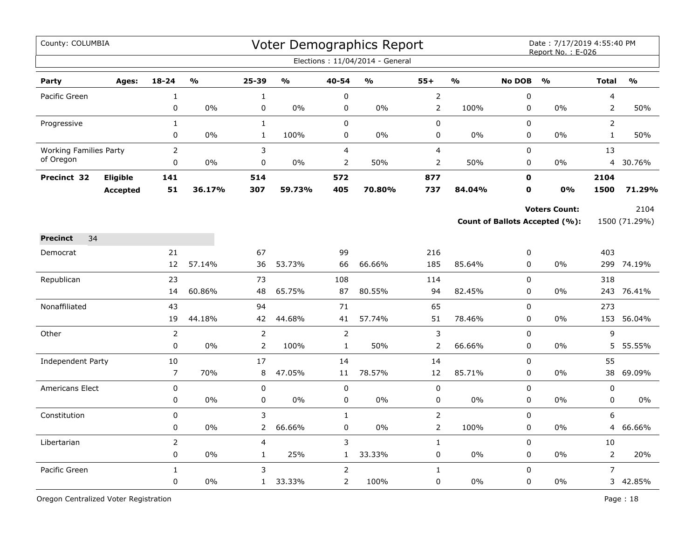| County: COLUMBIA              |                 |                |                         |                |                         |                | Voter Demographics Report<br>Elections: 11/04/2014 - General |                |               |               | Date: 7/17/2019 4:55:40 PM<br>Report No.: E-026 |                |               |
|-------------------------------|-----------------|----------------|-------------------------|----------------|-------------------------|----------------|--------------------------------------------------------------|----------------|---------------|---------------|-------------------------------------------------|----------------|---------------|
| Party                         | Ages:           | $18 - 24$      | $\mathbf{O}/\mathbf{O}$ | 25-39          | $\mathbf{O}/\mathbf{O}$ | 40-54          | $\frac{0}{0}$                                                | $55+$          | $\frac{1}{2}$ | <b>No DOB</b> | $\frac{0}{0}$                                   | <b>Total</b>   | $\frac{0}{0}$ |
| Pacific Green                 |                 | $\mathbf 1$    |                         | $\mathbf 1$    |                         | $\pmb{0}$      |                                                              | $\overline{2}$ |               | $\mathbf 0$   |                                                 | 4              |               |
|                               |                 | $\mathbf 0$    | 0%                      | 0              | 0%                      | 0              | 0%                                                           | $\overline{2}$ | 100%          | $\mathbf 0$   | 0%                                              | 2              | 50%           |
| Progressive                   |                 | $\mathbf{1}$   |                         | $\mathbf{1}$   |                         | $\mathbf 0$    |                                                              | 0              |               | $\Omega$      |                                                 | $\overline{2}$ |               |
|                               |                 | 0              | 0%                      | $\mathbf{1}$   | 100%                    | $\mathbf 0$    | 0%                                                           | 0              | $0\%$         | 0             | 0%                                              | $\mathbf{1}$   | 50%           |
| <b>Working Families Party</b> |                 | 2              |                         | 3              |                         | $\overline{4}$ |                                                              | $\overline{4}$ |               | $\mathbf 0$   |                                                 | 13             |               |
| of Oregon                     |                 | 0              | 0%                      | 0              | 0%                      | $\overline{2}$ | 50%                                                          | 2              | 50%           | 0             | $0\%$                                           | 4              | 30.76%        |
| Precinct 32                   | <b>Eligible</b> | 141            |                         | 514            |                         | 572            |                                                              | 877            |               | $\mathbf 0$   |                                                 | 2104           |               |
|                               | <b>Accepted</b> | 51             | 36.17%                  | 307            | 59.73%                  | 405            | 70.80%                                                       | 737            | 84.04%        | O             | 0%                                              | 1500           | 71.29%        |
|                               |                 |                |                         |                |                         |                |                                                              |                |               |               | <b>Voters Count:</b>                            |                | 2104          |
|                               |                 |                |                         |                |                         |                |                                                              |                |               |               | Count of Ballots Accepted (%):                  |                | 1500 (71.29%) |
| 34<br><b>Precinct</b>         |                 |                |                         |                |                         |                |                                                              |                |               |               |                                                 |                |               |
| Democrat                      |                 | 21             |                         | 67             |                         | 99             |                                                              | 216            |               | 0             |                                                 | 403            |               |
|                               |                 | 12             | 57.14%                  | 36             | 53.73%                  | 66             | 66.66%                                                       | 185            | 85.64%        | $\pmb{0}$     | 0%                                              | 299            | 74.19%        |
| Republican                    |                 | 23             |                         | 73             |                         | 108            |                                                              | 114            |               | $\pmb{0}$     |                                                 | 318            |               |
|                               |                 | 14             | 60.86%                  | 48             | 65.75%                  | 87             | 80.55%                                                       | 94             | 82.45%        | $\mathbf 0$   | 0%                                              |                | 243 76.41%    |
| Nonaffiliated                 |                 | 43             |                         | 94             |                         | 71             |                                                              | 65             |               | $\mathbf 0$   |                                                 | 273            |               |
|                               |                 | 19             | 44.18%                  | 42             | 44.68%                  | 41             | 57.74%                                                       | 51             | 78.46%        | $\pmb{0}$     | 0%                                              | 153            | 56.04%        |
| Other                         |                 | $\overline{2}$ |                         | $\overline{2}$ |                         | $\overline{2}$ |                                                              | $\mathsf 3$    |               | $\pmb{0}$     |                                                 | 9              |               |
|                               |                 | $\Omega$       | 0%                      | $\overline{2}$ | 100%                    | $\mathbf{1}$   | 50%                                                          | $\overline{2}$ | 66.66%        | $\mathbf 0$   | 0%                                              |                | 5 55.55%      |
| Independent Party             |                 | 10             |                         | 17             |                         | 14             |                                                              | 14             |               | $\Omega$      |                                                 | 55             |               |
|                               |                 | $\overline{7}$ | 70%                     | 8              | 47.05%                  | 11             | 78.57%                                                       | 12             | 85.71%        | 0             | 0%                                              | 38             | 69.09%        |
| <b>Americans Elect</b>        |                 | $\mathbf 0$    |                         | $\pmb{0}$      |                         | 0              |                                                              | 0              |               | $\mathbf 0$   |                                                 | 0              |               |
|                               |                 | 0              | 0%                      | 0              | 0%                      | 0              | 0%                                                           | $\pmb{0}$      | $0\%$         | $\pmb{0}$     | 0%                                              | 0              | $0\%$         |
| Constitution                  |                 | 0              |                         | 3              |                         | $\mathbf{1}$   |                                                              | $\mathsf{2}$   |               | $\mathbf 0$   |                                                 | 6              |               |
|                               |                 | $\mathbf 0$    | $0\%$                   | $\overline{2}$ | 66.66%                  | $\mathbf 0$    | $0\%$                                                        | $\mathsf{2}$   | 100%          | $\mathbf 0$   | $0\%$                                           | 4              | 66.66%        |
| Libertarian                   |                 | $\overline{2}$ |                         | 4              |                         | 3              |                                                              | $\mathbf{1}$   |               | $\mathbf 0$   |                                                 | 10             |               |
|                               |                 | 0              | 0%                      | $\mathbf{1}$   | 25%                     | $\mathbf{1}$   | 33.33%                                                       | 0              | $0\%$         | 0             | $0\%$                                           | $\overline{2}$ | 20%           |
| Pacific Green                 |                 | $\mathbf{1}$   |                         | 3              |                         | $\overline{2}$ |                                                              | $\mathbf{1}$   |               | $\mathbf 0$   |                                                 | $\overline{7}$ |               |
|                               |                 | $\mathbf 0$    | 0%                      | $\mathbf{1}$   | 33.33%                  | $\overline{2}$ | 100%                                                         | 0              | $0\%$         | $\pmb{0}$     | 0%                                              |                | 3 42.85%      |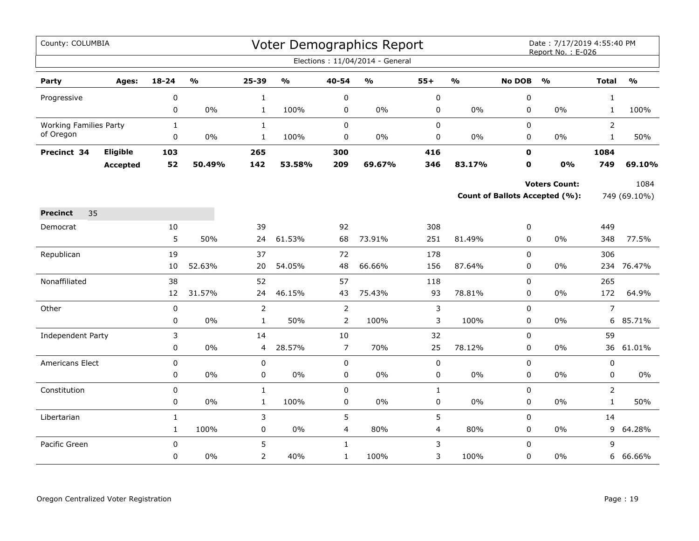| Elections: 11/04/2014 - General<br>$18 - 24$<br>$\mathbf{O}/\mathbf{o}$<br>25-39<br>$\mathsf{o}\mathsf{v}_\mathsf{o}$<br>40-54<br>$\mathsf{o}\mathsf{v}_\mathsf{o}$<br>$55+$<br>$\mathbf{O}/\mathbf{o}$<br><b>No DOB</b><br>$\frac{1}{2}$<br><b>Total</b><br>$\mathbf{O}/\mathbf{o}$<br>Party<br>Ages:<br>$\pmb{0}$<br>$\pmb{0}$<br>0<br>0<br>$\mathbf{1}$<br>$\mathbf{1}$<br>Progressive<br>$\pmb{0}$<br>$0\%$<br>100%<br>$0\%$<br>0%<br>0<br>0%<br>100%<br>$\mathbf{1}$<br>0<br>0<br>$\mathbf{1}$<br>$\mathsf 0$<br>$\pmb{0}$<br>$\overline{2}$<br><b>Working Families Party</b><br>$\mathbf{1}$<br>0<br>$\mathbf{1}$<br>of Oregon<br>0<br>0%<br>$\mathbf{1}$<br>100%<br>0<br>0%<br>0<br>0%<br>0<br>0%<br>$\mathbf{1}$<br>50%<br>416<br>1084<br>Precinct 34<br>Eligible<br>103<br>265<br>300<br>$\mathbf 0$<br>52<br>50.49%<br>142<br>209<br>69.67%<br>346<br>83.17%<br>$\mathbf 0$<br>0%<br>53.58%<br>749<br>69.10%<br><b>Accepted</b><br><b>Voters Count:</b><br>1084<br>Count of Ballots Accepted (%):<br>749 (69.10%)<br>35<br><b>Precinct</b><br>10<br>39<br>92<br>308<br>449<br>0<br>Democrat<br>5<br>50%<br>61.53%<br>73.91%<br>251<br>81.49%<br>$\overline{0}$<br>77.5%<br>24<br>68<br>0%<br>348<br>19<br>37<br>178<br>0<br>306<br>72<br>Republican<br>52.63%<br>54.05%<br>48<br>66.66%<br>156<br>87.64%<br>0<br>0%<br>76.47%<br>10<br>20<br>234<br>38<br>Nonaffiliated<br>52<br>57<br>118<br>0<br>265<br>12<br>31.57%<br>46.15%<br>75.43%<br>93<br>78.81%<br>172<br>24<br>43<br>0<br>$0\%$<br>64.9% |
|----------------------------------------------------------------------------------------------------------------------------------------------------------------------------------------------------------------------------------------------------------------------------------------------------------------------------------------------------------------------------------------------------------------------------------------------------------------------------------------------------------------------------------------------------------------------------------------------------------------------------------------------------------------------------------------------------------------------------------------------------------------------------------------------------------------------------------------------------------------------------------------------------------------------------------------------------------------------------------------------------------------------------------------------------------------------------------------------------------------------------------------------------------------------------------------------------------------------------------------------------------------------------------------------------------------------------------------------------------------------------------------------------------------------------------------------------------------------------------------------------------------|
|                                                                                                                                                                                                                                                                                                                                                                                                                                                                                                                                                                                                                                                                                                                                                                                                                                                                                                                                                                                                                                                                                                                                                                                                                                                                                                                                                                                                                                                                                                                |
|                                                                                                                                                                                                                                                                                                                                                                                                                                                                                                                                                                                                                                                                                                                                                                                                                                                                                                                                                                                                                                                                                                                                                                                                                                                                                                                                                                                                                                                                                                                |
|                                                                                                                                                                                                                                                                                                                                                                                                                                                                                                                                                                                                                                                                                                                                                                                                                                                                                                                                                                                                                                                                                                                                                                                                                                                                                                                                                                                                                                                                                                                |
|                                                                                                                                                                                                                                                                                                                                                                                                                                                                                                                                                                                                                                                                                                                                                                                                                                                                                                                                                                                                                                                                                                                                                                                                                                                                                                                                                                                                                                                                                                                |
|                                                                                                                                                                                                                                                                                                                                                                                                                                                                                                                                                                                                                                                                                                                                                                                                                                                                                                                                                                                                                                                                                                                                                                                                                                                                                                                                                                                                                                                                                                                |
|                                                                                                                                                                                                                                                                                                                                                                                                                                                                                                                                                                                                                                                                                                                                                                                                                                                                                                                                                                                                                                                                                                                                                                                                                                                                                                                                                                                                                                                                                                                |
|                                                                                                                                                                                                                                                                                                                                                                                                                                                                                                                                                                                                                                                                                                                                                                                                                                                                                                                                                                                                                                                                                                                                                                                                                                                                                                                                                                                                                                                                                                                |
|                                                                                                                                                                                                                                                                                                                                                                                                                                                                                                                                                                                                                                                                                                                                                                                                                                                                                                                                                                                                                                                                                                                                                                                                                                                                                                                                                                                                                                                                                                                |
|                                                                                                                                                                                                                                                                                                                                                                                                                                                                                                                                                                                                                                                                                                                                                                                                                                                                                                                                                                                                                                                                                                                                                                                                                                                                                                                                                                                                                                                                                                                |
|                                                                                                                                                                                                                                                                                                                                                                                                                                                                                                                                                                                                                                                                                                                                                                                                                                                                                                                                                                                                                                                                                                                                                                                                                                                                                                                                                                                                                                                                                                                |
|                                                                                                                                                                                                                                                                                                                                                                                                                                                                                                                                                                                                                                                                                                                                                                                                                                                                                                                                                                                                                                                                                                                                                                                                                                                                                                                                                                                                                                                                                                                |
|                                                                                                                                                                                                                                                                                                                                                                                                                                                                                                                                                                                                                                                                                                                                                                                                                                                                                                                                                                                                                                                                                                                                                                                                                                                                                                                                                                                                                                                                                                                |
|                                                                                                                                                                                                                                                                                                                                                                                                                                                                                                                                                                                                                                                                                                                                                                                                                                                                                                                                                                                                                                                                                                                                                                                                                                                                                                                                                                                                                                                                                                                |
|                                                                                                                                                                                                                                                                                                                                                                                                                                                                                                                                                                                                                                                                                                                                                                                                                                                                                                                                                                                                                                                                                                                                                                                                                                                                                                                                                                                                                                                                                                                |
|                                                                                                                                                                                                                                                                                                                                                                                                                                                                                                                                                                                                                                                                                                                                                                                                                                                                                                                                                                                                                                                                                                                                                                                                                                                                                                                                                                                                                                                                                                                |
|                                                                                                                                                                                                                                                                                                                                                                                                                                                                                                                                                                                                                                                                                                                                                                                                                                                                                                                                                                                                                                                                                                                                                                                                                                                                                                                                                                                                                                                                                                                |
|                                                                                                                                                                                                                                                                                                                                                                                                                                                                                                                                                                                                                                                                                                                                                                                                                                                                                                                                                                                                                                                                                                                                                                                                                                                                                                                                                                                                                                                                                                                |
| $\overline{7}$<br>$\mathbf 0$<br>$\overline{2}$<br>$\overline{2}$<br>3<br>0<br>Other                                                                                                                                                                                                                                                                                                                                                                                                                                                                                                                                                                                                                                                                                                                                                                                                                                                                                                                                                                                                                                                                                                                                                                                                                                                                                                                                                                                                                           |
| $\pmb{0}$<br>$\overline{2}$<br>3<br>0<br>$0\%$<br>$\mathbf{1}$<br>50%<br>100%<br>100%<br>0%<br>6<br>85.71%                                                                                                                                                                                                                                                                                                                                                                                                                                                                                                                                                                                                                                                                                                                                                                                                                                                                                                                                                                                                                                                                                                                                                                                                                                                                                                                                                                                                     |
| 59<br>3<br>14<br>10<br>32<br>0<br>Independent Party                                                                                                                                                                                                                                                                                                                                                                                                                                                                                                                                                                                                                                                                                                                                                                                                                                                                                                                                                                                                                                                                                                                                                                                                                                                                                                                                                                                                                                                            |
| 25<br>$\mathbf 0$<br>$0\%$<br>28.57%<br>$\overline{7}$<br>70%<br>78.12%<br>0<br>0%<br>36<br>61.01%<br>4                                                                                                                                                                                                                                                                                                                                                                                                                                                                                                                                                                                                                                                                                                                                                                                                                                                                                                                                                                                                                                                                                                                                                                                                                                                                                                                                                                                                        |
| 0<br>$\mathbf 0$<br>Americans Elect<br>0<br>0<br>0<br>0                                                                                                                                                                                                                                                                                                                                                                                                                                                                                                                                                                                                                                                                                                                                                                                                                                                                                                                                                                                                                                                                                                                                                                                                                                                                                                                                                                                                                                                        |
| $0\%$<br>$\pmb{0}$<br>$0\%$<br>0<br>$0\%$<br>0<br>$0\%$<br>$\mathsf 0$<br>0<br>$0\%$<br>0<br>$0\%$                                                                                                                                                                                                                                                                                                                                                                                                                                                                                                                                                                                                                                                                                                                                                                                                                                                                                                                                                                                                                                                                                                                                                                                                                                                                                                                                                                                                             |
| $\pmb{0}$<br>$\pmb{0}$<br>$\mathsf 0$<br>$\overline{2}$<br>$\mathbf 1$<br>Constitution<br>$\mathbf{1}$                                                                                                                                                                                                                                                                                                                                                                                                                                                                                                                                                                                                                                                                                                                                                                                                                                                                                                                                                                                                                                                                                                                                                                                                                                                                                                                                                                                                         |
| $\pmb{0}$<br>$0\%$<br>100%<br>$0\%$<br>$\pmb{0}$<br>$0\%$<br>0%<br>$\mathbf{1}$<br>0<br>0<br>$\mathbf{1}$<br>50%                                                                                                                                                                                                                                                                                                                                                                                                                                                                                                                                                                                                                                                                                                                                                                                                                                                                                                                                                                                                                                                                                                                                                                                                                                                                                                                                                                                               |
| 5<br>5<br>3<br>0<br>14<br>Libertarian<br>$\mathbf{1}$<br>$1\,$<br>100%<br>0<br>$0\%$<br>$\overline{4}$<br>80%<br>80%<br>0<br>$0\%$<br>4<br>9<br>64.28%                                                                                                                                                                                                                                                                                                                                                                                                                                                                                                                                                                                                                                                                                                                                                                                                                                                                                                                                                                                                                                                                                                                                                                                                                                                                                                                                                         |
|                                                                                                                                                                                                                                                                                                                                                                                                                                                                                                                                                                                                                                                                                                                                                                                                                                                                                                                                                                                                                                                                                                                                                                                                                                                                                                                                                                                                                                                                                                                |
| 5<br>3<br>9<br>Pacific Green<br>$\pmb{0}$<br>0<br>$\mathbf{1}$<br>$\overline{2}$<br>3<br>$\mathbf 0$<br>0%<br>40%<br>$\mathbf{1}$<br>100%<br>100%<br>0<br>0%<br>6<br>66.66%                                                                                                                                                                                                                                                                                                                                                                                                                                                                                                                                                                                                                                                                                                                                                                                                                                                                                                                                                                                                                                                                                                                                                                                                                                                                                                                                    |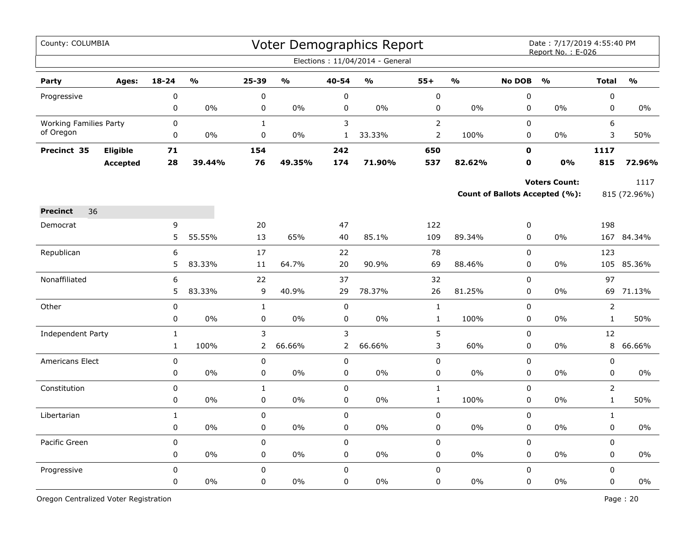| County: COLUMBIA              |                 |              |               |                |               |                | Voter Demographics Report<br>Elections: 11/04/2014 - General |                |               |               | Date: 7/17/2019 4:55:40 PM<br>Report No.: E-026 |                |              |
|-------------------------------|-----------------|--------------|---------------|----------------|---------------|----------------|--------------------------------------------------------------|----------------|---------------|---------------|-------------------------------------------------|----------------|--------------|
|                               |                 |              |               |                |               |                |                                                              |                |               |               |                                                 |                |              |
| Party                         | Ages:           | $18 - 24$    | $\frac{0}{0}$ | 25-39          | $\frac{0}{0}$ | 40-54          | %                                                            | $55+$          | $\frac{0}{0}$ | <b>No DOB</b> | O/2                                             | <b>Total</b>   | O/2          |
| Progressive                   |                 | 0            |               | $\pmb{0}$      |               | $\pmb{0}$      |                                                              | $\mathbf 0$    |               | $\pmb{0}$     |                                                 | $\pmb{0}$      |              |
|                               |                 | 0            | 0%            | 0              | 0%            | $\mathbf 0$    | 0%                                                           | 0              | 0%            | $\mathbf 0$   | $0\%$                                           | $\mathbf 0$    | $0\%$        |
| <b>Working Families Party</b> |                 | 0            |               | $\mathbf{1}$   |               | 3              |                                                              | $\overline{2}$ |               | $\Omega$      |                                                 | 6              |              |
| of Oregon                     |                 | 0            | $0\%$         | 0              | 0%            | $\mathbf{1}$   | 33.33%                                                       | $\overline{2}$ | 100%          | 0             | $0\%$                                           | 3              | 50%          |
| Precinct 35                   | Eligible        | 71           |               | 154            |               | 242            |                                                              | 650            |               | 0             |                                                 | 1117           |              |
|                               | <b>Accepted</b> | 28           | 39.44%        | 76             | 49.35%        | 174            | 71.90%                                                       | 537            | 82.62%        | $\mathbf o$   | 0%                                              | 815            | 72.96%       |
|                               |                 |              |               |                |               |                |                                                              |                |               |               | <b>Voters Count:</b>                            |                | 1117         |
|                               |                 |              |               |                |               |                |                                                              |                |               |               | <b>Count of Ballots Accepted (%):</b>           |                | 815 (72.96%) |
| 36<br><b>Precinct</b>         |                 |              |               |                |               |                |                                                              |                |               |               |                                                 |                |              |
| Democrat                      |                 | 9            |               | 20             |               | 47             |                                                              | 122            |               | 0             |                                                 | 198            |              |
|                               |                 | 5            | 55.55%        | 13             | 65%           | 40             | 85.1%                                                        | 109            | 89.34%        | $\pmb{0}$     | 0%                                              |                | 167 84.34%   |
| Republican                    |                 | 6            |               | 17             |               | 22             |                                                              | 78             |               | $\pmb{0}$     |                                                 | 123            |              |
|                               |                 | 5            | 83.33%        | 11             | 64.7%         | 20             | 90.9%                                                        | 69             | 88.46%        | 0             | $0\%$                                           | 105            | 85.36%       |
| Nonaffiliated                 |                 | 6            |               | 22             |               | 37             |                                                              | 32             |               | $\pmb{0}$     |                                                 | 97             |              |
|                               |                 | 5            | 83.33%        | 9              | 40.9%         | 29             | 78.37%                                                       | 26             | 81.25%        | 0             | $0\%$                                           | 69             | 71.13%       |
| Other                         |                 | 0            |               | $\mathbf{1}$   |               | $\mathbf 0$    |                                                              | $\mathbf{1}$   |               | 0             |                                                 | $\overline{2}$ |              |
|                               |                 | 0            | 0%            | 0              | 0%            | $\pmb{0}$      | 0%                                                           | $\mathbf 1$    | 100%          | $\pmb{0}$     | 0%                                              | $\mathbf{1}$   | 50%          |
| Independent Party             |                 | $\mathbf 1$  |               | 3              |               | 3              |                                                              | 5              |               | 0             |                                                 | 12             |              |
|                               |                 | $\mathbf{1}$ | 100%          | $\overline{2}$ | 66.66%        | $\overline{2}$ | 66.66%                                                       | 3              | 60%           | $\mathbf 0$   | $0\%$                                           | 8              | 66.66%       |
| <b>Americans Elect</b>        |                 | 0            |               | 0              |               | $\mathbf 0$    |                                                              | 0              |               | $\Omega$      |                                                 | $\mathbf 0$    |              |
|                               |                 | 0            | $0\%$         | 0              | $0\%$         | 0              | 0%                                                           | 0              | 0%            | $\mathbf 0$   | 0%                                              | 0              | 0%           |
| Constitution                  |                 | 0            |               | $\mathbf{1}$   |               | $\mathbf 0$    |                                                              | $\mathbf{1}$   |               | $\mathbf 0$   |                                                 | $\overline{2}$ |              |
|                               |                 | 0            | 0%            | 0              | 0%            | 0              | 0%                                                           | $\mathbf{1}$   | 100%          | 0             | 0%                                              | $\mathbf{1}$   | 50%          |
| Libertarian                   |                 | $\mathbf{1}$ |               | 0              |               | $\mathbf 0$    |                                                              | 0              |               | $\pmb{0}$     |                                                 | $\mathbf{1}$   |              |
|                               |                 | 0            | $0\%$         | $\pmb{0}$      | 0%            | $\mathbf 0$    | $0\%$                                                        | 0              | $0\%$         | $\mathbf 0$   | $0\%$                                           | $\mathbf 0$    | 0%           |
| Pacific Green                 |                 | 0            |               | $\mathbf 0$    |               | $\mathbf 0$    |                                                              | 0              |               | $\mathbf 0$   |                                                 | $\mathbf 0$    |              |
|                               |                 | 0            | $0\%$         | 0              | $0\%$         | 0              | 0%                                                           | 0              | $0\%$         | 0             | 0%                                              | 0              | $0\%$        |
| Progressive                   |                 | 0            |               | $\mathbf 0$    |               | $\mathbf 0$    |                                                              | 0              |               | $\mathbf 0$   |                                                 | $\mathbf 0$    |              |
|                               |                 | 0            | 0%            | 0              | 0%            | 0              | 0%                                                           | 0              | 0%            | $\pmb{0}$     | 0%                                              | $\pmb{0}$      | $0\%$        |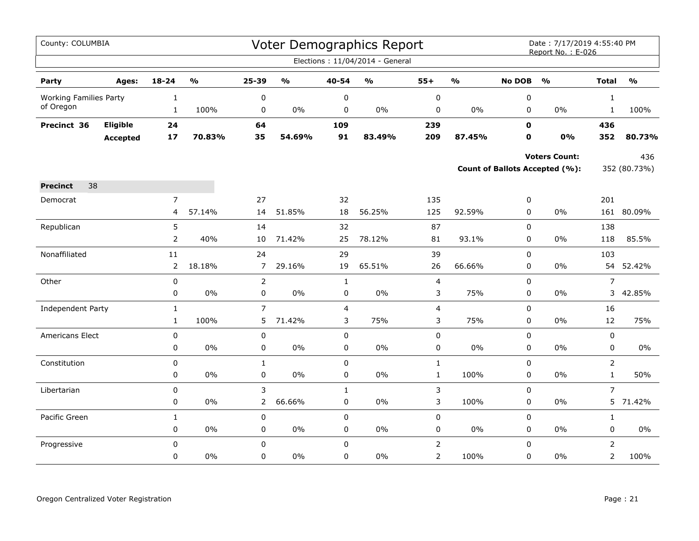| County: COLUMBIA              |                 |                |                         |                |                                   |                | <b>Voter Demographics Report</b>  |                         |               |               | Date: 7/17/2019 4:55:40 PM<br>Report No.: E-026 |                |                         |
|-------------------------------|-----------------|----------------|-------------------------|----------------|-----------------------------------|----------------|-----------------------------------|-------------------------|---------------|---------------|-------------------------------------------------|----------------|-------------------------|
|                               |                 |                |                         |                |                                   |                | Elections: 11/04/2014 - General   |                         |               |               |                                                 |                |                         |
| Party                         | Ages:           | 18-24          | $\mathbf{O}/\mathbf{o}$ | 25-39          | $\mathsf{o}\mathsf{v}_\mathsf{o}$ | 40-54          | $\mathsf{o}\mathsf{v}_\mathsf{o}$ | $55+$                   | $\frac{0}{0}$ | <b>No DOB</b> | $\frac{1}{2}$                                   | <b>Total</b>   | $\mathbf{O}/\mathbf{o}$ |
| <b>Working Families Party</b> |                 | $\mathbf{1}$   |                         | $\pmb{0}$      |                                   | 0              |                                   | 0                       |               | 0             |                                                 | $\mathbf{1}$   |                         |
| of Oregon                     |                 | $\mathbf{1}$   | 100%                    | 0              | 0%                                | 0              | 0%                                | 0                       | $0\%$         | 0             | 0%                                              | $\mathbf{1}$   | 100%                    |
| Precinct 36                   | Eligible        | 24             |                         | 64             |                                   | 109            |                                   | 239                     |               | $\mathbf 0$   |                                                 | 436            |                         |
|                               | <b>Accepted</b> | $17$           | 70.83%                  | 35             | 54.69%                            | 91             | 83.49%                            | 209                     | 87.45%        | $\mathbf 0$   | 0%                                              | 352            | 80.73%                  |
|                               |                 |                |                         |                |                                   |                |                                   |                         |               |               | <b>Voters Count:</b>                            |                | 436                     |
|                               |                 |                |                         |                |                                   |                |                                   |                         |               |               | Count of Ballots Accepted (%):                  |                | 352 (80.73%)            |
| 38<br><b>Precinct</b>         |                 |                |                         |                |                                   |                |                                   |                         |               |               |                                                 |                |                         |
| Democrat                      |                 | $\overline{7}$ |                         | 27             |                                   | 32             |                                   | 135                     |               | 0             |                                                 | 201            |                         |
|                               |                 | 4              | 57.14%                  | 14             | 51.85%                            | 18             | 56.25%                            | 125                     | 92.59%        | 0             | 0%                                              |                | 161 80.09%              |
| Republican                    |                 | 5              |                         | 14             |                                   | 32             |                                   | 87                      |               | 0             |                                                 | 138            |                         |
|                               |                 | $\overline{2}$ | 40%                     | 10             | 71.42%                            | 25             | 78.12%                            | 81                      | 93.1%         | 0             | $0\%$                                           | 118            | 85.5%                   |
| Nonaffiliated                 |                 | 11             |                         | 24             |                                   | 29             |                                   | 39                      |               | 0             |                                                 | 103            |                         |
|                               |                 | $\overline{2}$ | 18.18%                  | $\overline{7}$ | 29.16%                            | 19             | 65.51%                            | 26                      | 66.66%        | 0             | 0%                                              | 54             | 52.42%                  |
| Other                         |                 | $\pmb{0}$      |                         | $\overline{2}$ |                                   | $\mathbf 1$    |                                   | $\overline{\mathbf{4}}$ |               | 0             |                                                 | $\overline{7}$ |                         |
|                               |                 | 0              | 0%                      | $\pmb{0}$      | 0%                                | 0              | 0%                                | 3                       | 75%           | 0             | 0%                                              | 3              | 42.85%                  |
| <b>Independent Party</b>      |                 | $\mathbf{1}$   |                         | $\overline{7}$ |                                   | $\overline{4}$ |                                   | 4                       |               | $\mathsf 0$   |                                                 | 16             |                         |
|                               |                 | $\mathbf{1}$   | 100%                    | 5              | 71.42%                            | 3              | 75%                               | 3                       | 75%           | 0             | 0%                                              | 12             | 75%                     |
| Americans Elect               |                 | $\pmb{0}$      |                         | 0              |                                   | 0              |                                   | 0                       |               | 0             |                                                 | 0              |                         |
|                               |                 | $\pmb{0}$      | 0%                      | $\pmb{0}$      | $0\%$                             | 0              | 0%                                | 0                       | $0\%$         | 0             | 0%                                              | 0              | 0%                      |
| Constitution                  |                 | 0              |                         | $\mathbf{1}$   |                                   | 0              |                                   | $\mathbf 1$             |               | 0             |                                                 | $\overline{2}$ |                         |
|                               |                 | 0              | $0\%$                   | 0              | 0%                                | 0              | 0%                                | $\mathbf{1}$            | 100%          | $\mathbf 0$   | $0\%$                                           | $\mathbf{1}$   | 50%                     |
| Libertarian                   |                 | 0              |                         | 3              |                                   | $\mathbf{1}$   |                                   | 3                       |               | 0             |                                                 | $\overline{7}$ |                         |
|                               |                 | 0              | 0%                      | $\overline{2}$ | 66.66%                            | 0              | 0%                                | 3                       | 100%          | 0             | 0%                                              | 5              | 71.42%                  |
| Pacific Green                 |                 | $\mathbf{1}$   |                         | $\pmb{0}$      |                                   | $\mathbf 0$    |                                   | 0                       |               | $\mathbf 0$   |                                                 | $\mathbf{1}$   |                         |
|                               |                 | 0              | 0%                      | 0              | 0%                                | 0              | 0%                                | 0                       | $0\%$         | 0             | $0\%$                                           | 0              | 0%                      |
| Progressive                   |                 | 0              |                         | $\pmb{0}$      |                                   | $\mathbf 0$    |                                   | $\overline{2}$          |               | 0             |                                                 | $\overline{2}$ |                         |
|                               |                 | 0              | 0%                      | $\mathbf 0$    | 0%                                | 0              | 0%                                | $\overline{2}$          | 100%          | $\mathbf 0$   | $0\%$                                           | $\overline{2}$ | 100%                    |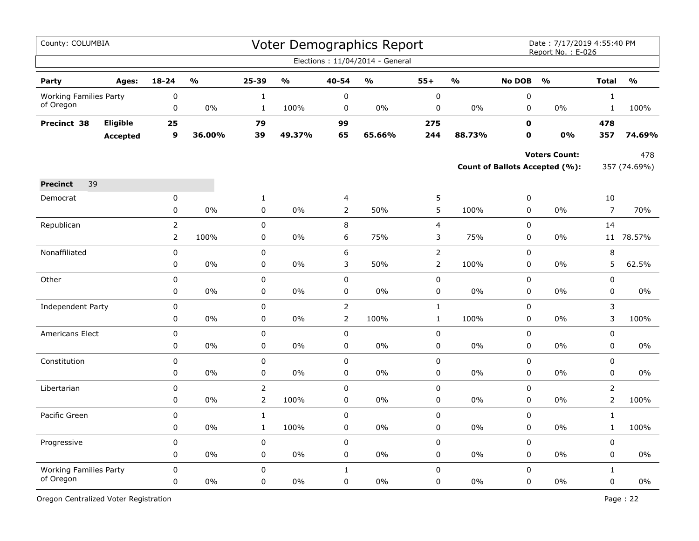| County: COLUMBIA              |                 |                                  |               |                   |               |                     | Voter Demographics Report       |                                  |                         |                            | Date: 7/17/2019 4:55:40 PM<br>Report No.: E-026 |                      |                                   |
|-------------------------------|-----------------|----------------------------------|---------------|-------------------|---------------|---------------------|---------------------------------|----------------------------------|-------------------------|----------------------------|-------------------------------------------------|----------------------|-----------------------------------|
|                               |                 |                                  |               |                   |               |                     | Elections: 11/04/2014 - General |                                  |                         |                            |                                                 |                      |                                   |
| Party                         | Ages:           | $18 - 24$                        | $\frac{1}{2}$ | 25-39             | $\frac{0}{0}$ | 40-54               | $\frac{0}{0}$                   | $55+$                            | $\mathbf{O}/\mathbf{O}$ | <b>No DOB</b>              | $\frac{0}{0}$                                   | <b>Total</b>         | $\mathsf{o}\mathsf{v}_\mathsf{o}$ |
| <b>Working Families Party</b> |                 | 0                                |               | $\mathbf 1$       |               | 0                   |                                 | $\pmb{0}$                        |                         | 0                          |                                                 | $\mathbf 1$          |                                   |
| of Oregon                     |                 | 0                                | 0%            | $\mathbf{1}$      | 100%          | 0                   | 0%                              | 0                                | 0%                      | 0                          | $0\%$                                           | $\mathbf{1}$         | 100%                              |
| Precinct 38                   | Eligible        | 25                               |               | 79                |               | 99                  |                                 | 275                              |                         | $\mathbf 0$                |                                                 | 478                  |                                   |
|                               | <b>Accepted</b> | 9                                | 36.00%        | 39                | 49.37%        | 65                  | 65.66%                          | 244                              | 88.73%                  | $\mathbf 0$                | 0%                                              | 357                  | 74.69%                            |
|                               |                 |                                  |               |                   |               |                     |                                 |                                  |                         |                            | <b>Voters Count:</b>                            |                      | 478                               |
|                               |                 |                                  |               |                   |               |                     |                                 |                                  |                         |                            | Count of Ballots Accepted (%):                  |                      | 357 (74.69%)                      |
| 39<br><b>Precinct</b>         |                 |                                  |               |                   |               |                     |                                 |                                  |                         |                            |                                                 |                      |                                   |
|                               |                 |                                  |               |                   |               |                     |                                 |                                  |                         |                            |                                                 |                      |                                   |
| Democrat                      |                 | 0<br>$\mathbf 0$                 | 0%            | $\mathbf{1}$<br>0 | $0\%$         | 4<br>$\overline{2}$ | 50%                             | 5<br>5                           | 100%                    | 0<br>0                     | $0\%$                                           | 10<br>$\overline{7}$ | 70%                               |
|                               |                 |                                  |               |                   |               |                     |                                 |                                  |                         |                            |                                                 |                      |                                   |
| Republican                    |                 | $\overline{2}$<br>$\overline{2}$ | 100%          | 0<br>$\mathbf 0$  | 0%            | 8<br>6              | 75%                             | 4<br>3                           | 75%                     | $\pmb{0}$<br>$\mathbf 0$   | 0%                                              | 14                   | 11 78.57%                         |
|                               |                 |                                  |               |                   |               |                     |                                 |                                  |                         |                            |                                                 |                      |                                   |
| Nonaffiliated                 |                 | 0<br>$\pmb{0}$                   | 0%            | 0<br>0            | 0%            | 6<br>3              | 50%                             | $\overline{2}$<br>$\overline{2}$ | 100%                    | $\mathbf 0$<br>$\mathbf 0$ | 0%                                              | 8<br>5               | 62.5%                             |
|                               |                 |                                  |               |                   |               |                     |                                 |                                  |                         |                            |                                                 |                      |                                   |
| Other                         |                 | 0                                | 0%            | $\mathbf 0$       | 0%            | $\pmb{0}$           | 0%                              | $\pmb{0}$                        | 0%                      | $\pmb{0}$<br>$\mathbf 0$   | 0%                                              | $\pmb{0}$            | $0\%$                             |
|                               |                 | 0                                |               | $\pmb{0}$         |               | 0                   |                                 | $\pmb{0}$                        |                         |                            |                                                 | 0                    |                                   |
| Independent Party             |                 | 0                                |               | 0                 |               | $\overline{2}$      |                                 | $\mathbf{1}$                     |                         | 0                          |                                                 | 3                    |                                   |
|                               |                 | 0                                | 0%            | 0                 | 0%            | $\overline{2}$      | 100%                            | $\mathbf{1}$                     | 100%                    | 0                          | $0\%$                                           | 3                    | 100%                              |
| Americans Elect               |                 | 0                                |               | 0                 |               | 0                   |                                 | 0                                |                         | 0                          |                                                 | 0                    |                                   |
|                               |                 | 0                                | 0%            | 0                 | 0%            | 0                   | 0%                              | 0                                | $0\%$                   | 0                          | 0%                                              | 0                    | $0\%$                             |
| Constitution                  |                 | 0                                |               | 0                 |               | $\pmb{0}$           |                                 | 0                                |                         | $\pmb{0}$                  |                                                 | 0                    |                                   |
|                               |                 | 0                                | $0\%$         | 0                 | 0%            | 0                   | 0%                              | 0                                | 0%                      | $\mathbf 0$                | $0\%$                                           | $\mathbf 0$          | 0%                                |
| Libertarian                   |                 | 0                                |               | $\overline{2}$    |               | $\mathsf 0$         |                                 | $\mathsf 0$                      |                         | $\mathsf 0$                |                                                 | $\overline{2}$       |                                   |
|                               |                 | $\pmb{0}$                        | 0%            | $\overline{2}$    | 100%          | 0                   | 0%                              | $\mathbf 0$                      | $0\%$                   | 0                          | $0\%$                                           | $\overline{2}$       | 100%                              |
| Pacific Green                 |                 | $\mathbf 0$                      |               | $\mathbf{1}$      |               | $\pmb{0}$           |                                 | $\mathsf 0$                      |                         | $\pmb{0}$                  |                                                 | $\mathbf 1$          |                                   |
|                               |                 | 0                                | 0%            | $\mathbf 1$       | 100%          | 0                   | 0%                              | $\mathbf 0$                      | 0%                      | $\mathbf 0$                | 0%                                              | $\mathbf 1$          | 100%                              |
| Progressive                   |                 | $\mathbf 0$                      |               | 0                 |               | $\pmb{0}$           |                                 | $\mathsf 0$                      |                         | $\mathbf 0$                |                                                 | $\mathbf 0$          |                                   |
|                               |                 | 0                                | 0%            | 0                 | 0%            | 0                   | 0%                              | 0                                | 0%                      | 0                          | $0\%$                                           | 0                    | $0\%$                             |
| <b>Working Families Party</b> |                 | $\mathbf 0$                      |               | 0                 |               | $\mathbf{1}$        |                                 | $\pmb{0}$                        |                         | $\mathbf 0$                |                                                 | $\mathbf{1}$         |                                   |
| of Oregon                     |                 | 0                                | 0%            | $\Omega$          | 0%            | 0                   | 0%                              | 0                                | 0%                      | 0                          | 0%                                              | 0                    | 0%                                |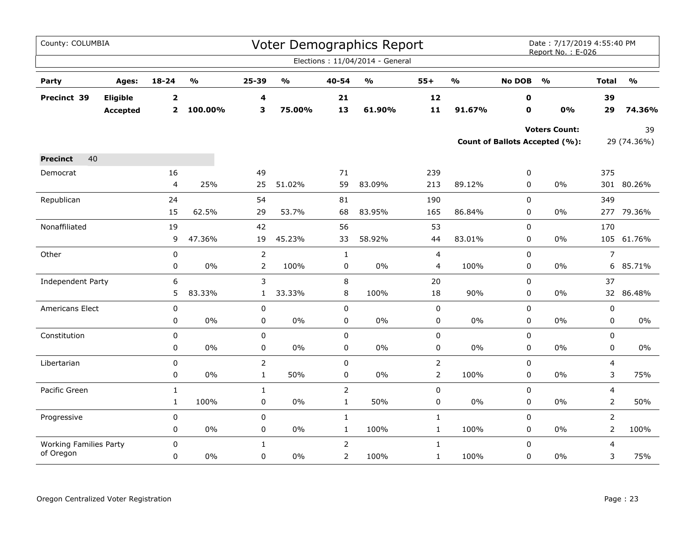| County: COLUMBIA                           |                 |                |                         |                |                                   |                | Voter Demographics Report         |                |                         |               | Date: 7/17/2019 4:55:40 PM<br>Report No.: E-026 |                |                                   |
|--------------------------------------------|-----------------|----------------|-------------------------|----------------|-----------------------------------|----------------|-----------------------------------|----------------|-------------------------|---------------|-------------------------------------------------|----------------|-----------------------------------|
|                                            |                 |                |                         |                |                                   |                | Elections: 11/04/2014 - General   |                |                         |               |                                                 |                |                                   |
| Party                                      | Ages:           | $18 - 24$      | $\mathbf{0}/\mathbf{0}$ | 25-39          | $\mathsf{o}\mathsf{v}_\mathsf{o}$ | 40-54          | $\mathsf{o}\mathsf{v}_\mathsf{o}$ | $55+$          | $\mathbf{0}/\mathbf{0}$ | <b>No DOB</b> | $\frac{1}{2}$                                   | <b>Total</b>   | $\mathsf{o}\mathsf{v}_\mathsf{o}$ |
| Precinct 39                                | Eligible        | $\mathbf{2}$   |                         | 4              |                                   | 21             |                                   | 12             |                         | 0             |                                                 | 39             |                                   |
|                                            | <b>Accepted</b> | $\overline{2}$ | 100.00%                 | 3              | 75.00%                            | 13             | 61.90%                            | 11             | 91.67%                  | $\mathbf o$   | 0%                                              | 29             | 74.36%                            |
|                                            |                 |                |                         |                |                                   |                |                                   |                |                         |               | <b>Voters Count:</b>                            |                | 39                                |
|                                            |                 |                |                         |                |                                   |                |                                   |                |                         |               | Count of Ballots Accepted (%):                  |                | 29 (74.36%)                       |
| 40<br><b>Precinct</b>                      |                 |                |                         |                |                                   |                |                                   |                |                         |               |                                                 |                |                                   |
| Democrat                                   |                 | 16             |                         | 49             |                                   | 71             |                                   | 239            |                         | 0             |                                                 | 375            |                                   |
|                                            |                 | 4              | 25%                     | 25             | 51.02%                            | 59             | 83.09%                            | 213            | 89.12%                  | 0             | $0\%$                                           |                | 301 80.26%                        |
| Republican                                 |                 | 24             |                         | 54             |                                   | 81             |                                   | 190            |                         | 0             |                                                 | 349            |                                   |
|                                            |                 | 15             | 62.5%                   | 29             | 53.7%                             | 68             | 83.95%                            | 165            | 86.84%                  | 0             | 0%                                              |                | 277 79.36%                        |
| Nonaffiliated                              |                 | 19             |                         | 42             |                                   | 56             |                                   | 53             |                         | $\mathbf 0$   |                                                 | 170            |                                   |
|                                            |                 | 9              | 47.36%                  | 19             | 45.23%                            | 33             | 58.92%                            | 44             | 83.01%                  | 0             | 0%                                              |                | 105 61.76%                        |
| Other                                      |                 | $\pmb{0}$      |                         | $\overline{2}$ |                                   | $\mathbf{1}$   |                                   | 4              |                         | 0             |                                                 | $\overline{7}$ |                                   |
|                                            |                 | 0              | 0%                      | $\overline{2}$ | 100%                              | 0              | 0%                                | 4              | 100%                    | 0             | 0%                                              | 6              | 85.71%                            |
| Independent Party                          |                 | 6              |                         | 3              |                                   | 8              |                                   | 20             |                         | 0             |                                                 | 37             |                                   |
|                                            |                 | 5              | 83.33%                  | $\mathbf{1}$   | 33.33%                            | 8              | 100%                              | 18             | 90%                     | 0             | 0%                                              |                | 32 86.48%                         |
| Americans Elect                            |                 | 0              |                         | $\pmb{0}$      |                                   | 0              |                                   | 0              |                         | $\mathbf 0$   |                                                 | 0              |                                   |
|                                            |                 | 0              | 0%                      | $\pmb{0}$      | $0\%$                             | $\mathsf 0$    | 0%                                | $\pmb{0}$      | $0\%$                   | 0             | $0\%$                                           | 0              | $0\%$                             |
| Constitution                               |                 | $\mathbf 0$    |                         | $\mathbf 0$    |                                   | 0              |                                   | 0              |                         | 0             |                                                 | 0              |                                   |
|                                            |                 | 0              | $0\%$                   | 0              | $0\%$                             | $\pmb{0}$      | $0\%$                             | $\pmb{0}$      | 0%                      | $\pmb{0}$     | 0%                                              | 0              | $0\%$                             |
| Libertarian                                |                 | $\mathbf 0$    |                         | $\overline{2}$ |                                   | $\mathbf 0$    |                                   | $\overline{2}$ |                         | $\mathbf 0$   |                                                 | 4              |                                   |
|                                            |                 | 0              | 0%                      | $\mathbf{1}$   | 50%                               | 0              | 0%                                | $\overline{2}$ | 100%                    | 0             | 0%                                              | 3              | 75%                               |
| Pacific Green                              |                 | $\mathbf{1}$   |                         | $\mathbf{1}$   |                                   | $\mathsf{2}\,$ |                                   | $\pmb{0}$      |                         | $\mathbf 0$   |                                                 | $\overline{4}$ |                                   |
|                                            |                 | $\mathbf{1}$   | 100%                    | 0              | $0\%$                             | $\mathbf{1}$   | 50%                               | 0              | 0%                      | 0             | 0%                                              | 2              | 50%                               |
| Progressive                                |                 | 0              |                         | 0              |                                   | $\mathbf{1}$   |                                   | $\mathbf 1$    |                         | $\pmb{0}$     |                                                 | $\overline{2}$ |                                   |
|                                            |                 | 0              | $0\%$                   | 0              | $0\%$                             | $\mathbf{1}$   | 100%                              | $\mathbf{1}$   | 100%                    | $\pmb{0}$     | 0%                                              | $\overline{2}$ | 100%                              |
| <b>Working Families Party</b><br>of Oregon |                 | $\mathbf 0$    |                         | $\mathbf{1}$   |                                   | $\overline{2}$ |                                   | $\mathbf{1}$   |                         | $\mathbf 0$   |                                                 | 4              |                                   |
|                                            |                 | 0              | $0\%$                   | 0              | $0\%$                             | $\overline{2}$ | 100%                              | $\mathbf{1}$   | 100%                    | $\pmb{0}$     | $0\%$                                           | 3              | 75%                               |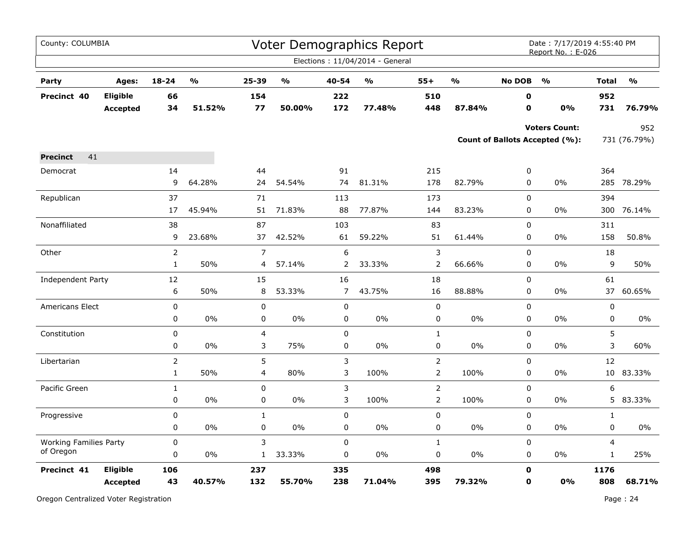| County: COLUMBIA              |                             |                |                                   |                         |        |                | <b>Voter Demographics Report</b> |                |                                   |                  | Date: 7/17/2019 4:55:40 PM<br>Report No.: E-026        |                 |                     |
|-------------------------------|-----------------------------|----------------|-----------------------------------|-------------------------|--------|----------------|----------------------------------|----------------|-----------------------------------|------------------|--------------------------------------------------------|-----------------|---------------------|
|                               |                             |                |                                   |                         |        |                | Elections: 11/04/2014 - General  |                |                                   |                  |                                                        |                 |                     |
| Party                         | Ages:                       | 18-24          | $\mathsf{o}\mathsf{v}_\mathsf{o}$ | 25-39                   | %      | 40-54          | $\frac{1}{2}$                    | $55+$          | $\mathsf{o}\mathsf{v}_\mathsf{o}$ | <b>No DOB</b>    | $\frac{0}{0}$                                          | <b>Total</b>    | $\frac{0}{0}$       |
| Precinct 40                   | Eligible<br><b>Accepted</b> | 66<br>34       | 51.52%                            | 154<br>77               | 50.00% | 222<br>172     | 77.48%                           | 510<br>448     | 87.84%                            | 0<br>$\mathbf o$ | 0%                                                     | 952<br>731      | 76.79%              |
|                               |                             |                |                                   |                         |        |                |                                  |                |                                   |                  | <b>Voters Count:</b><br>Count of Ballots Accepted (%): |                 | 952<br>731 (76.79%) |
| 41<br><b>Precinct</b>         |                             |                |                                   |                         |        |                |                                  |                |                                   |                  |                                                        |                 |                     |
| Democrat                      |                             | 14             |                                   | 44                      |        | 91             |                                  | 215            |                                   | 0                |                                                        | 364             |                     |
|                               |                             | 9              | 64.28%                            | 24                      | 54.54% | 74             | 81.31%                           | 178            | 82.79%                            | 0                | 0%                                                     | 285             | 78.29%              |
| Republican                    |                             | 37             |                                   | 71                      |        | 113            |                                  | 173            |                                   | $\mathbf 0$      |                                                        | 394             |                     |
|                               |                             | 17             | 45.94%                            | 51                      | 71.83% | 88             | 77.87%                           | 144            | 83.23%                            | 0                | 0%                                                     | 300             | 76.14%              |
| Nonaffiliated                 |                             | 38             |                                   | 87                      |        | 103            |                                  | 83             |                                   | 0                |                                                        | 311             |                     |
|                               |                             | 9              | 23.68%                            | 37                      | 42.52% | 61             | 59.22%                           | 51             | 61.44%                            | 0                | $0\%$                                                  | 158             | 50.8%               |
| Other                         |                             | 2              |                                   | $\overline{7}$          |        | 6              |                                  | 3              |                                   | 0                |                                                        | 18              |                     |
|                               |                             | $\mathbf{1}$   | 50%                               | 4                       | 57.14% | 2              | 33.33%                           | $\overline{2}$ | 66.66%                            | 0                | $0\%$                                                  | 9               | 50%                 |
| Independent Party             |                             | 12             |                                   | 15                      |        | 16             |                                  | 18             |                                   | $\mathbf 0$      |                                                        | 61              |                     |
|                               |                             | 6              | 50%                               | 8                       | 53.33% | $\overline{7}$ | 43.75%                           | 16             | 88.88%                            | 0                | $0\%$                                                  | 37              | 60.65%              |
| Americans Elect               |                             | $\pmb{0}$      |                                   | $\pmb{0}$               |        | 0              |                                  | $\mathbf 0$    |                                   | 0                |                                                        | $\pmb{0}$       |                     |
|                               |                             | 0              | 0%                                | $\pmb{0}$               | 0%     | 0              | 0%                               | 0              | 0%                                | 0                | $0\%$                                                  | 0               | $0\%$               |
| Constitution                  |                             | 0              |                                   | 4                       |        | $\mathbf 0$    |                                  | $\mathbf{1}$   |                                   | 0                |                                                        | 5               |                     |
|                               |                             | 0              | 0%                                | 3                       | 75%    | 0              | 0%                               | 0              | 0%                                | 0                | 0%                                                     | 3               | 60%                 |
| Libertarian                   |                             | $\overline{2}$ |                                   | 5                       |        | 3              |                                  | $\overline{2}$ |                                   | 0                |                                                        | 12              |                     |
|                               |                             | $\mathbf{1}$   | 50%                               | $\overline{\mathbf{4}}$ | 80%    | 3              | 100%                             | $\overline{2}$ | 100%                              | 0                | $0\%$                                                  | 10 <sub>1</sub> | 83.33%              |
| Pacific Green                 |                             | $\mathbf{1}$   |                                   | $\pmb{0}$               |        | 3              |                                  | $\overline{2}$ |                                   | $\pmb{0}$        |                                                        | 6               |                     |
|                               |                             | 0              | 0%                                | 0                       | 0%     | 3              | 100%                             | $\overline{2}$ | 100%                              | $\mathbf 0$      | 0%                                                     |                 | 5 83.33%            |
| Progressive                   |                             | 0              |                                   | $\mathbf{1}$            |        | 0              |                                  | 0              |                                   | 0                |                                                        | $\mathbf{1}$    |                     |
|                               |                             | 0              | 0%                                | $\pmb{0}$               | 0%     | 0              | 0%                               | 0              | 0%                                | 0                | 0%                                                     | 0               | 0%                  |
| <b>Working Families Party</b> |                             | $\pmb{0}$      |                                   | 3                       |        | $\mathbf 0$    |                                  | $\mathbf{1}$   |                                   | 0                |                                                        | $\overline{4}$  |                     |
| of Oregon                     |                             | 0              | $0\%$                             | $\mathbf{1}$            | 33.33% | 0              | $0\%$                            | 0              | 0%                                | 0                | $0\%$                                                  | $\mathbf{1}$    | 25%                 |
| Precinct 41                   | Eligible                    | 106            |                                   | 237                     |        | 335            |                                  | 498            |                                   | $\mathbf 0$      |                                                        | 1176            |                     |
|                               | <b>Accepted</b>             | 43             | 40.57%                            | 132                     | 55.70% | 238            | 71.04%                           | 395            | 79.32%                            | O                | 0%                                                     | 808             | 68.71%              |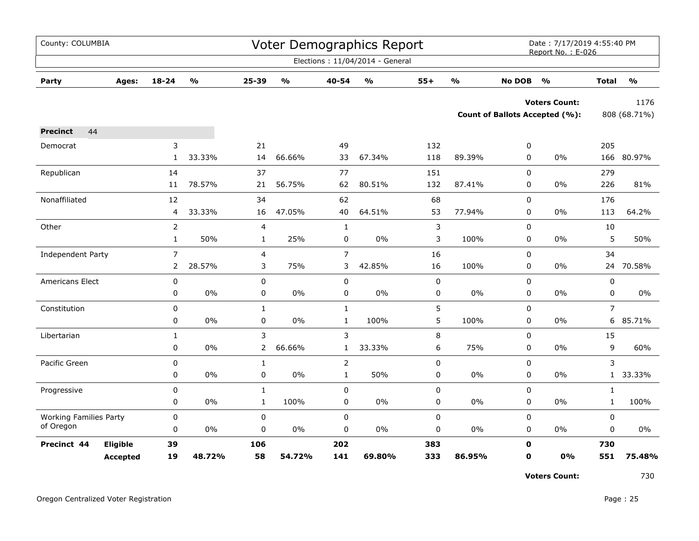| County: COLUMBIA              |                 |                |               |                |                           |                | <b>Voter Demographics Report</b>  |           |               |               | Date: 7/17/2019 4:55:40 PM<br>Report No.: E-026 |                |                         |
|-------------------------------|-----------------|----------------|---------------|----------------|---------------------------|----------------|-----------------------------------|-----------|---------------|---------------|-------------------------------------------------|----------------|-------------------------|
|                               |                 |                |               |                |                           |                | Elections: 11/04/2014 - General   |           |               |               |                                                 |                |                         |
| Party                         | Ages:           | 18-24          | $\frac{0}{0}$ | 25-39          | $\mathbf{o}_{\mathbf{0}}$ | 40-54          | $\mathsf{o}\mathsf{v}_\mathsf{o}$ | $55+$     | $\frac{0}{0}$ | <b>No DOB</b> | $\mathsf{o}\mathsf{v}_\mathsf{o}$               | <b>Total</b>   | $\mathbf{0}/\mathbf{0}$ |
|                               |                 |                |               |                |                           |                |                                   |           |               |               | <b>Voters Count:</b>                            |                | 1176                    |
|                               |                 |                |               |                |                           |                |                                   |           |               |               | <b>Count of Ballots Accepted (%):</b>           |                | 808 (68.71%)            |
| 44<br><b>Precinct</b>         |                 |                |               |                |                           |                |                                   |           |               |               |                                                 |                |                         |
| Democrat                      |                 | 3              |               | 21             |                           | 49             |                                   | 132       |               | 0             |                                                 | 205            |                         |
|                               |                 | $\mathbf{1}$   | 33.33%        | 14             | 66.66%                    | 33             | 67.34%                            | 118       | 89.39%        | $\mathbf 0$   | 0%                                              | 166            | 80.97%                  |
| Republican                    |                 | 14             |               | 37             |                           | 77             |                                   | 151       |               | 0             |                                                 | 279            |                         |
|                               |                 | 11             | 78.57%        | 21             | 56.75%                    | 62             | 80.51%                            | 132       | 87.41%        | 0             | 0%                                              | 226            | 81%                     |
| Nonaffiliated                 |                 | 12             |               | 34             |                           | 62             |                                   | 68        |               | 0             |                                                 | 176            |                         |
|                               |                 | 4              | 33.33%        | 16             | 47.05%                    | 40             | 64.51%                            | 53        | 77.94%        | 0             | 0%                                              | 113            | 64.2%                   |
| Other                         |                 | $\overline{2}$ |               | 4              |                           | $\mathbf{1}$   |                                   | 3         |               | $\mathbf 0$   |                                                 | 10             |                         |
|                               |                 | $\mathbf{1}$   | 50%           | $\mathbf{1}$   | 25%                       | 0              | 0%                                | 3         | 100%          | $\mathbf 0$   | 0%                                              | 5              | 50%                     |
| Independent Party             |                 | $\overline{7}$ |               | 4              |                           | $\overline{7}$ |                                   | 16        |               | 0             |                                                 | 34             |                         |
|                               |                 | $\mathbf{2}$   | 28.57%        | 3              | 75%                       | 3              | 42.85%                            | 16        | 100%          | 0             | $0\%$                                           | 24             | 70.58%                  |
| Americans Elect               |                 | $\pmb{0}$      |               | 0              |                           | 0              |                                   | $\pmb{0}$ |               | 0             |                                                 | $\pmb{0}$      |                         |
|                               |                 | 0              | $0\%$         | 0              | 0%                        | 0              | 0%                                | 0         | $0\%$         | 0             | $0\%$                                           | $\mathbf 0$    | $0\%$                   |
| Constitution                  |                 | $\pmb{0}$      |               | $\mathbf{1}$   |                           | $\mathbf{1}$   |                                   | 5         |               | $\mathsf 0$   |                                                 | $\overline{7}$ |                         |
|                               |                 | 0              | 0%            | $\pmb{0}$      | 0%                        | $\mathbf{1}$   | 100%                              | 5         | 100%          | 0             | 0%                                              | 6              | 85.71%                  |
| Libertarian                   |                 | $\mathbf{1}$   |               | 3              |                           | 3              |                                   | 8         |               | 0             |                                                 | 15             |                         |
|                               |                 | 0              | 0%            | $\overline{2}$ | 66.66%                    | $\mathbf{1}$   | 33.33%                            | 6         | 75%           | 0             | $0\%$                                           | 9              | 60%                     |
| Pacific Green                 |                 | $\mathbf 0$    |               | $\mathbf{1}$   |                           | $\overline{2}$ |                                   | 0         |               | $\mathbf 0$   |                                                 | 3              |                         |
|                               |                 | 0              | 0%            | 0              | 0%                        | $\mathbf{1}$   | 50%                               | 0         | 0%            | 0             | 0%                                              |                | 1 33.33%                |
| Progressive                   |                 | 0              |               | $\mathbf 1$    |                           | $\mathbf 0$    |                                   | 0         |               | $\mathbf 0$   |                                                 | $\mathbf{1}$   |                         |
|                               |                 | 0              | 0%            | $\mathbf{1}$   | 100%                      | 0              | $0\%$                             | 0         | 0%            | 0             | $0\%$                                           | $\mathbf{1}$   | 100%                    |
| <b>Working Families Party</b> |                 | $\pmb{0}$      |               | 0              |                           | 0              |                                   | 0         |               | 0             |                                                 | 0              |                         |
| of Oregon                     |                 | 0              | 0%            | 0              | 0%                        | 0              | $0\%$                             | 0         | $0\%$         | 0             | $0\%$                                           | 0              | $0\%$                   |
| Precinct 44                   | Eligible        | 39             |               | 106            |                           | 202            |                                   | 383       |               | $\mathbf 0$   |                                                 | 730            |                         |
|                               | <b>Accepted</b> | 19             | 48.72%        | 58             | 54.72%                    | 141            | 69.80%                            | 333       | 86.95%        | $\mathbf 0$   | 0%                                              | 551            | 75.48%                  |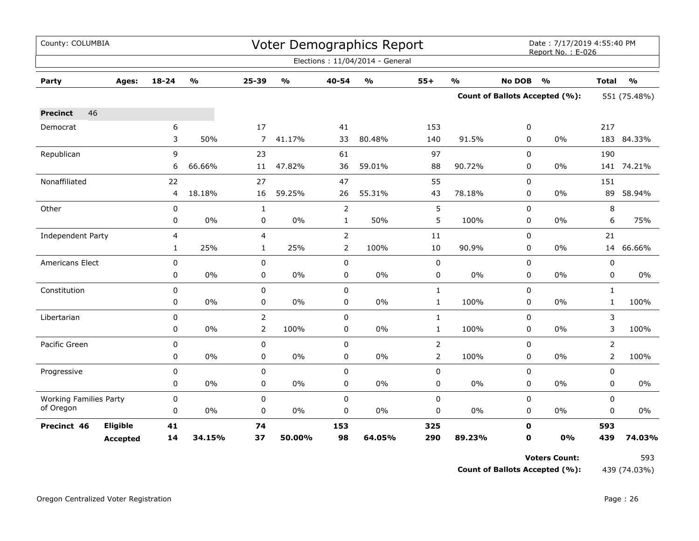| County: COLUMBIA              |                 |             |                         |                |               |                | Voter Demographics Report       |                |               |               | Date: 7/17/2019 4:55:40 PM<br>Report No.: E-026 |                |               |  |
|-------------------------------|-----------------|-------------|-------------------------|----------------|---------------|----------------|---------------------------------|----------------|---------------|---------------|-------------------------------------------------|----------------|---------------|--|
|                               |                 |             |                         |                |               |                | Elections: 11/04/2014 - General |                |               |               |                                                 |                |               |  |
| Party                         | Ages:           | 18-24       | $\mathbf{O}/\mathbf{o}$ | 25-39          | $\frac{0}{0}$ | 40-54          | $\frac{1}{2}$                   | $55+$          | $\frac{1}{2}$ | <b>No DOB</b> | $\frac{1}{2}$                                   | <b>Total</b>   | $\frac{1}{2}$ |  |
|                               |                 |             |                         |                |               |                |                                 |                |               |               | <b>Count of Ballots Accepted (%):</b>           | 551 (75.48%)   |               |  |
| 46<br><b>Precinct</b>         |                 |             |                         |                |               |                |                                 |                |               |               |                                                 |                |               |  |
| Democrat                      |                 | 6           |                         | 17             |               | 41             |                                 | 153            |               | 0             |                                                 | 217            |               |  |
|                               |                 | 3           | 50%                     | $\overline{7}$ | 41.17%        | 33             | 80.48%                          | 140            | 91.5%         | 0             | $0\%$                                           |                | 183 84.33%    |  |
| Republican                    |                 | 9           |                         | 23             |               | 61             |                                 | 97             |               | $\Omega$      |                                                 | 190            |               |  |
|                               |                 | 6           | 66.66%                  | 11             | 47.82%        | 36             | 59.01%                          | 88             | 90.72%        | 0             | 0%                                              |                | 141 74.21%    |  |
| Nonaffiliated                 |                 | 22          |                         | 27             |               | 47             |                                 | 55             |               | $\mathbf 0$   |                                                 | 151            |               |  |
|                               |                 | 4           | 18.18%                  | 16             | 59.25%        | 26             | 55.31%                          | 43             | 78.18%        | 0             | 0%                                              | 89             | 58.94%        |  |
| Other                         |                 | 0           |                         | $\mathbf{1}$   |               | $\overline{2}$ |                                 | 5              |               | $\mathbf 0$   |                                                 | 8              |               |  |
|                               |                 | 0           | 0%                      | 0              | $0\%$         | $\mathbf{1}$   | 50%                             | 5              | 100%          | 0             | 0%                                              | 6              | 75%           |  |
| <b>Independent Party</b>      |                 | 4           |                         | 4              |               | $\overline{2}$ |                                 | $11\,$         |               | $\mathbf 0$   |                                                 | 21             |               |  |
|                               |                 | 1           | 25%                     | $\mathbf{1}$   | 25%           | $\overline{2}$ | 100%                            | 10             | 90.9%         | 0             | 0%                                              |                | 14 66.66%     |  |
| Americans Elect               |                 | $\mathbf 0$ |                         | 0              |               | $\mathbf 0$    |                                 | $\pmb{0}$      |               | $\mathbf 0$   |                                                 | $\mathbf 0$    |               |  |
|                               |                 | 0           | 0%                      | 0              | $0\%$         | 0              | $0\%$                           | $\pmb{0}$      | $0\%$         | $\mathbf 0$   | 0%                                              | 0              | $0\%$         |  |
| Constitution                  |                 | $\pmb{0}$   |                         | $\pmb{0}$      |               | $\pmb{0}$      |                                 | $\mathbf{1}$   |               | $\mathbf 0$   |                                                 | $\mathbf{1}$   |               |  |
|                               |                 | 0           | 0%                      | $\pmb{0}$      | $0\%$         | $\pmb{0}$      | $0\%$                           | $\mathbf{1}$   | 100%          | $\mathbf 0$   | $0\%$                                           | $\mathbf{1}$   | 100%          |  |
| Libertarian                   |                 | $\mathbf 0$ |                         | $\overline{2}$ |               | $\mathbf 0$    |                                 | $\mathbf{1}$   |               | $\mathbf 0$   |                                                 | 3              |               |  |
|                               |                 | 0           | 0%                      | $\overline{2}$ | 100%          | $\mathbf 0$    | $0\%$                           | $\mathbf{1}$   | 100%          | $\Omega$      | $0\%$                                           | 3              | 100%          |  |
| Pacific Green                 |                 | 0           |                         | 0              |               | $\mathbf 0$    |                                 | $\overline{2}$ |               | $\Omega$      |                                                 | 2              |               |  |
|                               |                 | 0           | 0%                      | 0              | $0\%$         | 0              | $0\%$                           | $\overline{2}$ | 100%          | 0             | $0\%$                                           | $\overline{2}$ | 100%          |  |
| Progressive                   |                 | 0           |                         | 0              |               | $\pmb{0}$      |                                 | $\pmb{0}$      |               | $\mathbf 0$   |                                                 | 0              |               |  |
|                               |                 | 0           | 0%                      | 0              | $0\%$         | 0              | $0\%$                           | $\mathbf 0$    | 0%            | $\mathbf 0$   | $0\%$                                           | $\mathbf 0$    | 0%            |  |
| <b>Working Families Party</b> |                 | 0           |                         | $\pmb{0}$      |               | $\pmb{0}$      |                                 | $\pmb{0}$      |               | $\mathbf 0$   |                                                 | $\mathbf 0$    |               |  |
| of Oregon                     |                 | 0           | 0%                      | 0              | 0%            | 0              | 0%                              | $\pmb{0}$      | 0%            | 0             | $0\%$                                           | 0              | 0%            |  |
| Precinct 46                   | Eligible        | 41          |                         | 74             |               | 153            |                                 | 325            |               | $\mathbf 0$   |                                                 | 593            |               |  |
|                               | <b>Accepted</b> | 14          | 34.15%                  | 37             | 50.00%        | 98             | 64.05%                          | 290            | 89.23%        | $\mathbf 0$   | 0%                                              | 439            | 74.03%        |  |

**Count of Ballots Accepted (%):** 439 (74.03%)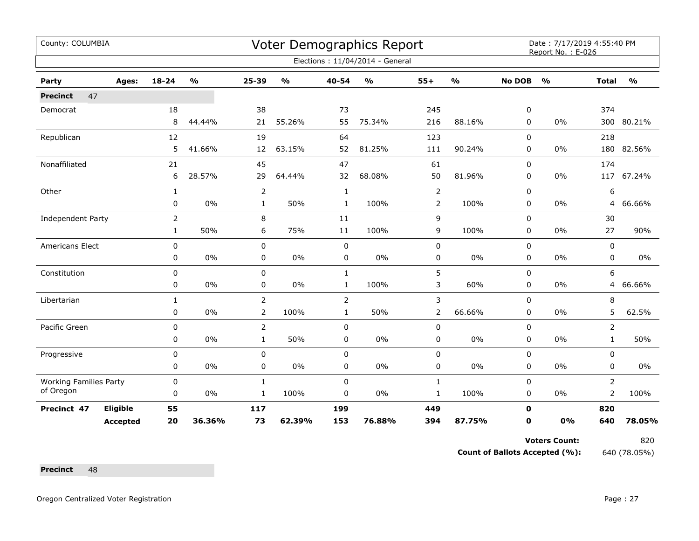| County: COLUMBIA              |                 |                |                                   |                |               |                | <b>Voter Demographics Report</b> |                |                         |               | Date: 7/17/2019 4:55:40 PM<br>Report No.: E-026 |                |                         |
|-------------------------------|-----------------|----------------|-----------------------------------|----------------|---------------|----------------|----------------------------------|----------------|-------------------------|---------------|-------------------------------------------------|----------------|-------------------------|
|                               |                 |                |                                   |                |               |                | Elections: 11/04/2014 - General  |                |                         |               |                                                 |                |                         |
| Party                         | Ages:           | $18 - 24$      | $\mathsf{o}\mathsf{v}_\mathsf{o}$ | 25-39          | $\frac{0}{0}$ | 40-54          | $\frac{0}{0}$                    | $55+$          | $\mathbf{O}/\mathbf{o}$ | <b>No DOB</b> | $\frac{0}{0}$                                   | <b>Total</b>   | $\mathbf{O}/\mathbf{o}$ |
| 47<br><b>Precinct</b>         |                 |                |                                   |                |               |                |                                  |                |                         |               |                                                 |                |                         |
| Democrat                      |                 | 18             |                                   | 38             |               | 73             |                                  | 245            |                         | 0             |                                                 | 374            |                         |
|                               |                 | 8              | 44.44%                            | 21             | 55.26%        | 55             | 75.34%                           | 216            | 88.16%                  | 0             | 0%                                              |                | 300 80.21%              |
| Republican                    |                 | 12             |                                   | 19             |               | 64             |                                  | 123            |                         | $\mathbf 0$   |                                                 | 218            |                         |
|                               |                 | 5              | 41.66%                            | 12             | 63.15%        | 52             | 81.25%                           | 111            | 90.24%                  | 0             | 0%                                              |                | 180 82.56%              |
| Nonaffiliated                 |                 | 21             |                                   | 45             |               | 47             |                                  | 61             |                         | $\mathbf 0$   |                                                 | 174            |                         |
|                               |                 | 6              | 28.57%                            | 29             | 64.44%        | 32             | 68.08%                           | 50             | 81.96%                  | 0             | 0%                                              | 117            | 67.24%                  |
| Other                         |                 | $\mathbf{1}$   |                                   | $\overline{2}$ |               | $\mathbf{1}$   |                                  | $\overline{2}$ |                         | 0             |                                                 | 6              |                         |
|                               |                 | 0              | 0%                                | $\mathbf{1}$   | 50%           | 1              | 100%                             | 2              | 100%                    | 0             | 0%                                              | 4              | 66.66%                  |
| Independent Party             |                 | $\overline{2}$ |                                   | 8              |               | 11             |                                  | 9              |                         | 0             |                                                 | 30             |                         |
|                               |                 | $\mathbf{1}$   | 50%                               | 6              | 75%           | 11             | 100%                             | 9              | 100%                    | 0             | 0%                                              | 27             | 90%                     |
| Americans Elect               |                 | $\mathbf 0$    |                                   | $\mathbf 0$    |               | $\mathbf 0$    |                                  | $\pmb{0}$      |                         | $\mathbf 0$   |                                                 | 0              |                         |
|                               |                 | 0              | 0%                                | 0              | $0\%$         | 0              | $0\%$                            | $\pmb{0}$      | $0\%$                   | 0             | 0%                                              | 0              | $0\%$                   |
| Constitution                  |                 | 0              |                                   | 0              |               | $\mathbf{1}$   |                                  | 5              |                         | 0             |                                                 | 6              |                         |
|                               |                 | $\mathbf 0$    | 0%                                | 0              | 0%            | $\mathbf{1}$   | 100%                             | 3              | 60%                     | 0             | 0%                                              | 4              | 66.66%                  |
| Libertarian                   |                 | 1              |                                   | $\overline{2}$ |               | $\overline{2}$ |                                  | 3              |                         | 0             |                                                 | 8              |                         |
|                               |                 | 0              | 0%                                | $\overline{2}$ | 100%          | $\mathbf{1}$   | 50%                              | $\overline{2}$ | 66.66%                  | 0             | 0%                                              | 5              | 62.5%                   |
| Pacific Green                 |                 | 0              |                                   | 2              |               | 0              |                                  | 0              |                         | 0             |                                                 | 2              |                         |
|                               |                 | 0              | 0%                                | $\mathbf{1}$   | 50%           | $\pmb{0}$      | $0\%$                            | $\pmb{0}$      | $0\%$                   | 0             | 0%                                              | $\mathbf{1}$   | 50%                     |
| Progressive                   |                 | 0              |                                   | 0              |               | $\pmb{0}$      |                                  | $\pmb{0}$      |                         | $\mathbf 0$   |                                                 | 0              |                         |
|                               |                 | 0              | 0%                                | 0              | 0%            | 0              | 0%                               | 0              | $0\%$                   | 0             | 0%                                              | 0              | $0\%$                   |
| <b>Working Families Party</b> |                 | 0              |                                   | $\mathbf{1}$   |               | $\mathbf 0$    |                                  | $\mathbf{1}$   |                         | $\mathbf 0$   |                                                 | $\overline{2}$ |                         |
| of Oregon                     |                 | 0              | 0%                                | 1              | 100%          | 0              | 0%                               | $\mathbf{1}$   | 100%                    | 0             | 0%                                              | 2              | 100%                    |
| Precinct 47                   | Eligible        | 55             |                                   | 117            |               | 199            |                                  | 449            |                         | $\mathbf 0$   |                                                 | 820            |                         |
|                               | <b>Accepted</b> | 20             | 36.36%                            | 73             | 62.39%        | 153            | 76.88%                           | 394            | 87.75%                  | 0             | 0%                                              | 640            | 78.05%                  |

**Count of Ballots Accepted (%):** 640 (78.05%)

Precinct 48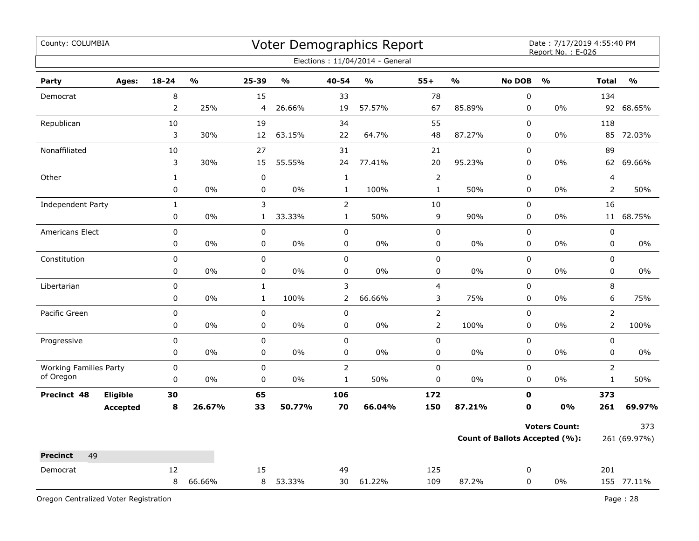| County: COLUMBIA                           |                 |                |               |              |                                   |                | Voter Demographics Report       |                         |                         |               | Date: 7/17/2019 4:55:40 PM<br>Report No.: E-026 |                         |               |
|--------------------------------------------|-----------------|----------------|---------------|--------------|-----------------------------------|----------------|---------------------------------|-------------------------|-------------------------|---------------|-------------------------------------------------|-------------------------|---------------|
|                                            |                 |                |               |              |                                   |                | Elections: 11/04/2014 - General |                         |                         |               |                                                 |                         |               |
| Party                                      | Ages:           | $18 - 24$      | $\frac{0}{0}$ | 25-39        | $\mathsf{o}\mathsf{v}_\mathsf{o}$ | 40-54          | $\frac{1}{2}$                   | $55+$                   | $\mathbf{O}/\mathbf{O}$ | <b>No DOB</b> | $\frac{1}{2}$                                   | <b>Total</b>            | $\frac{0}{0}$ |
| Democrat                                   |                 | 8              |               | 15           |                                   | 33             |                                 | 78                      |                         | $\mathsf 0$   |                                                 | 134                     |               |
|                                            |                 | $\overline{2}$ | 25%           | 4            | 26.66%                            | 19             | 57.57%                          | 67                      | 85.89%                  | 0             | $0\%$                                           | 92                      | 68.65%        |
| Republican                                 |                 | 10             |               | 19           |                                   | 34             |                                 | 55                      |                         | $\mathbf 0$   |                                                 | 118                     |               |
|                                            |                 | 3              | 30%           | 12           | 63.15%                            | 22             | 64.7%                           | 48                      | 87.27%                  | $\mathbf 0$   | 0%                                              | 85                      | 72.03%        |
| Nonaffiliated                              |                 | 10             |               | 27           |                                   | 31             |                                 | 21                      |                         | 0             |                                                 | 89                      |               |
|                                            |                 | 3              | 30%           | 15           | 55.55%                            | 24             | 77.41%                          | 20                      | 95.23%                  | 0             | 0%                                              |                         | 62 69.66%     |
| Other                                      |                 | $\mathbf{1}$   |               | $\pmb{0}$    |                                   | $\mathbf{1}$   |                                 | $\overline{2}$          |                         | 0             |                                                 | $\overline{\mathbf{4}}$ |               |
|                                            |                 | 0              | 0%            | 0            | 0%                                | $\mathbf{1}$   | 100%                            | $\mathbf 1$             | 50%                     | 0             | 0%                                              | $\overline{2}$          | 50%           |
| Independent Party                          |                 | $\mathbf{1}$   |               | 3            |                                   | $\overline{2}$ |                                 | 10                      |                         | 0             |                                                 | 16                      |               |
|                                            |                 | $\pmb{0}$      | 0%            | $\mathbf{1}$ | 33.33%                            | $\mathbf{1}$   | 50%                             | 9                       | 90%                     | 0             | 0%                                              | 11                      | 68.75%        |
| Americans Elect                            |                 | $\pmb{0}$      |               | $\pmb{0}$    |                                   | $\mathbf 0$    |                                 | 0                       |                         | $\mathbf 0$   |                                                 | $\pmb{0}$               |               |
|                                            |                 | 0              | 0%            | 0            | 0%                                | 0              | 0%                              | 0                       | $0\%$                   | $\mathbf 0$   | $0\%$                                           | 0                       | 0%            |
| Constitution                               |                 | 0              |               | $\mathsf 0$  |                                   | 0              |                                 | 0                       |                         | 0             |                                                 | $\pmb{0}$               |               |
|                                            |                 | 0              | $0\%$         | $\pmb{0}$    | 0%                                | 0              | 0%                              | 0                       | 0%                      | 0             | 0%                                              | $\pmb{0}$               | 0%            |
| Libertarian                                |                 | $\pmb{0}$      |               | $\mathbf{1}$ |                                   | 3              |                                 | $\overline{\mathbf{4}}$ |                         | $\pmb{0}$     |                                                 | 8                       |               |
|                                            |                 | 0              | 0%            | $\mathbf 1$  | 100%                              | 2              | 66.66%                          | 3                       | 75%                     | 0             | 0%                                              | 6                       | 75%           |
| Pacific Green                              |                 | $\pmb{0}$      |               | $\mathbf 0$  |                                   | 0              |                                 | $\overline{2}$          |                         | $\mathbf 0$   |                                                 | $\overline{2}$          |               |
|                                            |                 | 0              | 0%            | $\mathsf 0$  | 0%                                | 0              | 0%                              | $\overline{2}$          | 100%                    | 0             | 0%                                              | $\overline{2}$          | 100%          |
| Progressive                                |                 | 0              |               | $\mathbf 0$  |                                   | $\pmb{0}$      |                                 | 0                       |                         | 0             |                                                 | $\mathbf 0$             |               |
|                                            |                 | 0              | $0\%$         | $\pmb{0}$    | 0%                                | $\mathbf 0$    | 0%                              | 0                       | $0\%$                   | 0             | $0\%$                                           | 0                       | 0%            |
| <b>Working Families Party</b><br>of Oregon |                 | $\pmb{0}$      |               | $\pmb{0}$    |                                   | $\overline{2}$ |                                 | 0                       |                         | $\pmb{0}$     |                                                 | $\overline{2}$          |               |
|                                            |                 | 0              | 0%            | $\pmb{0}$    | 0%                                | $\mathbf{1}$   | 50%                             | 0                       | 0%                      | 0             | 0%                                              | $\mathbf 1$             | 50%           |
| Precinct 48                                | Eligible        | 30             |               | 65           |                                   | 106            |                                 | 172                     |                         | $\mathbf 0$   |                                                 | 373                     |               |
|                                            | <b>Accepted</b> | 8              | 26.67%        | 33           | 50.77%                            | 70             | 66.04%                          | 150                     | 87.21%                  | $\mathbf 0$   | 0%                                              | 261                     | 69.97%        |
|                                            |                 |                |               |              |                                   |                |                                 |                         |                         |               | <b>Voters Count:</b>                            |                         | 373           |
|                                            |                 |                |               |              |                                   |                |                                 |                         |                         |               | Count of Ballots Accepted (%):                  |                         | 261 (69.97%)  |
| 49<br><b>Precinct</b>                      |                 |                |               |              |                                   |                |                                 |                         |                         |               |                                                 |                         |               |
| Democrat                                   |                 | 12             |               | 15           |                                   | 49             |                                 | 125                     |                         | 0             |                                                 | 201                     |               |
|                                            |                 | 8              | 66.66%        | 8            | 53.33%                            | 30             | 61.22%                          | 109                     | 87.2%                   | $\mathbf 0$   | 0%                                              |                         | 155 77.11%    |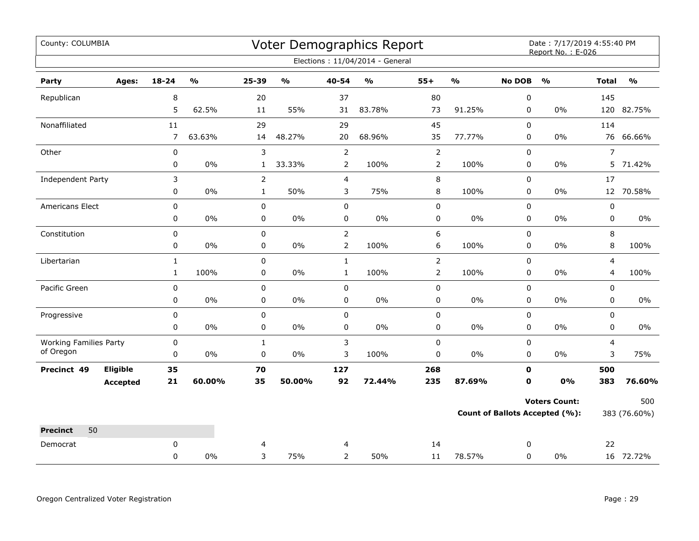| County: COLUMBIA                           |                 |                |                         |                |                         |                | Voter Demographics Report       |                |                         |               | Date: 7/17/2019 4:55:40 PM<br>Report No.: E-026 |                |               |
|--------------------------------------------|-----------------|----------------|-------------------------|----------------|-------------------------|----------------|---------------------------------|----------------|-------------------------|---------------|-------------------------------------------------|----------------|---------------|
|                                            |                 |                |                         |                |                         |                | Elections: 11/04/2014 - General |                |                         |               |                                                 |                |               |
| Party                                      | Ages:           | $18 - 24$      | $\mathbf{O}/\mathbf{O}$ | 25-39          | $\mathbf{0}/\mathbf{0}$ | 40-54          | %                               | $55+$          | $\mathbf{O}/\mathbf{O}$ | <b>No DOB</b> | $\mathbf{O}/\mathbf{o}$                         | <b>Total</b>   | $\frac{1}{2}$ |
| Republican                                 |                 | 8              |                         | 20             |                         | 37             |                                 | 80             |                         | 0             |                                                 | 145            |               |
|                                            |                 | 5              | 62.5%                   | 11             | 55%                     | 31             | 83.78%                          | 73             | 91.25%                  | 0             | $0\%$                                           |                | 120 82.75%    |
| Nonaffiliated                              |                 | 11             |                         | 29             |                         | 29             |                                 | 45             |                         | $\mathbf 0$   |                                                 | 114            |               |
|                                            |                 | $\overline{7}$ | 63.63%                  | 14             | 48.27%                  | 20             | 68.96%                          | 35             | 77.77%                  | 0             | $0\%$                                           | 76             | 66.66%        |
| Other                                      |                 | $\pmb{0}$      |                         | 3              |                         | $\mathsf{2}\,$ |                                 | $\overline{2}$ |                         | $\pmb{0}$     |                                                 | $\overline{7}$ |               |
|                                            |                 | $\pmb{0}$      | $0\%$                   | $\mathbf{1}$   | 33.33%                  | $\overline{2}$ | 100%                            | $\overline{2}$ | 100%                    | 0             | $0\%$                                           | 5              | 71.42%        |
| Independent Party                          |                 | 3              |                         | $\overline{2}$ |                         | $\overline{4}$ |                                 | 8              |                         | $\mathbf 0$   |                                                 | 17             |               |
|                                            |                 | 0              | 0%                      | $\mathbf{1}$   | 50%                     | 3              | 75%                             | 8              | 100%                    | 0             | $0\%$                                           |                | 12 70.58%     |
| Americans Elect                            |                 | $\pmb{0}$      |                         | $\pmb{0}$      |                         | $\pmb{0}$      |                                 | 0              |                         | $\pmb{0}$     |                                                 | $\pmb{0}$      |               |
|                                            |                 | 0              | $0\%$                   | $\pmb{0}$      | $0\%$                   | 0              | $0\%$                           | 0              | $0\%$                   | 0             | $0\%$                                           | 0              | $0\%$         |
| Constitution                               |                 | 0              |                         | $\mathbf 0$    |                         | $\overline{2}$ |                                 | 6              |                         | $\mathbf 0$   |                                                 | 8              |               |
|                                            |                 | 0              | 0%                      | 0              | $0\%$                   | $\overline{2}$ | 100%                            | 6              | 100%                    | 0             | $0\%$                                           | 8              | 100%          |
| Libertarian                                |                 | $\mathbf{1}$   |                         | $\mathsf 0$    |                         | $\mathbf{1}$   |                                 | $\overline{2}$ |                         | 0             |                                                 | $\overline{4}$ |               |
|                                            |                 | $\mathbf{1}$   | 100%                    | 0              | $0\%$                   | $\mathbf{1}$   | 100%                            | $\overline{2}$ | 100%                    | 0             | $0\%$                                           | 4              | 100%          |
| Pacific Green                              |                 | $\pmb{0}$      |                         | $\pmb{0}$      |                         | $\mathbf 0$    |                                 | 0              |                         | $\mathbf 0$   |                                                 | $\mathbf 0$    |               |
|                                            |                 | 0              | 0%                      | 0              | 0%                      | 0              | $0\%$                           | 0              | $0\%$                   | $\mathbf 0$   | $0\%$                                           | 0              | $0\%$         |
| Progressive                                |                 | 0              |                         | $\pmb{0}$      |                         | 0              |                                 | 0              |                         | 0             |                                                 | $\mathsf 0$    |               |
|                                            |                 | 0              | 0%                      | $\mathbf 0$    | 0%                      | 0              | 0%                              | 0              | $0\%$                   | 0             | 0%                                              | $\mathbf 0$    | $0\%$         |
| <b>Working Families Party</b><br>of Oregon |                 | $\pmb{0}$      |                         | $\mathbf{1}$   |                         | 3              |                                 | 0              |                         | $\mathbf 0$   |                                                 | 4              |               |
|                                            |                 | $\pmb{0}$      | $0\%$                   | $\pmb{0}$      | 0%                      | 3              | 100%                            | 0              | $0\%$                   | $\mathbf 0$   | $0\%$                                           | 3              | 75%           |
| Precinct 49                                | Eligible        | 35             |                         | 70             |                         | 127            |                                 | 268            |                         | $\mathbf 0$   |                                                 | 500            |               |
|                                            | <b>Accepted</b> | 21             | 60.00%                  | 35             | 50.00%                  | 92             | 72.44%                          | 235            | 87.69%                  | 0             | 0%                                              | 383            | 76.60%        |
|                                            |                 |                |                         |                |                         |                |                                 |                |                         |               | <b>Voters Count:</b>                            |                | 500           |
|                                            |                 |                |                         |                |                         |                |                                 |                |                         |               | Count of Ballots Accepted (%):                  |                | 383 (76.60%)  |
| <b>Precinct</b><br>50                      |                 |                |                         |                |                         |                |                                 |                |                         |               |                                                 |                |               |
| Democrat                                   |                 | 0              |                         | 4              |                         | 4              |                                 | 14             |                         | 0             |                                                 | 22             |               |
|                                            |                 | 0              | 0%                      | 3              | 75%                     | $\overline{2}$ | 50%                             | 11             | 78.57%                  | 0             | $0\%$                                           |                | 16 72.72%     |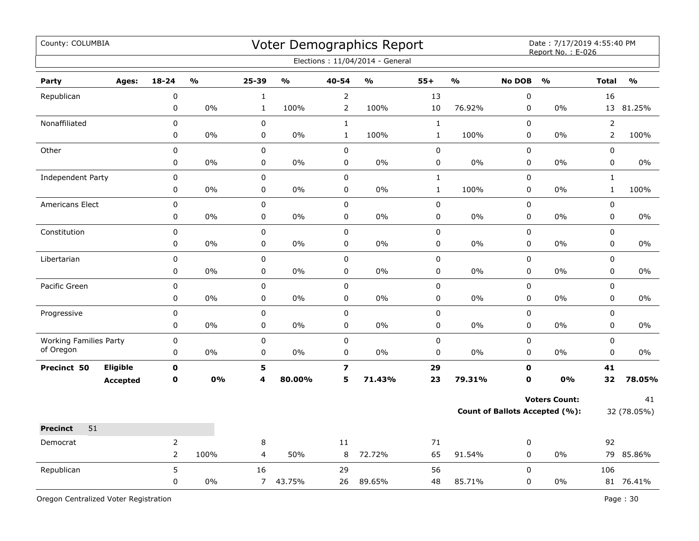| County: COLUMBIA                           |                 |                  |               |                         |               |                         | Voter Demographics Report<br>Elections: 11/04/2014 - General |              |        |                                       | Date: 7/17/2019 4:55:40 PM<br>Report No.: E-026 |                |               |
|--------------------------------------------|-----------------|------------------|---------------|-------------------------|---------------|-------------------------|--------------------------------------------------------------|--------------|--------|---------------------------------------|-------------------------------------------------|----------------|---------------|
| Party                                      | Ages:           | 18-24            | $\frac{0}{0}$ | $25 - 39$               | $\frac{0}{0}$ | 40-54                   | $\frac{0}{0}$                                                | $55+$        | O/2    | <b>No DOB</b>                         | $\mathbf{O}/\mathbf{O}$                         | <b>Total</b>   | $\frac{0}{0}$ |
| Republican                                 |                 | $\boldsymbol{0}$ |               | $\mathbf{1}$            |               | $\overline{2}$          |                                                              | 13           |        | $\mathbf 0$                           |                                                 | 16             |               |
|                                            |                 | $\pmb{0}$        | 0%            | $\mathbf{1}$            | 100%          | $\overline{2}$          | 100%                                                         | 10           | 76.92% | $\pmb{0}$                             | 0%                                              |                | 13 81.25%     |
| Nonaffiliated                              |                 | 0                |               | 0                       |               | $\mathbf{1}$            |                                                              | $\mathbf{1}$ |        | $\mathbf 0$                           |                                                 | $\overline{2}$ |               |
|                                            |                 | 0                | 0%            | 0                       | 0%            | $\mathbf{1}$            | 100%                                                         | $1\,$        | 100%   | $\pmb{0}$                             | 0%                                              | $\overline{2}$ | 100%          |
| Other                                      |                 | $\pmb{0}$        |               | $\pmb{0}$               |               | $\mathbf 0$             |                                                              | $\pmb{0}$    |        | $\pmb{0}$                             |                                                 | 0              |               |
|                                            |                 | 0                | $0\%$         | 0                       | $0\%$         | 0                       | $0\%$                                                        | $\pmb{0}$    | $0\%$  | $\pmb{0}$                             | $0\%$                                           | 0              | $0\%$         |
| Independent Party                          |                 | $\pmb{0}$        |               | $\pmb{0}$               |               | $\pmb{0}$               |                                                              | $\mathbf{1}$ |        | $\pmb{0}$                             |                                                 | $\mathbf{1}$   |               |
|                                            |                 | $\pmb{0}$        | 0%            | 0                       | 0%            | $\pmb{0}$               | 0%                                                           | $1\,$        | 100%   | $\mathsf 0$                           | 0%                                              | $\mathbf 1$    | 100%          |
| Americans Elect                            |                 | $\pmb{0}$        |               | $\pmb{0}$               |               | $\mathbf 0$             |                                                              | $\pmb{0}$    |        | $\pmb{0}$                             |                                                 | $\pmb{0}$      |               |
|                                            |                 | $\pmb{0}$        | 0%            | $\mathbf 0$             | 0%            | $\pmb{0}$               | 0%                                                           | $\pmb{0}$    | 0%     | $\mathbf 0$                           | 0%                                              | 0              | $0\%$         |
| Constitution                               |                 | $\pmb{0}$        |               | 0                       |               | $\pmb{0}$               |                                                              | 0            |        | 0                                     |                                                 | 0              |               |
|                                            |                 | 0                | 0%            | $\mathsf 0$             | 0%            | $\pmb{0}$               | 0%                                                           | $\pmb{0}$    | 0%     | $\mathsf 0$                           | 0%                                              | 0              | 0%            |
| Libertarian                                |                 | $\pmb{0}$        |               | $\pmb{0}$               |               | $\pmb{0}$               |                                                              | $\pmb{0}$    |        | $\pmb{0}$                             |                                                 | 0              |               |
|                                            |                 | 0                | $0\%$         | $\pmb{0}$               | 0%            | $\pmb{0}$               | 0%                                                           | 0            | $0\%$  | 0                                     | 0%                                              | $\pmb{0}$      | $0\%$         |
| Pacific Green                              |                 | $\pmb{0}$        |               | $\pmb{0}$               |               | $\pmb{0}$               |                                                              | $\pmb{0}$    |        | $\pmb{0}$                             |                                                 | $\mathbf 0$    |               |
|                                            |                 | $\pmb{0}$        | 0%            | $\pmb{0}$               | 0%            | $\pmb{0}$               | 0%                                                           | 0            | 0%     | 0                                     | 0%                                              | 0              | 0%            |
| Progressive                                |                 | 0                |               | $\pmb{0}$               |               | $\pmb{0}$               |                                                              | $\pmb{0}$    |        | $\mathsf 0$                           |                                                 | $\mathbf 0$    |               |
|                                            |                 | 0                | 0%            | 0                       | 0%            | $\pmb{0}$               | 0%                                                           | $\pmb{0}$    | 0%     | $\pmb{0}$                             | 0%                                              | 0              | 0%            |
| <b>Working Families Party</b><br>of Oregon |                 | $\pmb{0}$        |               | $\pmb{0}$               |               | $\pmb{0}$               |                                                              | 0            |        | $\pmb{0}$                             |                                                 | 0              |               |
|                                            |                 | 0                | 0%            | 0                       | $0\%$         | 0                       | 0%                                                           | $\pmb{0}$    | 0%     | $\pmb{0}$                             | $0\%$                                           | $\pmb{0}$      | 0%            |
| Precinct 50                                | Eligible        | $\mathbf 0$      |               | 5                       |               | $\overline{\mathbf{z}}$ |                                                              | 29           |        | $\mathbf o$                           |                                                 | 41             |               |
|                                            | <b>Accepted</b> | $\mathbf 0$      | 0%            | $\overline{\mathbf{4}}$ | 80.00%        | 5                       | 71.43%                                                       | 23           | 79.31% | $\mathbf{0}$                          | 0%                                              | 32             | 78.05%        |
|                                            |                 |                  |               |                         |               |                         |                                                              |              |        |                                       | <b>Voters Count:</b>                            |                | 41            |
|                                            |                 |                  |               |                         |               |                         |                                                              |              |        | <b>Count of Ballots Accepted (%):</b> |                                                 | 32 (78.05%)    |               |
| 51<br><b>Precinct</b>                      |                 |                  |               |                         |               |                         |                                                              |              |        |                                       |                                                 |                |               |
| Democrat                                   |                 | $\overline{2}$   |               | 8                       |               | 11                      |                                                              | 71           |        | 0                                     |                                                 | 92             |               |
|                                            |                 | $\overline{2}$   | 100%          | $\overline{4}$          | 50%           | 8                       | 72.72%                                                       | 65           | 91.54% | $\pmb{0}$                             | $0\%$                                           |                | 79 85.86%     |
| Republican                                 |                 | 5                |               | 16                      |               | 29                      |                                                              | 56           |        | $\mathsf 0$                           |                                                 | 106            |               |
|                                            |                 | 0                | 0%            | $\overline{7}$          | 43.75%        | 26                      | 89.65%                                                       | 48           | 85.71% | $\pmb{0}$                             | 0%                                              |                | 81 76.41%     |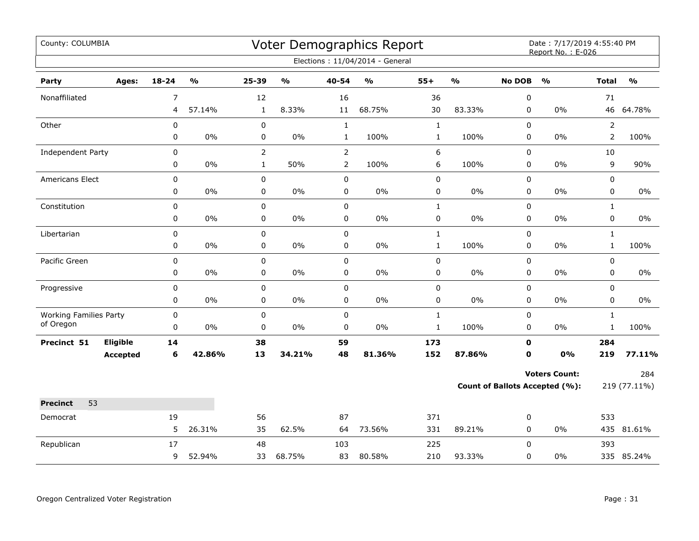| County: COLUMBIA              |                 |                |                         |                |                           |                | Voter Demographics Report         |              |                         |               | Date: 7/17/2019 4:55:40 PM<br>Report No.: E-026 |                |                         |
|-------------------------------|-----------------|----------------|-------------------------|----------------|---------------------------|----------------|-----------------------------------|--------------|-------------------------|---------------|-------------------------------------------------|----------------|-------------------------|
|                               |                 |                |                         |                |                           |                | Elections: 11/04/2014 - General   |              |                         |               |                                                 |                |                         |
| Party                         | Ages:           | 18-24          | $\mathbf{O}/\mathbf{o}$ | 25-39          | $\mathbf{o}_{\mathbf{0}}$ | 40-54          | $\mathsf{o}\mathsf{v}_\mathsf{o}$ | $55+$        | $\mathbf{O}/\mathbf{o}$ | <b>No DOB</b> | $\frac{0}{0}$                                   | <b>Total</b>   | $\mathbf{O}/\mathbf{o}$ |
| Nonaffiliated                 |                 | $\overline{7}$ |                         | 12             |                           | 16             |                                   | 36           |                         | $\pmb{0}$     |                                                 | 71             |                         |
|                               |                 | 4              | 57.14%                  | $\mathbf{1}$   | 8.33%                     | 11             | 68.75%                            | 30           | 83.33%                  | 0             | 0%                                              |                | 46 64.78%               |
| Other                         |                 | 0              |                         | 0              |                           | $\mathbf 1$    |                                   | $\mathbf 1$  |                         | 0             |                                                 | $\overline{2}$ |                         |
|                               |                 | 0              | $0\%$                   | 0              | 0%                        | $\mathbf{1}$   | 100%                              | $\mathbf 1$  | 100%                    | 0             | 0%                                              | $\overline{2}$ | 100%                    |
| Independent Party             |                 | 0              |                         | $\overline{2}$ |                           | $\overline{2}$ |                                   | 6            |                         | 0             |                                                 | 10             |                         |
|                               |                 | 0              | 0%                      | $\mathbf{1}$   | 50%                       | $\overline{2}$ | 100%                              | 6            | 100%                    | 0             | 0%                                              | 9              | 90%                     |
| <b>Americans Elect</b>        |                 | 0              |                         | 0              |                           | $\mathbf 0$    |                                   | $\pmb{0}$    |                         | 0             |                                                 | 0              |                         |
|                               |                 | 0              | $0\%$                   | 0              | $0\%$                     | $\pmb{0}$      | $0\%$                             | $\pmb{0}$    | $0\%$                   | 0             | 0%                                              | 0              | $0\%$                   |
| Constitution                  |                 | $\mathbf 0$    |                         | $\mathbf 0$    |                           | $\mathsf 0$    |                                   | $\mathbf{1}$ |                         | 0             |                                                 | $\mathbf{1}$   |                         |
|                               |                 | 0              | $0\%$                   | 0              | 0%                        | 0              | $0\%$                             | $\pmb{0}$    | $0\%$                   | 0             | 0%                                              | 0              | 0%                      |
| Libertarian                   |                 | 0              |                         | 0              |                           | $\mathsf 0$    |                                   | $\mathbf{1}$ |                         | 0             |                                                 | $\mathbf{1}$   |                         |
|                               |                 | 0              | 0%                      | 0              | 0%                        | $\pmb{0}$      | $0\%$                             | $\mathbf{1}$ | 100%                    | $\pmb{0}$     | 0%                                              | $\mathbf{1}$   | 100%                    |
| Pacific Green                 |                 | $\pmb{0}$      |                         | $\mathbf 0$    |                           | $\pmb{0}$      |                                   | $\pmb{0}$    |                         | $\pmb{0}$     |                                                 | 0              |                         |
|                               |                 | 0              | $0\%$                   | 0              | 0%                        | 0              | $0\%$                             | 0            | $0\%$                   | 0             | $0\%$                                           | 0              | 0%                      |
| Progressive                   |                 | 0              |                         | 0              |                           | $\mathbf 0$    |                                   | $\pmb{0}$    |                         | 0             |                                                 | 0              |                         |
|                               |                 | 0              | 0%                      | 0              | $0\%$                     | 0              | 0%                                | 0            | 0%                      | 0             | 0%                                              | 0              | $0\%$                   |
| <b>Working Families Party</b> |                 | $\pmb{0}$      |                         | 0              |                           | $\pmb{0}$      |                                   | $\mathbf 1$  |                         | $\pmb{0}$     |                                                 | $\mathbf{1}$   |                         |
| of Oregon                     |                 | 0              | $0\%$                   | 0              | 0%                        | $\pmb{0}$      | $0\%$                             | $\mathbf 1$  | 100%                    | 0             | $0\%$                                           | $\mathbf{1}$   | 100%                    |
| Precinct 51                   | Eligible        | 14             |                         | 38             |                           | 59             |                                   | 173          |                         | $\mathbf 0$   |                                                 | 284            |                         |
|                               | <b>Accepted</b> | 6              | 42.86%                  | 13             | 34.21%                    | 48             | 81.36%                            | 152          | 87.86%                  | $\mathbf 0$   | 0%                                              | 219            | 77.11%                  |
|                               |                 |                |                         |                |                           |                |                                   |              |                         |               | <b>Voters Count:</b>                            |                | 284                     |
|                               |                 |                |                         |                |                           |                |                                   |              |                         |               | Count of Ballots Accepted (%):                  |                | 219 (77.11%)            |
| 53<br><b>Precinct</b>         |                 |                |                         |                |                           |                |                                   |              |                         |               |                                                 |                |                         |
| Democrat                      |                 | 19             |                         | 56             |                           | 87             |                                   | 371          |                         | 0             |                                                 | 533            |                         |
|                               |                 | 5              | 26.31%                  | 35             | 62.5%                     | 64             | 73.56%                            | 331          | 89.21%                  | 0             | 0%                                              |                | 435 81.61%              |
| Republican                    |                 | 17             |                         | 48             |                           | 103            |                                   | 225          |                         | $\Omega$      |                                                 | 393            |                         |
|                               |                 | 9              | 52.94%                  | 33             | 68.75%                    | 83             | 80.58%                            | 210          | 93.33%                  | 0             | 0%                                              |                | 335 85.24%              |